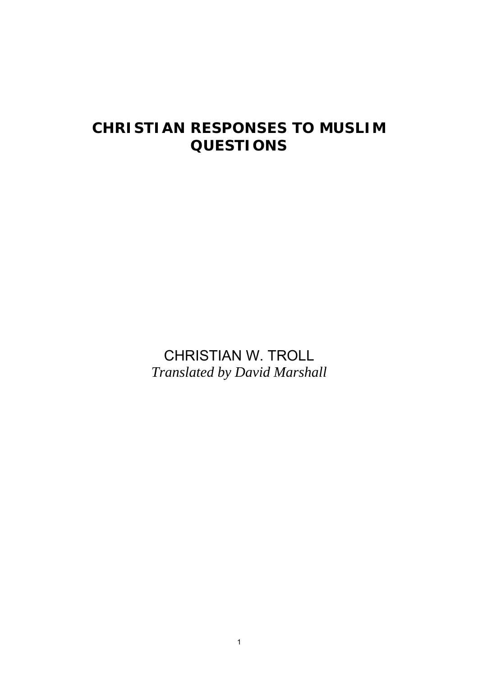# **CHRISTIAN RESPONSES TO MUSLIM QUESTIONS**

CHRISTIAN W. TROLL *Translated by David Marshall*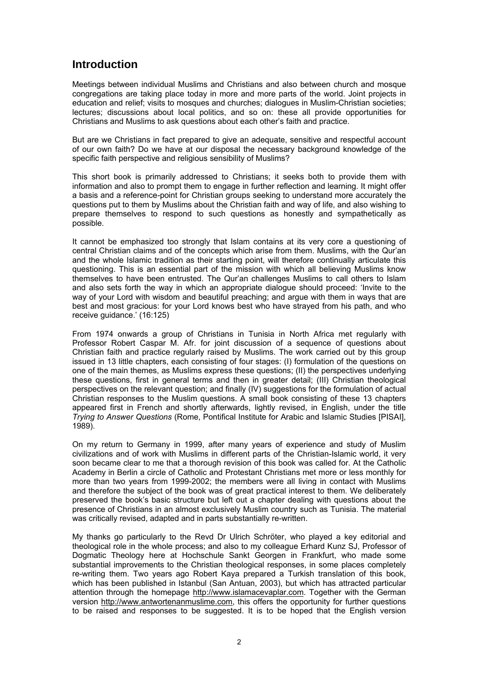## **Introduction**

Meetings between individual Muslims and Christians and also between church and mosque congregations are taking place today in more and more parts of the world. Joint projects in education and relief; visits to mosques and churches; dialogues in Muslim-Christian societies; lectures; discussions about local politics, and so on: these all provide opportunities for Christians and Muslims to ask questions about each other's faith and practice.

But are we Christians in fact prepared to give an adequate, sensitive and respectful account of our own faith? Do we have at our disposal the necessary background knowledge of the specific faith perspective and religious sensibility of Muslims?

This short book is primarily addressed to Christians; it seeks both to provide them with information and also to prompt them to engage in further reflection and learning. It might offer a basis and a reference*-*point for Christian groups seeking to understand more accurately the questions put to them by Muslims about the Christian faith and way of life, and also wishing to prepare themselves to respond to such questions as honestly and sympathetically as possible.

It cannot be emphasized too strongly that Islam contains at its very core a questioning of central Christian claims and of the concepts which arise from them. Muslims, with the Qur'an and the whole Islamic tradition as their starting point, will therefore continually articulate this questioning. This is an essential part of the mission with which all believing Muslims know themselves to have been entrusted. The Qur'an challenges Muslims to call others to Islam and also sets forth the way in which an appropriate dialogue should proceed: 'Invite to the way of your Lord with wisdom and beautiful preaching; and argue with them in ways that are best and most gracious: for your Lord knows best who have strayed from his path, and who receive guidance.' (16:125)

From 1974 onwards a group of Christians in Tunisia in North Africa met regularly with Professor Robert Caspar M. Afr. for joint discussion of a sequence of questions about Christian faith and practice regularly raised by Muslims. The work carried out by this group issued in 13 little chapters, each consisting of four stages: (I) formulation of the questions on one of the main themes, as Muslims express these questions; (II) the perspectives underlying these questions, first in general terms and then in greater detail; (III) Christian theological perspectives on the relevant question; and finally (IV) suggestions for the formulation of actual Christian responses to the Muslim questions. A small book consisting of these 13 chapters appeared first in French and shortly afterwards, lightly revised, in English, under the title *Trying to Answer Questions* (Rome, Pontifical Institute for Arabic and Islamic Studies [PISAI], 1989).

On my return to Germany in 1999, after many years of experience and study of Muslim civilizations and of work with Muslims in different parts of the Christian-Islamic world, it very soon became clear to me that a thorough revision of this book was called for. At the Catholic Academy in Berlin a circle of Catholic and Protestant Christians met more or less monthly for more than two years from 1999-2002; the members were all living in contact with Muslims and therefore the subject of the book was of great practical interest to them. We deliberately preserved the book's basic structure but left out a chapter dealing with questions about the presence of Christians in an almost exclusively Muslim country such as Tunisia. The material was critically revised, adapted and in parts substantially re-written.

My thanks go particularly to the Revd Dr Ulrich Schröter, who played a key editorial and theological role in the whole process; and also to my colleague Erhard Kunz SJ, Professor of Dogmatic Theology here at Hochschule Sankt Georgen in Frankfurt, who made some substantial improvements to the Christian theological responses, in some places completely re-writing them. Two years ago Robert Kaya prepared a Turkish translation of this book, which has been published in Istanbul (San Antuan, 2003), but which has attracted particular attention through the homepage http://www.islamacevaplar.com. Together with the German version http://www.antwortenanmuslime.com, this offers the opportunity for further questions to be raised and responses to be suggested. It is to be hoped that the English version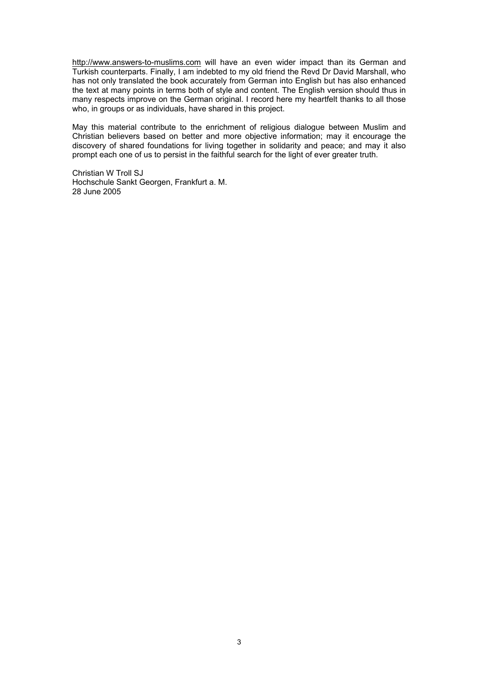http://www.answers-to-muslims.com will have an even wider impact than its German and Turkish counterparts. Finally, I am indebted to my old friend the Revd Dr David Marshall, who has not only translated the book accurately from German into English but has also enhanced the text at many points in terms both of style and content. The English version should thus in many respects improve on the German original. I record here my heartfelt thanks to all those who, in groups or as individuals, have shared in this project.

May this material contribute to the enrichment of religious dialogue between Muslim and Christian believers based on better and more objective information; may it encourage the discovery of shared foundations for living together in solidarity and peace; and may it also prompt each one of us to persist in the faithful search for the light of ever greater truth.

Christian W Troll SJ Hochschule Sankt Georgen, Frankfurt a. M. 28 June 2005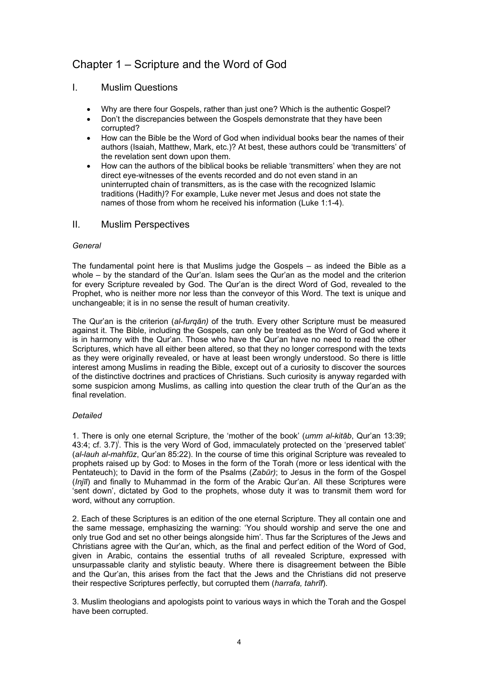## Chapter 1 – Scripture and the Word of God

### I. Muslim Questions

- Why are there four Gospels, rather than just one? Which is the authentic Gospel?
- Don't the discrepancies between the Gospels demonstrate that they have been corrupted?
- How can the Bible be the Word of God when individual books bear the names of their authors (Isaiah, Matthew, Mark, etc.)? At best, these authors could be 'transmitters' of the revelation sent down upon them.
- How can the authors of the biblical books be reliable 'transmitters' when they are not direct eye-witnesses of the events recorded and do not even stand in an uninterrupted chain of transmitters, as is the case with the recognized Islamic traditions (Hadith*)*? For example, Luke never met Jesus and does not state the names of those from whom he received his information (Luke 1:1-4).

### II. Muslim Perspectives

### *General*

The fundamental point here is that Muslims judge the Gospels – as indeed the Bible as a whole – by the standard of the Qur'an. Islam sees the Qur'an as the model and the criterion for every Scripture revealed by God. The Qur'an is the direct Word of God, revealed to the Prophet, who is neither more nor less than the conveyor of this Word. The text is unique and unchangeable; it is in no sense the result of human creativity.

The Qur'an is the criterion (*al-furqān)* of the truth. Every other Scripture must be measured against it. The Bible, including the Gospels, can only be treated as the Word of God where it is in harmony with the Qur'an. Those who have the Qur'an have no need to read the other Scriptures, which have all either been altered, so that they no longer correspond with the texts as they were originally revealed, or have at least been wrongly understood. So there is little interest among Muslims in reading the Bible, except out of a curiosity to discover the sources of the distinctive doctrines and practices of Christians. Such curiosity is anyway regarded with some suspicion among Muslims, as calling into question the clear truth of the Qur'an as the final revelation.

### *Detailed*

1. There is only one eternal Scripture, the 'mother of the book' (*umm al-kitāb*, Qur'an 13:39; 43:4; cf. 3.7)<sup>'</sup>. This is the very Word of God, immaculately protected on the 'preserved tablet' (*al-lauh al-mahfūz*, Qur'an 85:22). In the course of time this original Scripture was revealed to prophets raised up by God: to Moses in the form of the Torah (more or less identical with the Pentateuch); to David in the form of the Psalms (*Zabūr)*; to Jesus in the form of the Gospel (*Injīl*) and finally to Muhammad in the form of the Arabic Qur'an. All these Scriptures were 'sent down', dictated by God to the prophets, whose duty it was to transmit them word for word, without any corruption.

2. Each of these Scriptures is an edition of the one eternal Scripture. They all contain one and the same message, emphasizing the warning: 'You should worship and serve the one and only true God and set no other beings alongside him'. Thus far the Scriptures of the Jews and Christians agree with the Qur'an, which, as the final and perfect edition of the Word of God, given in Arabic, contains the essential truths of all revealed Scripture, expressed with unsurpassable clarity and stylistic beauty. Where there is disagreement between the Bible and the Qur'an, this arises from the fact that the Jews and the Christians did not preserve their respective Scriptures perfectly, but corrupted them (*harrafa, tahrīf*).

3. Muslim theologians and apologists point to various ways in which the Torah and the Gospel have been corrupted.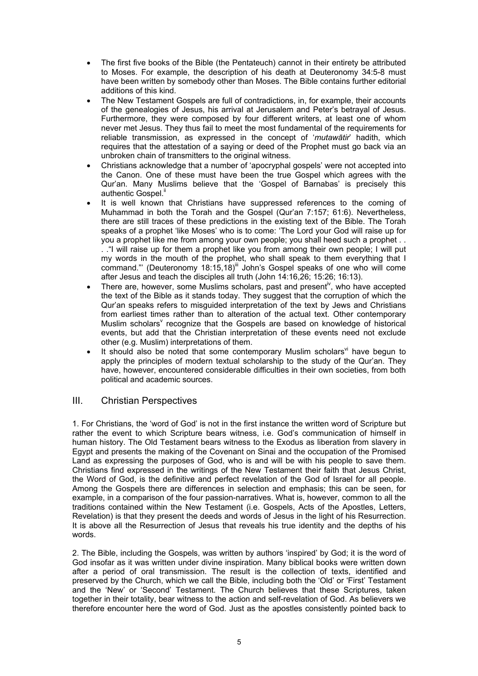- The first five books of the Bible (the Pentateuch) cannot in their entirety be attributed to Moses. For example, the description of his death at Deuteronomy 34:5-8 must have been written by somebody other than Moses. The Bible contains further editorial additions of this kind.
- The New Testament Gospels are full of contradictions, in, for example, their accounts of the genealogies of Jesus, his arrival at Jerusalem and Peter's betrayal of Jesus. Furthermore, they were composed by four different writers, at least one of whom never met Jesus. They thus fail to meet the most fundamental of the requirements for reliable transmission, as expressed in the concept of '*mutawātir*' hadith, which requires that the attestation of a saying or deed of the Prophet must go back via an unbroken chain of transmitters to the original witness.
- Christians acknowledge that a number of 'apocryphal gospels' were not accepted into the Canon. One of these must have been the true Gospel which agrees with the Qur'an. Many Muslims believe that the 'Gospel of Barnabas' is precisely this authentic Gospel.<sup>ii</sup>
- It is well known that Christians have suppressed references to the coming of Muhammad in both the Torah and the Gospel (Qur'an 7:157; 61:6). Nevertheless, there are still traces of these predictions in the existing text of the Bible. The Torah speaks of a prophet 'like Moses' who is to come: 'The Lord your God will raise up for you a prophet like me from among your own people; you shall heed such a prophet . . . ."I will raise up for them a prophet like you from among their own people; I will put my words in the mouth of the prophet, who shall speak to them everything that I command."' (Deuteronomy 18:15,18)<sup>III</sup> John's Gospel speaks of one who will come after Jesus and teach the disciples all truth (John 14:16,26; 15:26; 16:13).
- There are, however, some Muslims scholars, past and present<sup>iv</sup>, who have accepted the text of the Bible as it stands today. They suggest that the corruption of which the Qur'an speaks refers to misguided interpretation of the text by Jews and Christians from earliest times rather than to alteration of the actual text. Other contemporary Muslim scholars<sup>v</sup> recognize that the Gospels are based on knowledge of historical events, but add that the Christian interpretation of these events need not exclude other (e.g. Muslim) interpretations of them.
- It should also be noted that some contemporary Muslim scholars<sup>vi</sup> have begun to apply the principles of modern textual scholarship to the study of the Qur'an. They have, however, encountered considerable difficulties in their own societies, from both political and academic sources.

### III. Christian Perspectives

1. For Christians, the 'word of God' is not in the first instance the written word of Scripture but rather the event to which Scripture bears witness, i.e. God's communication of himself in human history. The Old Testament bears witness to the Exodus as liberation from slavery in Egypt and presents the making of the Covenant on Sinai and the occupation of the Promised Land as expressing the purposes of God, who is and will be with his people to save them. Christians find expressed in the writings of the New Testament their faith that Jesus Christ, the Word of God, is the definitive and perfect revelation of the God of Israel for all people. Among the Gospels there are differences in selection and emphasis; this can be seen, for example, in a comparison of the four passion-narratives. What is, however, common to all the traditions contained within the New Testament (i.e. Gospels, Acts of the Apostles, Letters, Revelation) is that they present the deeds and words of Jesus in the light of his Resurrection. It is above all the Resurrection of Jesus that reveals his true identity and the depths of his words.

2. The Bible, including the Gospels, was written by authors 'inspired' by God; it is the word of God insofar as it was written under divine inspiration. Many biblical books were written down after a period of oral transmission. The result is the collection of texts, identified and preserved by the Church, which we call the Bible, including both the 'Old' or 'First' Testament and the 'New' or 'Second' Testament. The Church believes that these Scriptures, taken together in their totality, bear witness to the action and self-revelation of God. As believers we therefore encounter here the word of God. Just as the apostles consistently pointed back to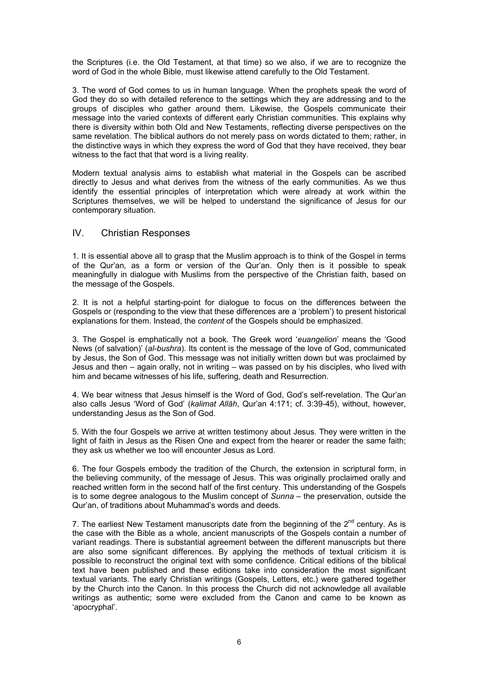the Scriptures (i.e. the Old Testament, at that time) so we also, if we are to recognize the word of God in the whole Bible, must likewise attend carefully to the Old Testament.

3. The word of God comes to us in human language. When the prophets speak the word of God they do so with detailed reference to the settings which they are addressing and to the groups of disciples who gather around them. Likewise, the Gospels communicate their message into the varied contexts of different early Christian communities. This explains why there is diversity within both Old and New Testaments, reflecting diverse perspectives on the same revelation. The biblical authors do not merely pass on words dictated to them; rather, in the distinctive ways in which they express the word of God that they have received, they bear witness to the fact that that word is a living reality.

Modern textual analysis aims to establish what material in the Gospels can be ascribed directly to Jesus and what derives from the witness of the early communities. As we thus identify the essential principles of interpretation which were already at work within the Scriptures themselves, we will be helped to understand the significance of Jesus for our contemporary situation.

### IV. Christian Responses

1. It is essential above all to grasp that the Muslim approach is to think of the Gospel in terms of the Qur'an*,* as a form or version of the Qur'an. Only then is it possible to speak meaningfully in dialogue with Muslims from the perspective of the Christian faith, based on the message of the Gospels.

2. It is not a helpful starting-point for dialogue to focus on the differences between the Gospels or (responding to the view that these differences are a 'problem') to present historical explanations for them. Instead, the *content* of the Gospels should be emphasized.

3. The Gospel is emphatically not a book. The Greek word '*euangelion*' means the 'Good News (of salvation)' (*al-bushra*). Its content is the message of the love of God, communicated by Jesus, the Son of God. This message was not initially written down but was proclaimed by Jesus and then – again orally, not in writing – was passed on by his disciples, who lived with him and became witnesses of his life, suffering, death and Resurrection.

4. We bear witness that Jesus himself is the Word of God, God's self-revelation. The Qur'an also calls Jesus 'Word of God' (*kalimat Allāh*, Qur'an 4:171; cf. 3:39-45), without, however, understanding Jesus as the Son of God.

5. With the four Gospels we arrive at written testimony about Jesus. They were written in the light of faith in Jesus as the Risen One and expect from the hearer or reader the same faith; they ask us whether we too will encounter Jesus as Lord.

6. The four Gospels embody the tradition of the Church, the extension in scriptural form, in the believing community, of the message of Jesus. This was originally proclaimed orally and reached written form in the second half of the first century. This understanding of the Gospels is to some degree analogous to the Muslim concept of *Sunna* – the preservation, outside the Qur'an, of traditions about Muhammad's words and deeds.

7. The earliest New Testament manuscripts date from the beginning of the  $2^{nd}$  century. As is the case with the Bible as a whole, ancient manuscripts of the Gospels contain a number of variant readings. There is substantial agreement between the different manuscripts but there are also some significant differences. By applying the methods of textual criticism it is possible to reconstruct the original text with some confidence. Critical editions of the biblical text have been published and these editions take into consideration the most significant textual variants. The early Christian writings (Gospels, Letters, etc.) were gathered together by the Church into the Canon. In this process the Church did not acknowledge all available writings as authentic; some were excluded from the Canon and came to be known as 'apocryphal'.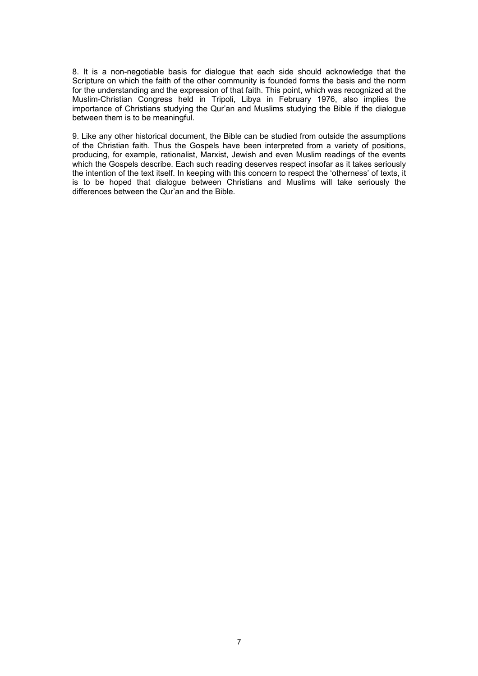8. It is a non-negotiable basis for dialogue that each side should acknowledge that the Scripture on which the faith of the other community is founded forms the basis and the norm for the understanding and the expression of that faith. This point, which was recognized at the Muslim-Christian Congress held in Tripoli, Libya in February 1976, also implies the importance of Christians studying the Qur'an and Muslims studying the Bible if the dialogue between them is to be meaningful.

9. Like any other historical document, the Bible can be studied from outside the assumptions of the Christian faith. Thus the Gospels have been interpreted from a variety of positions, producing, for example, rationalist, Marxist, Jewish and even Muslim readings of the events which the Gospels describe. Each such reading deserves respect insofar as it takes seriously the intention of the text itself. In keeping with this concern to respect the 'otherness' of texts, it is to be hoped that dialogue between Christians and Muslims will take seriously the differences between the Qur'an and the Bible.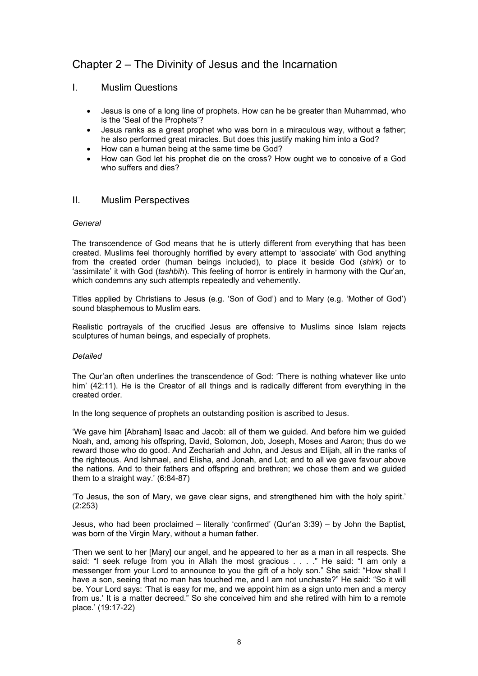## Chapter 2 – The Divinity of Jesus and the Incarnation

### I. Muslim Questions

- Jesus is one of a long line of prophets. How can he be greater than Muhammad, who is the 'Seal of the Prophets'?
- Jesus ranks as a great prophet who was born in a miraculous way, without a father; he also performed great miracles. But does this justify making him into a God?
- How can a human being at the same time be God?
- How can God let his prophet die on the cross? How ought we to conceive of a God who suffers and dies?

### II. Muslim Perspectives

### *General*

The transcendence of God means that he is utterly different from everything that has been created. Muslims feel thoroughly horrified by every attempt to 'associate' with God anything from the created order (human beings included), to place it beside God (*shirk*) or to 'assimilate' it with God (*tashbīh*). This feeling of horror is entirely in harmony with the Qur'an, which condemns any such attempts repeatedly and vehemently.

Titles applied by Christians to Jesus (e.g. 'Son of God') and to Mary (e.g. 'Mother of God') sound blasphemous to Muslim ears.

Realistic portrayals of the crucified Jesus are offensive to Muslims since Islam rejects sculptures of human beings, and especially of prophets.

### *Detailed*

The Qur'an often underlines the transcendence of God: 'There is nothing whatever like unto him' (42:11). He is the Creator of all things and is radically different from everything in the created order.

In the long sequence of prophets an outstanding position is ascribed to Jesus.

'We gave him [Abraham] Isaac and Jacob: all of them we guided. And before him we guided Noah, and, among his offspring, David, Solomon, Job, Joseph, Moses and Aaron; thus do we reward those who do good. And Zechariah and John, and Jesus and Elijah, all in the ranks of the righteous. And Ishmael, and Elisha, and Jonah, and Lot; and to all we gave favour above the nations. And to their fathers and offspring and brethren; we chose them and we guided them to a straight way.' (6:84-87)

'To Jesus, the son of Mary, we gave clear signs, and strengthened him with the holy spirit.' (2:253)

Jesus, who had been proclaimed – literally 'confirmed' (Qur'an 3:39) – by John the Baptist, was born of the Virgin Mary, without a human father.

'Then we sent to her [Mary] our angel, and he appeared to her as a man in all respects. She said: "I seek refuge from you in Allah the most gracious . . . ." He said: "I am only a messenger from your Lord to announce to you the gift of a holy son." She said: "How shall I have a son, seeing that no man has touched me, and I am not unchaste?" He said: "So it will be. Your Lord says: 'That is easy for me, and we appoint him as a sign unto men and a mercy from us.' It is a matter decreed." So she conceived him and she retired with him to a remote place.' (19:17-22)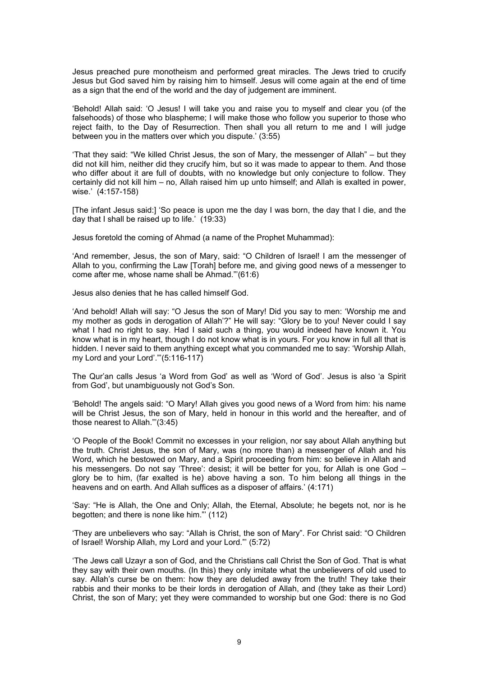Jesus preached pure monotheism and performed great miracles. The Jews tried to crucify Jesus but God saved him by raising him to himself. Jesus will come again at the end of time as a sign that the end of the world and the day of judgement are imminent.

'Behold! Allah said: 'O Jesus! I will take you and raise you to myself and clear you (of the falsehoods) of those who blaspheme; I will make those who follow you superior to those who reject faith, to the Day of Resurrection. Then shall you all return to me and I will judge between you in the matters over which you dispute.' (3:55)

'That they said: "We killed Christ Jesus, the son of Mary, the messenger of Allah" – but they did not kill him, neither did they crucify him, but so it was made to appear to them. And those who differ about it are full of doubts, with no knowledge but only conjecture to follow. They certainly did not kill him – no, Allah raised him up unto himself; and Allah is exalted in power, wise.' (4:157-158)

[The infant Jesus said:] 'So peace is upon me the day I was born, the day that I die, and the day that I shall be raised up to life.' (19:33)

Jesus foretold the coming of Ahmad (a name of the Prophet Muhammad):

'And remember, Jesus, the son of Mary, said: "O Children of Israel! I am the messenger of Allah to you, confirming the Law [Torah] before me, and giving good news of a messenger to come after me, whose name shall be Ahmad."'(61:6)

Jesus also denies that he has called himself God.

'And behold! Allah will say: "O Jesus the son of Mary! Did you say to men: 'Worship me and my mother as gods in derogation of Allah'?" He will say: "Glory be to you! Never could I say what I had no right to say. Had I said such a thing, you would indeed have known it. You know what is in my heart, though I do not know what is in yours. For you know in full all that is hidden. I never said to them anything except what you commanded me to say: 'Worship Allah, my Lord and your Lord'."'(5:116-117)

The Qur'an calls Jesus 'a Word from God' as well as 'Word of God'. Jesus is also 'a Spirit from God', but unambiguously not God's Son.

'Behold! The angels said: "O Mary! Allah gives you good news of a Word from him: his name will be Christ Jesus, the son of Mary, held in honour in this world and the hereafter, and of those nearest to Allah."'(3:45)

'O People of the Book! Commit no excesses in your religion, nor say about Allah anything but the truth. Christ Jesus, the son of Mary, was (no more than) a messenger of Allah and his Word, which he bestowed on Mary, and a Spirit proceeding from him: so believe in Allah and his messengers. Do not say 'Three': desist; it will be better for you, for Allah is one God – glory be to him, (far exalted is he) above having a son. To him belong all things in the heavens and on earth. And Allah suffices as a disposer of affairs.' (4:171)

'Say: "He is Allah, the One and Only; Allah, the Eternal, Absolute; he begets not, nor is he begotten; and there is none like him."' (112)

'They are unbelievers who say: "Allah is Christ, the son of Mary". For Christ said: "O Children of Israel! Worship Allah, my Lord and your Lord."' (5:72)

'The Jews call Uzayr a son of God, and the Christians call Christ the Son of God. That is what they say with their own mouths. (In this) they only imitate what the unbelievers of old used to say. Allah's curse be on them: how they are deluded away from the truth! They take their rabbis and their monks to be their lords in derogation of Allah, and (they take as their Lord) Christ, the son of Mary; yet they were commanded to worship but one God: there is no God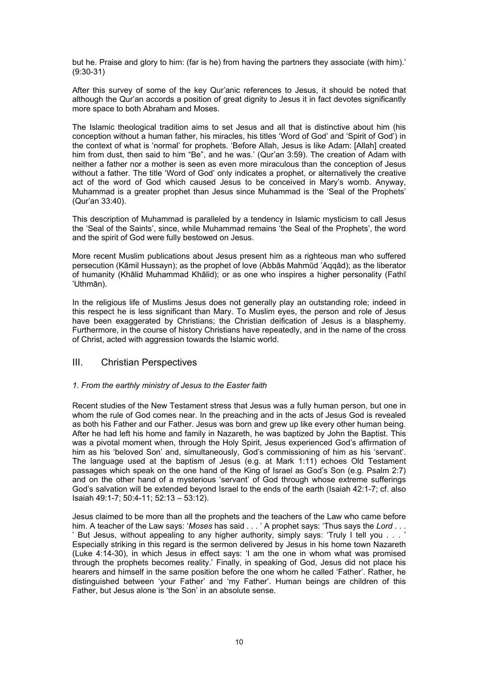but he. Praise and glory to him: (far is he) from having the partners they associate (with him).' (9:30-31)

After this survey of some of the key Qur'anic references to Jesus, it should be noted that although the Qur'an accords a position of great dignity to Jesus it in fact devotes significantly more space to both Abraham and Moses.

The Islamic theological tradition aims to set Jesus and all that is distinctive about him (his conception without a human father, his miracles, his titles 'Word of God' and 'Spirit of God') in the context of what is 'normal' for prophets. 'Before Allah, Jesus is like Adam: [Allah] created him from dust, then said to him "Be", and he was.' (Qur'an 3:59). The creation of Adam with neither a father nor a mother is seen as even more miraculous than the conception of Jesus without a father. The title 'Word of God' only indicates a prophet, or alternatively the creative act of the word of God which caused Jesus to be conceived in Mary's womb. Anyway, Muhammad is a greater prophet than Jesus since Muhammad is the 'Seal of the Prophets' (Qur'an 33:40).

This description of Muhammad is paralleled by a tendency in Islamic mysticism to call Jesus the 'Seal of the Saints', since, while Muhammad remains 'the Seal of the Prophets', the word and the spirit of God were fully bestowed on Jesus.

More recent Muslim publications about Jesus present him as a righteous man who suffered persecution (Kāmil Hussayn); as the prophet of love (Abbās Mahmūd 'Aqqād); as the liberator of humanity (Khālid Muhammad Khālid); or as one who inspires a higher personality (Fathī 'Uthmān).

In the religious life of Muslims Jesus does not generally play an outstanding role; indeed in this respect he is less significant than Mary. To Muslim eyes, the person and role of Jesus have been exaggerated by Christians; the Christian deification of Jesus is a blasphemy. Furthermore, in the course of history Christians have repeatedly, and in the name of the cross of Christ, acted with aggression towards the Islamic world.

### III. Christian Perspectives

### *1. From the earthly ministry of Jesus to the Easter faith*

Recent studies of the New Testament stress that Jesus was a fully human person, but one in whom the rule of God comes near. In the preaching and in the acts of Jesus God is revealed as both his Father and our Father. Jesus was born and grew up like every other human being. After he had left his home and family in Nazareth, he was baptized by John the Baptist. This was a pivotal moment when, through the Holy Spirit, Jesus experienced God's affirmation of him as his 'beloved Son' and, simultaneously, God's commissioning of him as his 'servant'. The language used at the baptism of Jesus (e.g. at Mark 1:11) echoes Old Testament passages which speak on the one hand of the King of Israel as God's Son (e.g. Psalm 2:7) and on the other hand of a mysterious 'servant' of God through whose extreme sufferings God's salvation will be extended beyond Israel to the ends of the earth (Isaiah 42:1-7; cf. also Isaiah 49:1-7; 50:4-11; 52:13 – 53:12).

Jesus claimed to be more than all the prophets and the teachers of the Law who came before him. A teacher of the Law says: '*Moses* has said . . . ' A prophet says: 'Thus says the *Lord* . . . ' But Jesus, without appealing to any higher authority, simply says: 'Truly I tell you . . . ' Especially striking in this regard is the sermon delivered by Jesus in his home town Nazareth (Luke 4:14-30), in which Jesus in effect says: 'I am the one in whom what was promised through the prophets becomes reality.' Finally, in speaking of God, Jesus did not place his hearers and himself in the same position before the one whom he called 'Father'. Rather, he distinguished between 'your Father' and 'my Father'. Human beings are children of this Father, but Jesus alone is 'the Son' in an absolute sense.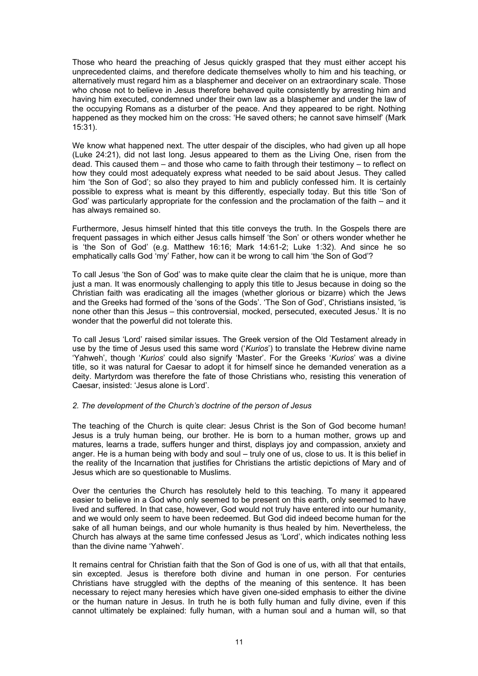Those who heard the preaching of Jesus quickly grasped that they must either accept his unprecedented claims, and therefore dedicate themselves wholly to him and his teaching, or alternatively must regard him as a blasphemer and deceiver on an extraordinary scale. Those who chose not to believe in Jesus therefore behaved quite consistently by arresting him and having him executed, condemned under their own law as a blasphemer and under the law of the occupying Romans as a disturber of the peace. And they appeared to be right. Nothing happened as they mocked him on the cross: 'He saved others; he cannot save himself' (Mark 15:31).

We know what happened next. The utter despair of the disciples, who had given up all hope (Luke 24:21), did not last long. Jesus appeared to them as the Living One, risen from the dead. This caused them – and those who came to faith through their testimony – to reflect on how they could most adequately express what needed to be said about Jesus. They called him 'the Son of God'; so also they prayed to him and publicly confessed him. It is certainly possible to express what is meant by this differently, especially today. But this title 'Son of God' was particularly appropriate for the confession and the proclamation of the faith – and it has always remained so.

Furthermore, Jesus himself hinted that this title conveys the truth. In the Gospels there are frequent passages in which either Jesus calls himself 'the Son' or others wonder whether he is 'the Son of God' (e.g. Matthew 16:16; Mark 14:61-2; Luke 1:32). And since he so emphatically calls God 'my' Father, how can it be wrong to call him 'the Son of God'?

To call Jesus 'the Son of God' was to make quite clear the claim that he is unique, more than just a man. It was enormously challenging to apply this title to Jesus because in doing so the Christian faith was eradicating all the images (whether glorious or bizarre) which the Jews and the Greeks had formed of the 'sons of the Gods'. 'The Son of God', Christians insisted, 'is none other than this Jesus – this controversial, mocked, persecuted, executed Jesus.' It is no wonder that the powerful did not tolerate this.

To call Jesus 'Lord' raised similar issues. The Greek version of the Old Testament already in use by the time of Jesus used this same word ('*Kurios*') to translate the Hebrew divine name 'Yahweh', though '*Kurios*' could also signify 'Master'. For the Greeks '*Kurios*' was a divine title, so it was natural for Caesar to adopt it for himself since he demanded veneration as a deity. Martyrdom was therefore the fate of those Christians who, resisting this veneration of Caesar, insisted: 'Jesus alone is Lord'.

#### *2. The development of the Church's doctrine of the person of Jesus*

The teaching of the Church is quite clear: Jesus Christ is the Son of God become human! Jesus is a truly human being, our brother. He is born to a human mother, grows up and matures, learns a trade, suffers hunger and thirst, displays joy and compassion, anxiety and anger. He is a human being with body and soul – truly one of us, close to us. It is this belief in the reality of the Incarnation that justifies for Christians the artistic depictions of Mary and of Jesus which are so questionable to Muslims.

Over the centuries the Church has resolutely held to this teaching. To many it appeared easier to believe in a God who only seemed to be present on this earth, only seemed to have lived and suffered. In that case, however, God would not truly have entered into our humanity, and we would only seem to have been redeemed. But God did indeed become human for the sake of all human beings, and our whole humanity is thus healed by him. Nevertheless, the Church has always at the same time confessed Jesus as 'Lord', which indicates nothing less than the divine name 'Yahweh'.

It remains central for Christian faith that the Son of God is one of us, with all that that entails, sin excepted. Jesus is therefore both divine and human in one person. For centuries Christians have struggled with the depths of the meaning of this sentence. It has been necessary to reject many heresies which have given one-sided emphasis to either the divine or the human nature in Jesus. In truth he is both fully human and fully divine, even if this cannot ultimately be explained: fully human, with a human soul and a human will, so that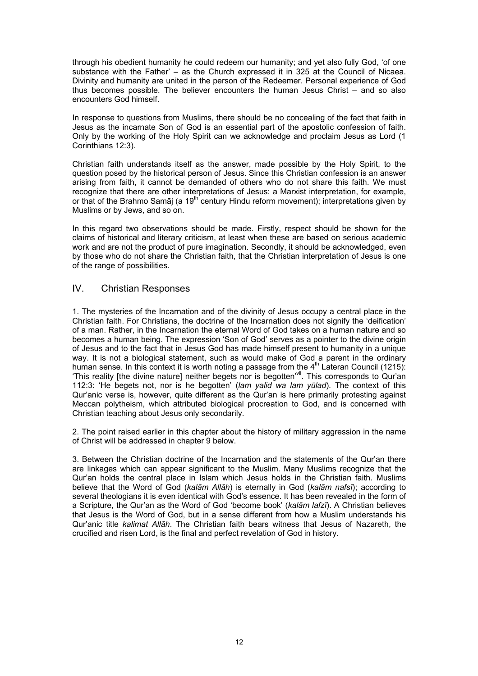through his obedient humanity he could redeem our humanity; and yet also fully God, 'of one substance with the Father' – as the Church expressed it in 325 at the Council of Nicaea. Divinity and humanity are united in the person of the Redeemer. Personal experience of God thus becomes possible. The believer encounters the human Jesus Christ – and so also encounters God himself.

In response to questions from Muslims, there should be no concealing of the fact that faith in Jesus as the incarnate Son of God is an essential part of the apostolic confession of faith. Only by the working of the Holy Spirit can we acknowledge and proclaim Jesus as Lord (1 Corinthians 12:3).

Christian faith understands itself as the answer, made possible by the Holy Spirit, to the question posed by the historical person of Jesus. Since this Christian confession is an answer arising from faith, it cannot be demanded of others who do not share this faith. We must recognize that there are other interpretations of Jesus: a Marxist interpretation, for example, or that of the Brahmo Samāj (a  $19<sup>th</sup>$  century Hindu reform movement); interpretations given by Muslims or by Jews, and so on.

In this regard two observations should be made. Firstly, respect should be shown for the claims of historical and literary criticism, at least when these are based on serious academic work and are not the product of pure imagination. Secondly, it should be acknowledged, even by those who do not share the Christian faith, that the Christian interpretation of Jesus is one of the range of possibilities.

### IV. Christian Responses

1. The mysteries of the Incarnation and of the divinity of Jesus occupy a central place in the Christian faith. For Christians, the doctrine of the Incarnation does not signify the 'deification' of a man. Rather, in the Incarnation the eternal Word of God takes on a human nature and so becomes a human being. The expression 'Son of God' serves as a pointer to the divine origin of Jesus and to the fact that in Jesus God has made himself present to humanity in a unique way. It is not a biological statement, such as would make of God a parent in the ordinary human sense. In this context it is worth noting a passage from the  $4<sup>th</sup>$  Lateran Council (1215): 'This reality [the divine nature] neither begets nor is begotten'vii. This corresponds to Qur'an 112:3: 'He begets not, nor is he begotten' (*lam yalid wa lam yūlad*). The context of this Qur'anic verse is, however, quite different as the Qur'an is here primarily protesting against Meccan polytheism, which attributed biological procreation to God, and is concerned with Christian teaching about Jesus only secondarily.

2. The point raised earlier in this chapter about the history of military aggression in the name of Christ will be addressed in chapter 9 below.

3. Between the Christian doctrine of the Incarnation and the statements of the Qur'an there are linkages which can appear significant to the Muslim. Many Muslims recognize that the Qur'an holds the central place in Islam which Jesus holds in the Christian faith. Muslims believe that the Word of God (*kalām Allāh*) is eternally in God (*kalām nafsī*); according to several theologians it is even identical with God's essence. It has been revealed in the form of a Scripture, the Qur'an as the Word of God 'become book' (*kalām lafzī*). A Christian believes that Jesus is the Word of God, but in a sense different from how a Muslim understands his Qur'anic title *kalimat Allāh*. The Christian faith bears witness that Jesus of Nazareth, the crucified and risen Lord, is the final and perfect revelation of God in history.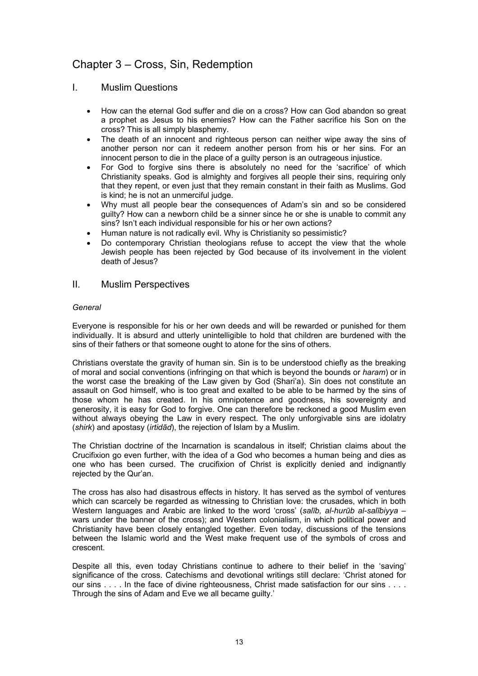## Chapter 3 – Cross, Sin, Redemption

### I. Muslim Questions

- How can the eternal God suffer and die on a cross? How can God abandon so great a prophet as Jesus to his enemies? How can the Father sacrifice his Son on the cross? This is all simply blasphemy.
- The death of an innocent and righteous person can neither wipe away the sins of another person nor can it redeem another person from his or her sins. For an innocent person to die in the place of a guilty person is an outrageous injustice.
- For God to forgive sins there is absolutely no need for the 'sacrifice' of which Christianity speaks. God is almighty and forgives all people their sins, requiring only that they repent, or even just that they remain constant in their faith as Muslims. God is kind; he is not an unmerciful judge.
- Why must all people bear the consequences of Adam's sin and so be considered guilty? How can a newborn child be a sinner since he or she is unable to commit any sins? Isn't each individual responsible for his or her own actions?
- Human nature is not radically evil. Why is Christianity so pessimistic?
- Do contemporary Christian theologians refuse to accept the view that the whole Jewish people has been rejected by God because of its involvement in the violent death of Jesus?

### II. Muslim Perspectives

### *General*

Everyone is responsible for his or her own deeds and will be rewarded or punished for them individually. It is absurd and utterly unintelligible to hold that children are burdened with the sins of their fathers or that someone ought to atone for the sins of others.

Christians overstate the gravity of human sin. Sin is to be understood chiefly as the breaking of moral and social conventions (infringing on that which is beyond the bounds or *haram*) or in the worst case the breaking of the Law given by God (Shari'a). Sin does not constitute an assault on God himself, who is too great and exalted to be able to be harmed by the sins of those whom he has created. In his omnipotence and goodness, his sovereignty and generosity, it is easy for God to forgive. One can therefore be reckoned a good Muslim even without always obeying the Law in every respect. The only unforgivable sins are idolatry (*shirk*) and apostasy (*irtidād*), the rejection of Islam by a Muslim.

The Christian doctrine of the Incarnation is scandalous in itself; Christian claims about the Crucifixion go even further, with the idea of a God who becomes a human being and dies as one who has been cursed. The crucifixion of Christ is explicitly denied and indignantly rejected by the Qur'an.

The cross has also had disastrous effects in history. It has served as the symbol of ventures which can scarcely be regarded as witnessing to Christian love: the crusades, which in both Western languages and Arabic are linked to the word 'cross' (*salīb, al-hurūb al-salībiyya –*  wars under the banner of the cross); and Western colonialism, in which political power and Christianity have been closely entangled together. Even today, discussions of the tensions between the Islamic world and the West make frequent use of the symbols of cross and crescent.

Despite all this, even today Christians continue to adhere to their belief in the 'saving' significance of the cross. Catechisms and devotional writings still declare: 'Christ atoned for our sins . . . . In the face of divine righteousness, Christ made satisfaction for our sins . . . . Through the sins of Adam and Eve we all became guilty.'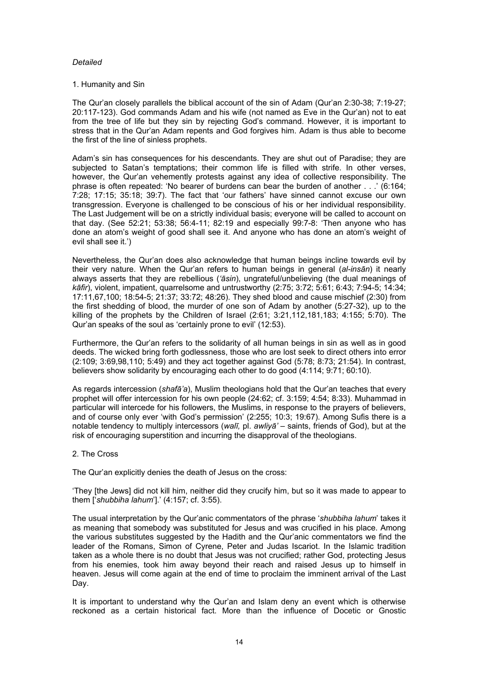#### *Detailed*

#### 1. Humanity and Sin

The Qur'an closely parallels the biblical account of the sin of Adam (Qur'an 2:30-38; 7:19-27; 20:117-123). God commands Adam and his wife (not named as Eve in the Qur'an) not to eat from the tree of life but they sin by rejecting God's command. However, it is important to stress that in the Qur'an Adam repents and God forgives him. Adam is thus able to become the first of the line of sinless prophets.

Adam's sin has consequences for his descendants. They are shut out of Paradise; they are subjected to Satan's temptations; their common life is filled with strife. In other verses, however, the Qur'an vehemently protests against any idea of collective responsibility. The phrase is often repeated: 'No bearer of burdens can bear the burden of another . . .' (6:164; 7:28; 17:15; 35:18; 39:7). The fact that 'our fathers' have sinned cannot excuse our own transgression. Everyone is challenged to be conscious of his or her individual responsibility. The Last Judgement will be on a strictly individual basis; everyone will be called to account on that day. (See 52:21; 53:38; 56:4-11; 82:19 and especially 99:7-8: 'Then anyone who has done an atom's weight of good shall see it. And anyone who has done an atom's weight of evil shall see it.')

Nevertheless, the Qur'an does also acknowledge that human beings incline towards evil by their very nature. When the Qur'an refers to human beings in general (*al-insān*) it nearly always asserts that they are rebellious (*'āsin*), ungrateful/unbelieving (the dual meanings of *kāfir*), violent, impatient, quarrelsome and untrustworthy (2:75; 3:72; 5:61; 6:43; 7:94-5; 14:34; 17:11,67,100; 18:54-5; 21:37; 33:72; 48:26). They shed blood and cause mischief (2:30) from the first shedding of blood, the murder of one son of Adam by another (5:27-32), up to the killing of the prophets by the Children of Israel (2:61; 3:21,112,181,183; 4:155; 5:70). The Qur'an speaks of the soul as 'certainly prone to evil' (12:53).

Furthermore, the Qur'an refers to the solidarity of all human beings in sin as well as in good deeds. The wicked bring forth godlessness, those who are lost seek to direct others into error (2:109; 3:69,98,110; 5:49) and they act together against God (5:78; 8:73; 21:54). In contrast, believers show solidarity by encouraging each other to do good (4:114; 9:71; 60:10).

As regards intercession (*shafā'a*), Muslim theologians hold that the Qur'an teaches that every prophet will offer intercession for his own people (24:62; cf. 3:159; 4:54; 8:33). Muhammad in particular will intercede for his followers, the Muslims, in response to the prayers of believers, and of course only ever 'with God's permission' (2:255; 10:3; 19:67). Among Sufis there is a notable tendency to multiply intercessors (*walī,* pl. *awliyā' –* saints, friends of God), but at the risk of encouraging superstition and incurring the disapproval of the theologians.

#### 2. The Cross

The Qur'an explicitly denies the death of Jesus on the cross:

'They [the Jews] did not kill him, neither did they crucify him, but so it was made to appear to them ['*shubbiha lahum*'].' (4:157; cf. 3:55).

The usual interpretation by the Qur'anic commentators of the phrase '*shubbiha lahum*' takes it as meaning that somebody was substituted for Jesus and was crucified in his place. Among the various substitutes suggested by the Hadith and the Qur'anic commentators we find the leader of the Romans, Simon of Cyrene, Peter and Judas Iscariot. In the Islamic tradition taken as a whole there is no doubt that Jesus was not crucified; rather God, protecting Jesus from his enemies, took him away beyond their reach and raised Jesus up to himself in heaven. Jesus will come again at the end of time to proclaim the imminent arrival of the Last Day.

It is important to understand why the Qur'an and Islam deny an event which is otherwise reckoned as a certain historical fact. More than the influence of Docetic or Gnostic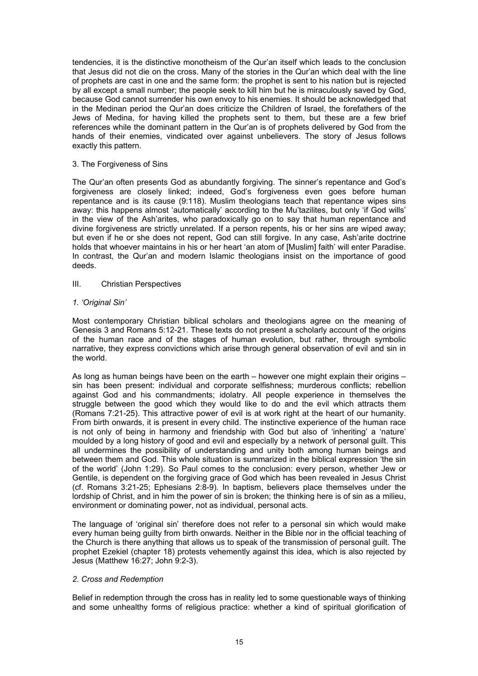tendencies, it is the distinctive monotheism of the Qur'an itself which leads to the conclusion that Jesus did not die on the cross. Many of the stories in the Qur'an which deal with the line of prophets are cast in one and the same form: the prophet is sent to his nation but is rejected by all except a small number; the people seek to kill him but he is miraculously saved by God, because God cannot surrender his own envoy to his enemies. It should be acknowledged that in the Medinan period the Qur'an does criticize the Children of Israel, the forefathers of the Jews of Medina, for having killed the prophets sent to them, but these are a few brief references while the dominant pattern in the Qur'an is of prophets delivered by God from the hands of their enemies, vindicated over against unbelievers. The story of Jesus follows exactly this pattern.

#### 3. The Forgiveness of Sins

The Qur'an often presents God as abundantly forgiving. The sinner's repentance and God's forgiveness are closely linked; indeed, God's forgiveness even goes before human repentance and is its cause (9:118). Muslim theologians teach that repentance wipes sins away: this happens almost 'automatically' according to the Mu'tazilites, but only 'if God wills' in the view of the Ash'arites, who paradoxically go on to say that human repentance and divine forgiveness are strictly unrelated. If a person repents, his or her sins are wiped away; but even if he or she does not repent, God can still forgive. In any case, Ash'arite doctrine holds that whoever maintains in his or her heart 'an atom of [Muslim] faith' will enter Paradise. In contrast, the Qur'an and modern Islamic theologians insist on the importance of good deeds.

#### III. Christian Perspectives

#### *1. 'Original Sin'*

Most contemporary Christian biblical scholars and theologians agree on the meaning of Genesis 3 and Romans 5:12-21. These texts do not present a scholarly account of the origins of the human race and of the stages of human evolution, but rather, through symbolic narrative, they express convictions which arise through general observation of evil and sin in the world.

As long as human beings have been on the earth – however one might explain their origins – sin has been present: individual and corporate selfishness; murderous conflicts; rebellion against God and his commandments; idolatry. All people experience in themselves the struggle between the good which they would like to do and the evil which attracts them (Romans 7:21-25). This attractive power of evil is at work right at the heart of our humanity. From birth onwards, it is present in every child. The instinctive experience of the human race is not only of being in harmony and friendship with God but also of 'inheriting' a 'nature' moulded by a long history of good and evil and especially by a network of personal guilt. This all undermines the possibility of understanding and unity both among human beings and between them and God. This whole situation is summarized in the biblical expression 'the sin of the world' (John 1:29). So Paul comes to the conclusion: every person, whether Jew or Gentile, is dependent on the forgiving grace of God which has been revealed in Jesus Christ (cf. Romans 3:21-25; Ephesians 2:8-9). In baptism, believers place themselves under the lordship of Christ, and in him the power of sin is broken; the thinking here is of sin as a milieu, environment or dominating power, not as individual, personal acts.

The language of 'original sin' therefore does not refer to a personal sin which would make every human being guilty from birth onwards. Neither in the Bible nor in the official teaching of the Church is there anything that allows us to speak of the transmission of personal guilt. The prophet Ezekiel (chapter 18) protests vehemently against this idea, which is also rejected by Jesus (Matthew 16:27; John 9:2-3).

### *2. Cross and Redemption*

Belief in redemption through the cross has in reality led to some questionable ways of thinking and some unhealthy forms of religious practice: whether a kind of spiritual glorification of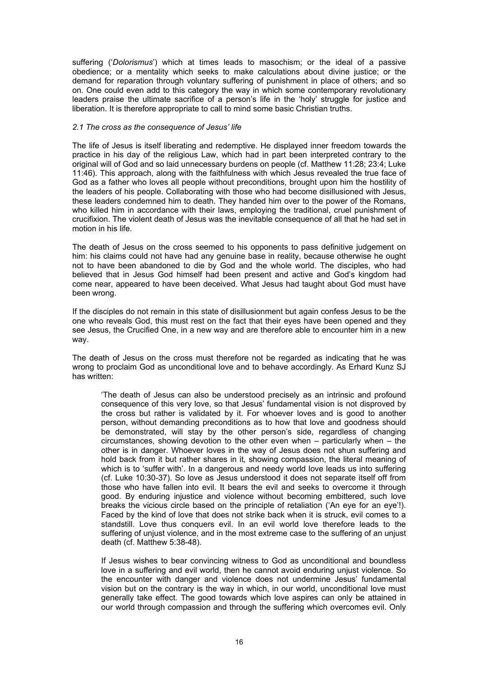suffering ('*Dolorismus*') which at times leads to masochism; or the ideal of a passive obedience; or a mentality which seeks to make calculations about divine justice; or the demand for reparation through voluntary suffering of punishment in place of others; and so on. One could even add to this category the way in which some contemporary revolutionary leaders praise the ultimate sacrifice of a person's life in the 'holy' struggle for justice and liberation. It is therefore appropriate to call to mind some basic Christian truths.

#### *2.1 The cross as the consequence of Jesus' life*

The life of Jesus is itself liberating and redemptive. He displayed inner freedom towards the practice in his day of the religious Law, which had in part been interpreted contrary to the original will of God and so laid unnecessary burdens on people (cf. Matthew 11:28; 23:4; Luke 11:46). This approach, along with the faithfulness with which Jesus revealed the true face of God as a father who loves all people without preconditions, brought upon him the hostility of the leaders of his people. Collaborating with those who had become disillusioned with Jesus, these leaders condemned him to death. They handed him over to the power of the Romans, who killed him in accordance with their laws, employing the traditional, cruel punishment of crucifixion. The violent death of Jesus was the inevitable consequence of all that he had set in motion in his life.

The death of Jesus on the cross seemed to his opponents to pass definitive judgement on him: his claims could not have had any genuine base in reality, because otherwise he ought not to have been abandoned to die by God and the whole world. The disciples, who had believed that in Jesus God himself had been present and active and God's kingdom had come near, appeared to have been deceived. What Jesus had taught about God must have been wrong.

If the disciples do not remain in this state of disillusionment but again confess Jesus to be the one who reveals God, this must rest on the fact that their eyes have been opened and they see Jesus, the Crucified One, in a new way and are therefore able to encounter him in a new way.

The death of Jesus on the cross must therefore not be regarded as indicating that he was wrong to proclaim God as unconditional love and to behave accordingly. As Erhard Kunz SJ has written:

'The death of Jesus can also be understood precisely as an intrinsic and profound consequence of this very love, so that Jesus' fundamental vision is not disproved by the cross but rather is validated by it. For whoever loves and is good to another person, without demanding preconditions as to how that love and goodness should be demonstrated, will stay by the other person's side, regardless of changing circumstances, showing devotion to the other even when – particularly when – the other is in danger. Whoever loves in the way of Jesus does not shun suffering and hold back from it but rather shares in it, showing compassion, the literal meaning of which is to 'suffer with'. In a dangerous and needy world love leads us into suffering (cf. Luke 10:30-37). So love as Jesus understood it does not separate itself off from those who have fallen into evil. It bears the evil and seeks to overcome it through good. By enduring injustice and violence without becoming embittered, such love breaks the vicious circle based on the principle of retaliation ('An eye for an eye'!). Faced by the kind of love that does not strike back when it is struck, evil comes to a standstill. Love thus conquers evil. In an evil world love therefore leads to the suffering of unjust violence, and in the most extreme case to the suffering of an unjust death (cf. Matthew 5:38-48).

If Jesus wishes to bear convincing witness to God as unconditional and boundless love in a suffering and evil world, then he cannot avoid enduring unjust violence. So the encounter with danger and violence does not undermine Jesus' fundamental vision but on the contrary is the way in which, in our world, unconditional love must generally take effect. The good towards which love aspires can only be attained in our world through compassion and through the suffering which overcomes evil. Only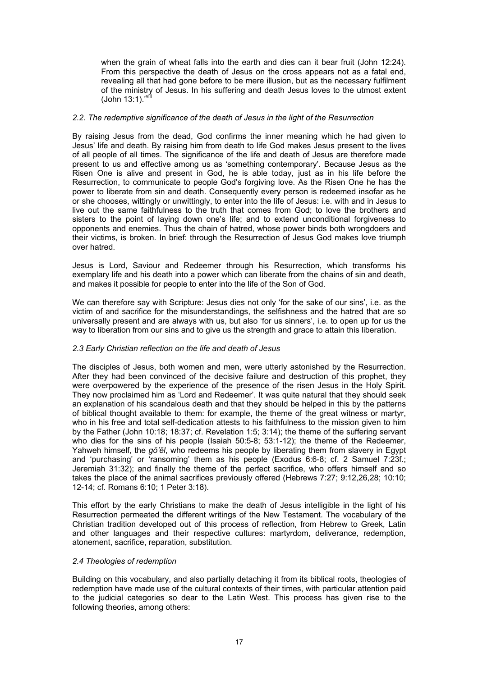when the grain of wheat falls into the earth and dies can it bear fruit (John 12:24). From this perspective the death of Jesus on the cross appears not as a fatal end, revealing all that had gone before to be mere illusion, but as the necessary fulfilment of the ministry of Jesus. In his suffering and death Jesus loves to the utmost extent (John 13:1).<sup>'viii</sup>

#### *2.2. The redemptive significance of the death of Jesus in the light of the Resurrection*

By raising Jesus from the dead, God confirms the inner meaning which he had given to Jesus' life and death. By raising him from death to life God makes Jesus present to the lives of all people of all times. The significance of the life and death of Jesus are therefore made present to us and effective among us as 'something contemporary'. Because Jesus as the Risen One is alive and present in God, he is able today, just as in his life before the Resurrection, to communicate to people God's forgiving love. As the Risen One he has the power to liberate from sin and death. Consequently every person is redeemed insofar as he or she chooses, wittingly or unwittingly, to enter into the life of Jesus: i.e. with and in Jesus to live out the same faithfulness to the truth that comes from God; to love the brothers and sisters to the point of laying down one's life; and to extend unconditional forgiveness to opponents and enemies. Thus the chain of hatred, whose power binds both wrongdoers and their victims, is broken. In brief: through the Resurrection of Jesus God makes love triumph over hatred.

Jesus is Lord, Saviour and Redeemer through his Resurrection, which transforms his exemplary life and his death into a power which can liberate from the chains of sin and death, and makes it possible for people to enter into the life of the Son of God.

We can therefore say with Scripture: Jesus dies not only 'for the sake of our sins', i.e. as the victim of and sacrifice for the misunderstandings, the selfishness and the hatred that are so universally present and are always with us, but also 'for us sinners', i.e. to open up for us the way to liberation from our sins and to give us the strength and grace to attain this liberation.

#### *2.3 Early Christian reflection on the life and death of Jesus*

The disciples of Jesus, both women and men, were utterly astonished by the Resurrection. After they had been convinced of the decisive failure and destruction of this prophet, they were overpowered by the experience of the presence of the risen Jesus in the Holy Spirit. They now proclaimed him as 'Lord and Redeemer'. It was quite natural that they should seek an explanation of his scandalous death and that they should be helped in this by the patterns of biblical thought available to them: for example, the theme of the great witness or martyr, who in his free and total self-dedication attests to his faithfulness to the mission given to him by the Father (John 10:18; 18:37; cf. Revelation 1:5; 3:14); the theme of the suffering servant who dies for the sins of his people (Isaiah 50:5-8; 53:1-12); the theme of the Redeemer, Yahweh himself, the *gō'ēl*, who redeems his people by liberating them from slavery in Egypt and 'purchasing' or 'ransoming' them as his people (Exodus 6:6-8; cf. 2 Samuel 7:23f.; Jeremiah 31:32); and finally the theme of the perfect sacrifice, who offers himself and so takes the place of the animal sacrifices previously offered (Hebrews 7:27; 9:12,26,28; 10:10; 12-14; cf. Romans 6:10; 1 Peter 3:18).

This effort by the early Christians to make the death of Jesus intelligible in the light of his Resurrection permeated the different writings of the New Testament. The vocabulary of the Christian tradition developed out of this process of reflection, from Hebrew to Greek, Latin and other languages and their respective cultures: martyrdom, deliverance, redemption, atonement, sacrifice, reparation, substitution.

#### *2.4 Theologies of redemption*

Building on this vocabulary, and also partially detaching it from its biblical roots, theologies of redemption have made use of the cultural contexts of their times, with particular attention paid to the judicial categories so dear to the Latin West. This process has given rise to the following theories, among others: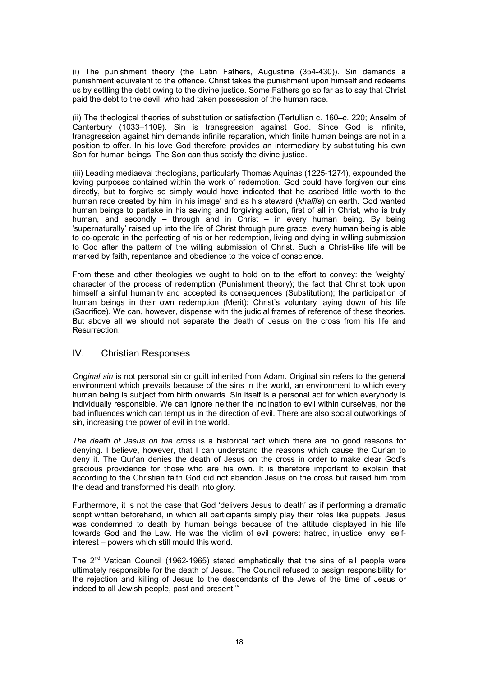(i) The punishment theory (the Latin Fathers, Augustine (354-430)). Sin demands a punishment equivalent to the offence. Christ takes the punishment upon himself and redeems us by settling the debt owing to the divine justice. Some Fathers go so far as to say that Christ paid the debt to the devil, who had taken possession of the human race.

(ii) The theological theories of substitution or satisfaction (Tertullian c. 160–c. 220; Anselm of Canterbury (1033–1109). Sin is transgression against God. Since God is infinite, transgression against him demands infinite reparation, which finite human beings are not in a position to offer. In his love God therefore provides an intermediary by substituting his own Son for human beings. The Son can thus satisfy the divine justice.

(iii) Leading mediaeval theologians, particularly Thomas Aquinas (1225-1274), expounded the loving purposes contained within the work of redemption. God could have forgiven our sins directly, but to forgive so simply would have indicated that he ascribed little worth to the human race created by him 'in his image' and as his steward (*khalīfa*) on earth. God wanted human beings to partake in his saving and forgiving action, first of all in Christ, who is truly human, and secondly – through and in Christ – in every human being. By being 'supernaturally' raised up into the life of Christ through pure grace, every human being is able to co-operate in the perfecting of his or her redemption, living and dying in willing submission to God after the pattern of the willing submission of Christ. Such a Christ-like life will be marked by faith, repentance and obedience to the voice of conscience.

From these and other theologies we ought to hold on to the effort to convey: the 'weighty' character of the process of redemption (Punishment theory); the fact that Christ took upon himself a sinful humanity and accepted its consequences (Substitution); the participation of human beings in their own redemption (Merit); Christ's voluntary laying down of his life (Sacrifice). We can, however, dispense with the judicial frames of reference of these theories. But above all we should not separate the death of Jesus on the cross from his life and Resurrection.

### IV. Christian Responses

*Original sin* is not personal sin or quilt inherited from Adam. Original sin refers to the general environment which prevails because of the sins in the world, an environment to which every human being is subject from birth onwards. Sin itself is a personal act for which everybody is individually responsible. We can ignore neither the inclination to evil within ourselves, nor the bad influences which can tempt us in the direction of evil. There are also social outworkings of sin, increasing the power of evil in the world.

*The death of Jesus on the cross* is a historical fact which there are no good reasons for denying. I believe, however, that I can understand the reasons which cause the Qur'an to deny it. The Qur'an denies the death of Jesus on the cross in order to make clear God's gracious providence for those who are his own. It is therefore important to explain that according to the Christian faith God did not abandon Jesus on the cross but raised him from the dead and transformed his death into glory.

Furthermore, it is not the case that God 'delivers Jesus to death' as if performing a dramatic script written beforehand, in which all participants simply play their roles like puppets. Jesus was condemned to death by human beings because of the attitude displayed in his life towards God and the Law. He was the victim of evil powers: hatred, injustice, envy, selfinterest – powers which still mould this world.

The  $2^{nd}$  Vatican Council (1962-1965) stated emphatically that the sins of all people were ultimately responsible for the death of Jesus. The Council refused to assign responsibility for the rejection and killing of Jesus to the descendants of the Jews of the time of Jesus or indeed to all Jewish people, past and present. $\frac{1}{x}$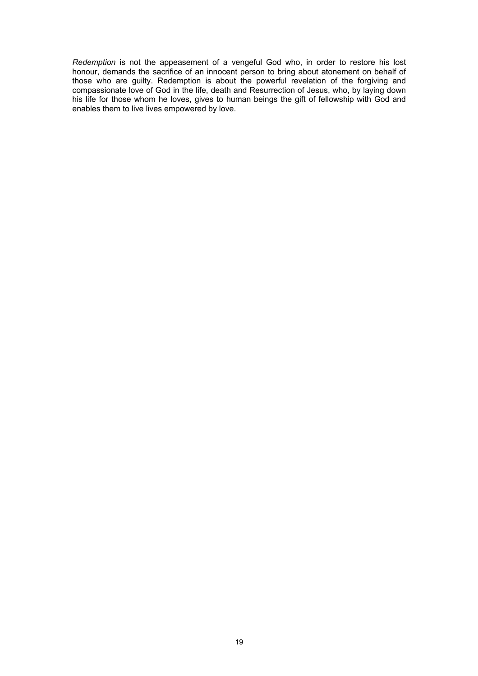*Redemption* is not the appeasement of a vengeful God who, in order to restore his lost honour, demands the sacrifice of an innocent person to bring about atonement on behalf of those who are guilty. Redemption is about the powerful revelation of the forgiving and compassionate love of God in the life, death and Resurrection of Jesus, who, by laying down his life for those whom he loves, gives to human beings the gift of fellowship with God and enables them to live lives empowered by love.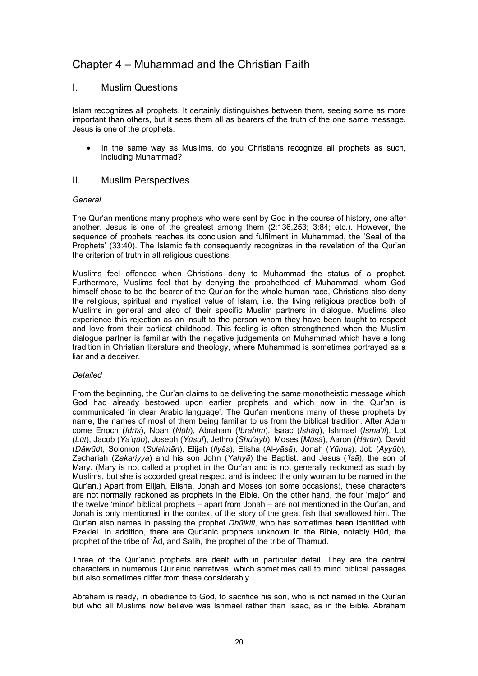## Chapter 4 – Muhammad and the Christian Faith

### I. Muslim Questions

Islam recognizes all prophets. It certainly distinguishes between them, seeing some as more important than others, but it sees them all as bearers of the truth of the one same message. Jesus is one of the prophets.

• In the same way as Muslims, do you Christians recognize all prophets as such, including Muhammad?

### II. Muslim Perspectives

#### *General*

The Qur'an mentions many prophets who were sent by God in the course of history, one after another. Jesus is one of the greatest among them (2:136,253; 3:84; etc.). However, the sequence of prophets reaches its conclusion and fulfilment in Muhammad, the 'Seal of the Prophets' (33:40). The Islamic faith consequently recognizes in the revelation of the Qur'an the criterion of truth in all religious questions.

Muslims feel offended when Christians deny to Muhammad the status of a prophet. Furthermore, Muslims feel that by denying the prophethood of Muhammad, whom God himself chose to be the bearer of the Qur'an for the whole human race, Christians also deny the religious, spiritual and mystical value of Islam, i.e. the living religious practice both of Muslims in general and also of their specific Muslim partners in dialogue. Muslims also experience this rejection as an insult to the person whom they have been taught to respect and love from their earliest childhood. This feeling is often strengthened when the Muslim dialogue partner is familiar with the negative judgements on Muhammad which have a long tradition in Christian literature and theology, where Muhammad is sometimes portrayed as a liar and a deceiver.

### *Detailed*

From the beginning, the Qur'an claims to be delivering the same monotheistic message which God had already bestowed upon earlier prophets and which now in the Qur'an is communicated 'in clear Arabic language'. The Qur'an mentions many of these prophets by name, the names of most of them being familiar to us from the biblical tradition. After Adam come Enoch (*Idrīs*), Noah (*Nūh*), Abraham (*Ibrahīm*), Isaac (*Ishāq*), Ishmael (*Isma'īl*), Lot (Lūt), Jacob (Ya'qūb), Joseph (Yūsuf), Jethro (Shu'ayb), Moses (Mūsā), Aaron (Hārūn), David (Dāwūd), Solomon (Sulaimān), Elijah (Ilyās), Elisha (Al-yāsā), Jonah (Yūnus), Job (Ayyūb), Zechariah (*Zakariyya*) and his son John (*Yahyā*) the Baptist, and Jesus (*'Īsā*), the son of Mary. (Mary is not called a prophet in the Qur'an and is not generally reckoned as such by Muslims, but she is accorded great respect and is indeed the only woman to be named in the Qur'an.) Apart from Elijah, Elisha, Jonah and Moses (on some occasions), these characters are not normally reckoned as prophets in the Bible. On the other hand, the four 'major' and the twelve 'minor' biblical prophets – apart from Jonah – are not mentioned in the Qur'an, and Jonah is only mentioned in the context of the story of the great fish that swallowed him. The Qur'an also names in passing the prophet *Dhūlkifl*, who has sometimes been identified with Ezekiel. In addition, there are Qur'anic prophets unknown in the Bible, notably Hūd, the prophet of the tribe of 'Ād, and Sālih, the prophet of the tribe of Thamūd.

Three of the Qur'anic prophets are dealt with in particular detail. They are the central characters in numerous Qur'anic narratives, which sometimes call to mind biblical passages but also sometimes differ from these considerably.

Abraham is ready, in obedience to God, to sacrifice his son, who is not named in the Qur'an but who all Muslims now believe was Ishmael rather than Isaac, as in the Bible. Abraham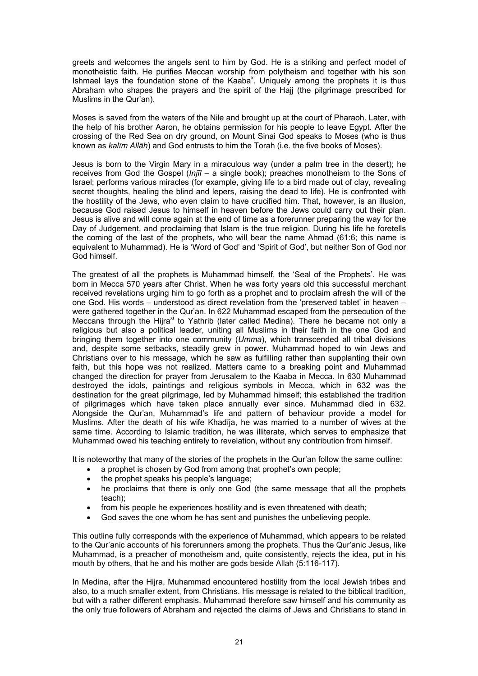greets and welcomes the angels sent to him by God. He is a striking and perfect model of monotheistic faith. He purifies Meccan worship from polytheism and together with his son Ishmael lays the foundation stone of the Kaaba<sup>x</sup>. Uniquely among the prophets it is thus Abraham who shapes the prayers and the spirit of the Hajj (the pilgrimage prescribed for Muslims in the Qur'an).

Moses is saved from the waters of the Nile and brought up at the court of Pharaoh. Later, with the help of his brother Aaron, he obtains permission for his people to leave Egypt. After the crossing of the Red Sea on dry ground, on Mount Sinai God speaks to Moses (who is thus known as *kalīm Allāh*) and God entrusts to him the Torah (i.e. the five books of Moses).

Jesus is born to the Virgin Mary in a miraculous way (under a palm tree in the desert); he receives from God the Gospel (*Injīl* – a single book); preaches monotheism to the Sons of Israel; performs various miracles (for example, giving life to a bird made out of clay, revealing secret thoughts, healing the blind and lepers, raising the dead to life). He is confronted with the hostility of the Jews, who even claim to have crucified him. That, however, is an illusion, because God raised Jesus to himself in heaven before the Jews could carry out their plan. Jesus is alive and will come again at the end of time as a forerunner preparing the way for the Day of Judgement, and proclaiming that Islam is the true religion. During his life he foretells the coming of the last of the prophets, who will bear the name Ahmad (61:6; this name is equivalent to Muhammad). He is 'Word of God' and 'Spirit of God', but neither Son of God nor God himself.

The greatest of all the prophets is Muhammad himself, the 'Seal of the Prophets'. He was born in Mecca 570 years after Christ. When he was forty years old this successful merchant received revelations urging him to go forth as a prophet and to proclaim afresh the will of the one God. His words – understood as direct revelation from the 'preserved tablet' in heaven – were gathered together in the Qur'an. In 622 Muhammad escaped from the persecution of the Meccans through the Hijra<sup>xi</sup> to Yathrib (later called Medina). There he became not only a religious but also a political leader, uniting all Muslims in their faith in the one God and bringing them together into one community (*Umma*), which transcended all tribal divisions and, despite some setbacks, steadily grew in power. Muhammad hoped to win Jews and Christians over to his message, which he saw as fulfilling rather than supplanting their own faith, but this hope was not realized. Matters came to a breaking point and Muhammad changed the direction for prayer from Jerusalem to the Kaaba in Mecca. In 630 Muhammad destroyed the idols, paintings and religious symbols in Mecca, which in 632 was the destination for the great pilgrimage, led by Muhammad himself; this established the tradition of pilgrimages which have taken place annually ever since. Muhammad died in 632. Alongside the Qur'an, Muhammad's life and pattern of behaviour provide a model for Muslims. After the death of his wife Khadīja, he was married to a number of wives at the same time. According to Islamic tradition, he was illiterate, which serves to emphasize that Muhammad owed his teaching entirely to revelation, without any contribution from himself.

It is noteworthy that many of the stories of the prophets in the Qur'an follow the same outline:

- a prophet is chosen by God from among that prophet's own people;
- the prophet speaks his people's language;
- he proclaims that there is only one God (the same message that all the prophets teach);
- from his people he experiences hostility and is even threatened with death;
- God saves the one whom he has sent and punishes the unbelieving people.

This outline fully corresponds with the experience of Muhammad, which appears to be related to the Qur'anic accounts of his forerunners among the prophets. Thus the Qur'anic Jesus, like Muhammad, is a preacher of monotheism and, quite consistently, rejects the idea, put in his mouth by others, that he and his mother are gods beside Allah (5:116-117).

In Medina, after the Hijra, Muhammad encountered hostility from the local Jewish tribes and also, to a much smaller extent, from Christians. His message is related to the biblical tradition, but with a rather different emphasis. Muhammad therefore saw himself and his community as the only true followers of Abraham and rejected the claims of Jews and Christians to stand in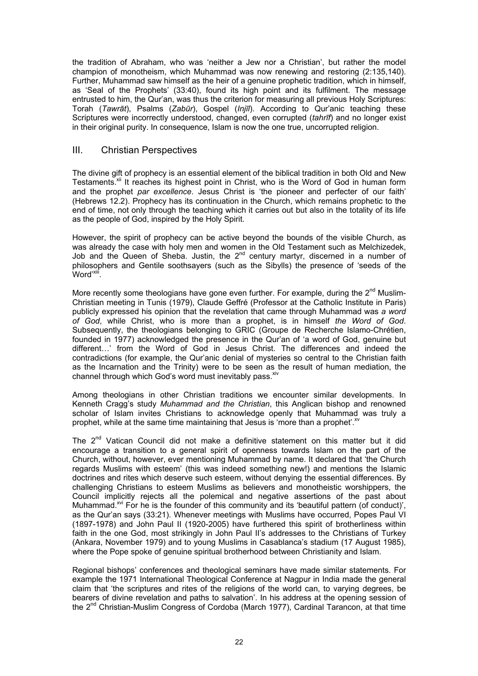the tradition of Abraham, who was 'neither a Jew nor a Christian', but rather the model champion of monotheism, which Muhammad was now renewing and restoring (2:135,140). Further, Muhammad saw himself as the heir of a genuine prophetic tradition, which in himself, as 'Seal of the Prophets' (33:40), found its high point and its fulfilment. The message entrusted to him, the Qur'an, was thus the criterion for measuring all previous Holy Scriptures: Torah (*Tawrāt*), Psalms (*Zabūr*), Gospel (*Injīl*). According to Qur'anic teaching these Scriptures were incorrectly understood, changed, even corrupted (*tahrīf*) and no longer exist in their original purity. In consequence, Islam is now the one true, uncorrupted religion.

### III. Christian Perspectives

The divine gift of prophecy is an essential element of the biblical tradition in both Old and New Testaments.<sup>xii</sup> It reaches its highest point in Christ, who is the Word of God in human form and the prophet *par excellence*. Jesus Christ is 'the pioneer and perfecter of our faith' (Hebrews 12.2). Prophecy has its continuation in the Church, which remains prophetic to the end of time, not only through the teaching which it carries out but also in the totality of its life as the people of God, inspired by the Holy Spirit.

However, the spirit of prophecy can be active beyond the bounds of the visible Church, as was already the case with holy men and women in the Old Testament such as Melchizedek, Job and the Queen of Sheba. Justin, the  $2^{nd}$  century martyr, discerned in a number of philosophers and Gentile soothsayers (such as the Sibylls) the presence of 'seeds of the Word'xiii.

More recently some theologians have gone even further. For example, during the  $2^{nd}$  Muslim-Christian meeting in Tunis (1979), Claude Geffré (Professor at the Catholic Institute in Paris) publicly expressed his opinion that the revelation that came through Muhammad was *a word of God*, while Christ, who is more than a prophet, is in himself *the Word of God*. Subsequently, the theologians belonging to GRIC (Groupe de Recherche Islamo-Chrétien, founded in 1977) acknowledged the presence in the Qur'an of 'a word of God, genuine but different…' from the Word of God in Jesus Christ. The differences and indeed the contradictions (for example, the Qur'anic denial of mysteries so central to the Christian faith as the Incarnation and the Trinity) were to be seen as the result of human mediation, the channel through which God's word must inevitably pass. Xiv

Among theologians in other Christian traditions we encounter similar developments. In Kenneth Cragg's study *Muhammad and the Christian*, this Anglican bishop and renowned scholar of Islam invites Christians to acknowledge openly that Muhammad was truly a prophet, while at the same time maintaining that Jesus is 'more than a prophet'.<sup>xv</sup>

The 2<sup>nd</sup> Vatican Council did not make a definitive statement on this matter but it did encourage a transition to a general spirit of openness towards Islam on the part of the Church, without, however, ever mentioning Muhammad by name. It declared that 'the Church regards Muslims with esteem' (this was indeed something new!) and mentions the Islamic doctrines and rites which deserve such esteem, without denying the essential differences. By challenging Christians to esteem Muslims as believers and monotheistic worshippers, the Council implicitly rejects all the polemical and negative assertions of the past about Muhammad.<sup> $xvi$ </sup> For he is the founder of this community and its 'beautiful pattern (of conduct)', as the Qur'an says (33:21). Whenever meetings with Muslims have occurred, Popes Paul VI (1897-1978) and John Paul II (1920-2005) have furthered this spirit of brotherliness within faith in the one God, most strikingly in John Paul II's addresses to the Christians of Turkey (Ankara, November 1979) and to young Muslims in Casablanca's stadium (17 August 1985), where the Pope spoke of genuine spiritual brotherhood between Christianity and Islam.

Regional bishops' conferences and theological seminars have made similar statements. For example the 1971 International Theological Conference at Nagpur in India made the general claim that 'the scriptures and rites of the religions of the world can, to varying degrees, be bearers of divine revelation and paths to salvation'. In his address at the opening session of the  $2^{nd}$  Christian-Muslim Congress of Cordoba (March 1977), Cardinal Tarancon, at that time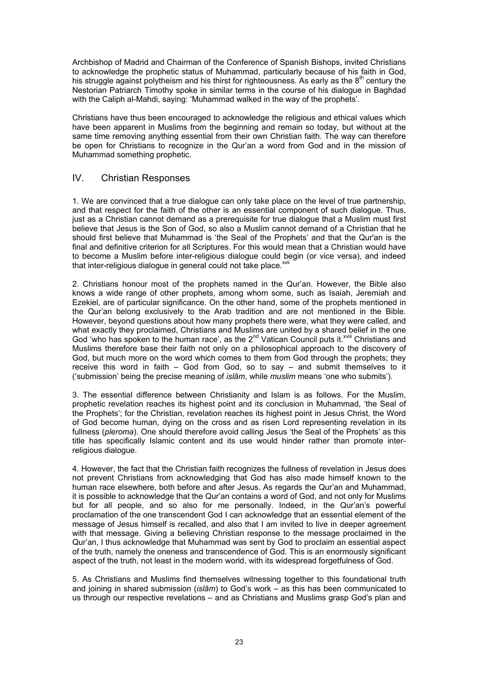Archbishop of Madrid and Chairman of the Conference of Spanish Bishops, invited Christians to acknowledge the prophetic status of Muhammad, particularly because of his faith in God, his struggle against polytheism and his thirst for righteousness. As early as the  $8<sup>th</sup>$  century the Nestorian Patriarch Timothy spoke in similar terms in the course of his dialogue in Baghdad with the Caliph al-Mahdi, saying: 'Muhammad walked in the way of the prophets'.

Christians have thus been encouraged to acknowledge the religious and ethical values which have been apparent in Muslims from the beginning and remain so today, but without at the same time removing anything essential from their own Christian faith. The way can therefore be open for Christians to recognize in the Qur'an a word from God and in the mission of Muhammad something prophetic.

### IV. Christian Responses

1. We are convinced that a true dialogue can only take place on the level of true partnership, and that respect for the faith of the other is an essential component of such dialogue. Thus, just as a Christian cannot demand as a prerequisite for true dialogue that a Muslim must first believe that Jesus is the Son of God, so also a Muslim cannot demand of a Christian that he should first believe that Muhammad is 'the Seal of the Prophets' and that the Qur'an is the final and definitive criterion for all Scriptures. For this would mean that a Christian would have to become a Muslim before inter-religious dialogue could begin (or vice versa), and indeed that inter-religious dialogue in general could not take place. XVII

2. Christians honour most of the prophets named in the Qur'an. However, the Bible also knows a wide range of other prophets, among whom some, such as Isaiah, Jeremiah and Ezekiel, are of particular significance. On the other hand, some of the prophets mentioned in the Qur'an belong exclusively to the Arab tradition and are not mentioned in the Bible. However, beyond questions about how many prophets there were, what they were called, and what exactly they proclaimed, Christians and Muslims are united by a shared belief in the one God 'who has spoken to the human race', as the  $2^{nd}$  Vatican Council puts it.<sup> $x^{will}$ </sup> Christians and Muslims therefore base their faith not only on a philosophical approach to the discovery of God, but much more on the word which comes to them from God through the prophets; they receive this word in faith – God from God, so to say – and submit themselves to it ('submission' being the precise meaning of *islām*, while *muslim* means 'one who submits').

3. The essential difference between Christianity and Islam is as follows. For the Muslim, prophetic revelation reaches its highest point and its conclusion in Muhammad, 'the Seal of the Prophets'; for the Christian, revelation reaches its highest point in Jesus Christ, the Word of God become human, dying on the cross and as risen Lord representing revelation in its fullness (*pleroma*). One should therefore avoid calling Jesus 'the Seal of the Prophets' as this title has specifically Islamic content and its use would hinder rather than promote interreligious dialogue.

4. However, the fact that the Christian faith recognizes the fullness of revelation in Jesus does not prevent Christians from acknowledging that God has also made himself known to the human race elsewhere, both before and after Jesus. As regards the Qur'an and Muhammad, it is possible to acknowledge that the Qur'an contains a word of God, and not only for Muslims but for all people, and so also for me personally. Indeed, in the Qur'an's powerful proclamation of the one transcendent God I can acknowledge that an essential element of the message of Jesus himself is recalled, and also that I am invited to live in deeper agreement with that message. Giving a believing Christian response to the message proclaimed in the Qur'an, I thus acknowledge that Muhammad was sent by God to proclaim an essential aspect of the truth, namely the oneness and transcendence of God. This is an enormously significant aspect of the truth, not least in the modern world, with its widespread forgetfulness of God.

5. As Christians and Muslims find themselves witnessing together to this foundational truth and joining in shared submission (*islām*) to God's work – as this has been communicated to us through our respective revelations – and as Christians and Muslims grasp God's plan and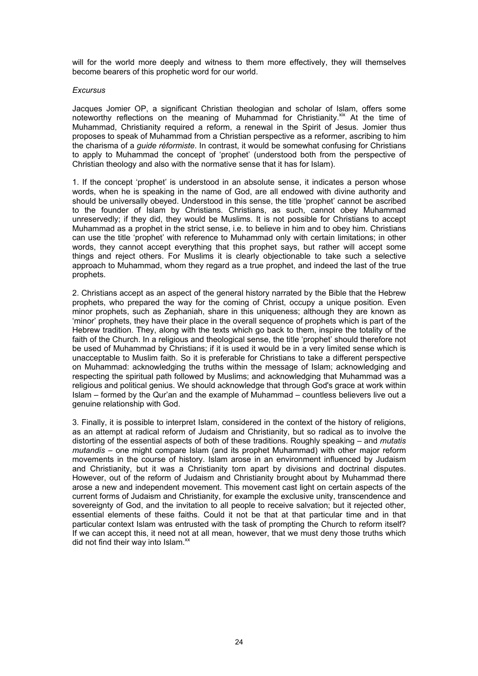will for the world more deeply and witness to them more effectively, they will themselves become bearers of this prophetic word for our world.

#### *Excursus*

Jacques Jomier OP, a significant Christian theologian and scholar of Islam, offers some noteworthy reflections on the meaning of Muhammad for Christianity. $\frac{1}{x}$  At the time of Muhammad, Christianity required a reform, a renewal in the Spirit of Jesus. Jomier thus proposes to speak of Muhammad from a Christian perspective as a reformer, ascribing to him the charisma of a *guide réformiste*. In contrast, it would be somewhat confusing for Christians to apply to Muhammad the concept of 'prophet' (understood both from the perspective of Christian theology and also with the normative sense that it has for Islam).

1. If the concept 'prophet' is understood in an absolute sense, it indicates a person whose words, when he is speaking in the name of God, are all endowed with divine authority and should be universally obeyed. Understood in this sense, the title 'prophet' cannot be ascribed to the founder of Islam by Christians. Christians, as such, cannot obey Muhammad unreservedly; if they did, they would be Muslims. It is not possible for Christians to accept Muhammad as a prophet in the strict sense, i.e. to believe in him and to obey him. Christians can use the title 'prophet' with reference to Muhammad only with certain limitations; in other words, they cannot accept everything that this prophet says, but rather will accept some things and reject others. For Muslims it is clearly objectionable to take such a selective approach to Muhammad, whom they regard as a true prophet, and indeed the last of the true prophets.

2. Christians accept as an aspect of the general history narrated by the Bible that the Hebrew prophets, who prepared the way for the coming of Christ, occupy a unique position. Even minor prophets, such as Zephaniah, share in this uniqueness; although they are known as 'minor' prophets, they have their place in the overall sequence of prophets which is part of the Hebrew tradition. They, along with the texts which go back to them, inspire the totality of the faith of the Church. In a religious and theological sense, the title 'prophet' should therefore not be used of Muhammad by Christians; if it is used it would be in a very limited sense which is unacceptable to Muslim faith. So it is preferable for Christians to take a different perspective on Muhammad: acknowledging the truths within the message of Islam; acknowledging and respecting the spiritual path followed by Muslims; and acknowledging that Muhammad was a religious and political genius. We should acknowledge that through God's grace at work within Islam – formed by the Qur'an and the example of Muhammad – countless believers live out a genuine relationship with God.

3. Finally, it is possible to interpret Islam, considered in the context of the history of religions, as an attempt at radical reform of Judaism and Christianity, but so radical as to involve the distorting of the essential aspects of both of these traditions. Roughly speaking – and *mutatis mutandis –* one might compare Islam (and its prophet Muhammad) with other major reform movements in the course of history. Islam arose in an environment influenced by Judaism and Christianity, but it was a Christianity torn apart by divisions and doctrinal disputes. However, out of the reform of Judaism and Christianity brought about by Muhammad there arose a new and independent movement. This movement cast light on certain aspects of the current forms of Judaism and Christianity, for example the exclusive unity, transcendence and sovereignty of God, and the invitation to all people to receive salvation; but it rejected other, essential elements of these faiths. Could it not be that at that particular time and in that particular context Islam was entrusted with the task of prompting the Church to reform itself? If we can accept this, it need not at all mean, however, that we must deny those truths which did not find their way into Islam. $^{xx}$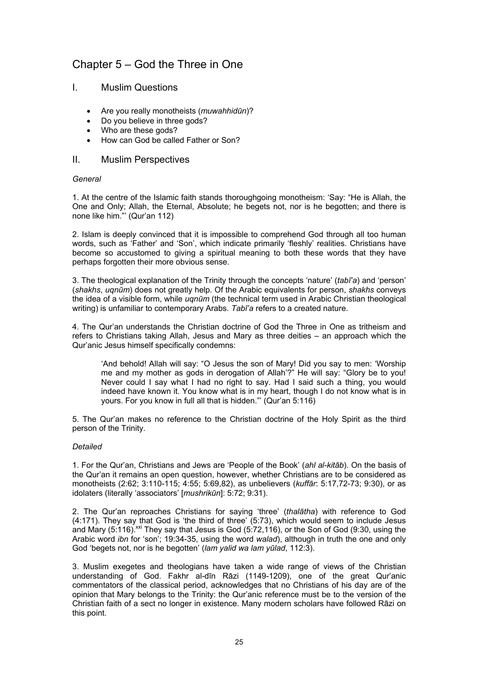## Chapter 5 – God the Three in One

- I. Muslim Questions
	- Are you really monotheists (*muwahhidūn*)?
	- Do you believe in three gods?
	- Who are these gods?
	- How can God be called Father or Son?

#### II. Muslim Perspectives

#### *General*

1. At the centre of the Islamic faith stands thoroughgoing monotheism: 'Say: "He is Allah, the One and Only; Allah, the Eternal, Absolute; he begets not, nor is he begotten; and there is none like him."' (Qur'an 112)

2. Islam is deeply convinced that it is impossible to comprehend God through all too human words, such as 'Father' and 'Son', which indicate primarily 'fleshly' realities. Christians have become so accustomed to giving a spiritual meaning to both these words that they have perhaps forgotten their more obvious sense.

3. The theological explanation of the Trinity through the concepts 'nature' (*tabī'a*) and 'person' (*shakhs*, *uqnūm*) does not greatly help. Of the Arabic equivalents for person, *shakhs* conveys the idea of a visible form, while *uqnūm* (the technical term used in Arabic Christian theological writing) is unfamiliar to contemporary Arabs. *Tabī'a* refers to a created nature.

4. The Qur'an understands the Christian doctrine of God the Three in One as tritheism and refers to Christians taking Allah, Jesus and Mary as three deities – an approach which the Qur'anic Jesus himself specifically condemns:

'And behold! Allah will say: "O Jesus the son of Mary! Did you say to men: 'Worship me and my mother as gods in derogation of Allah'?" He will say: "Glory be to you! Never could I say what I had no right to say. Had I said such a thing, you would indeed have known it. You know what is in my heart, though I do not know what is in yours. For you know in full all that is hidden."' (Qur'an 5:116)

5. The Qur'an makes no reference to the Christian doctrine of the Holy Spirit as the third person of the Trinity.

#### *Detailed*

1. For the Qur'an, Christians and Jews are 'People of the Book' (*ahl al-kitāb*). On the basis of the Qur'an it remains an open question, however, whether Christians are to be considered as monotheists (2:62; 3:110-115; 4:55; 5:69,82), as unbelievers (*kuffār*: 5:17,72-73; 9:30), or as idolaters (literally 'associators' [*mushrikūn*]: 5:72; 9:31).

2. The Qur'an reproaches Christians for saying 'three' (*thalātha*) with reference to God (4:171). They say that God is 'the third of three' (5:73), which would seem to include Jesus and Mary  $(5:116)$ .<sup>xxi</sup> They say that Jesus is God  $(5:72,116)$ , or the Son of God  $(9:30, \text{ using the})$ Arabic word *ibn* for 'son'; 19:34-35, using the word *walad*), although in truth the one and only God 'begets not, nor is he begotten' (*lam yalid wa lam yūlad*, 112:3).

3. Muslim exegetes and theologians have taken a wide range of views of the Christian understanding of God. Fakhr al-dīn Rāzi (1149-1209), one of the great Qur'anic commentators of the classical period, acknowledges that no Christians of his day are of the opinion that Mary belongs to the Trinity: the Qur'anic reference must be to the version of the Christian faith of a sect no longer in existence. Many modern scholars have followed Rāzi on this point.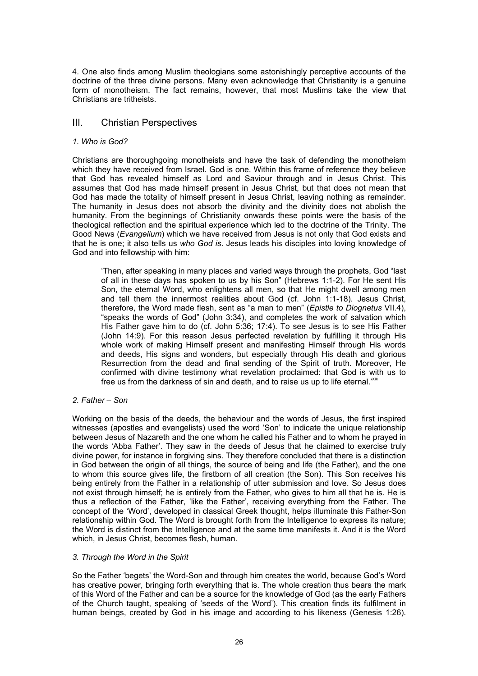4. One also finds among Muslim theologians some astonishingly perceptive accounts of the doctrine of the three divine persons. Many even acknowledge that Christianity is a genuine form of monotheism. The fact remains, however, that most Muslims take the view that Christians are tritheists.

### III. Christian Perspectives

#### *1. Who is God?*

Christians are thoroughgoing monotheists and have the task of defending the monotheism which they have received from Israel. God is one. Within this frame of reference they believe that God has revealed himself as Lord and Saviour through and in Jesus Christ. This assumes that God has made himself present in Jesus Christ, but that does not mean that God has made the totality of himself present in Jesus Christ, leaving nothing as remainder. The humanity in Jesus does not absorb the divinity and the divinity does not abolish the humanity. From the beginnings of Christianity onwards these points were the basis of the theological reflection and the spiritual experience which led to the doctrine of the Trinity. The Good News (*Evangelium*) which we have received from Jesus is not only that God exists and that he is one; it also tells us *who God is*. Jesus leads his disciples into loving knowledge of God and into fellowship with him:

'Then, after speaking in many places and varied ways through the prophets, God "last of all in these days has spoken to us by his Son" (Hebrews 1:1-2). For He sent His Son, the eternal Word, who enlightens all men, so that He might dwell among men and tell them the innermost realities about God (cf. John 1:1-18). Jesus Christ, therefore, the Word made flesh, sent as "a man to men" (*Epistle to Diognetus* VII.4), "speaks the words of God" (John 3:34), and completes the work of salvation which His Father gave him to do (cf. John 5:36; 17:4). To see Jesus is to see His Father (John 14:9). For this reason Jesus perfected revelation by fulfilling it through His whole work of making Himself present and manifesting Himself through His words and deeds, His signs and wonders, but especially through His death and glorious Resurrection from the dead and final sending of the Spirit of truth. Moreover, He confirmed with divine testimony what revelation proclaimed: that God is with us to free us from the darkness of sin and death, and to raise us up to life eternal.<sup>"XXII</sup>

#### *2. Father – Son*

Working on the basis of the deeds, the behaviour and the words of Jesus, the first inspired witnesses (apostles and evangelists) used the word 'Son' to indicate the unique relationship between Jesus of Nazareth and the one whom he called his Father and to whom he prayed in the words 'Abba Father'. They saw in the deeds of Jesus that he claimed to exercise truly divine power, for instance in forgiving sins. They therefore concluded that there is a distinction in God between the origin of all things, the source of being and life (the Father), and the one to whom this source gives life, the firstborn of all creation (the Son). This Son receives his being entirely from the Father in a relationship of utter submission and love. So Jesus does not exist through himself; he is entirely from the Father, who gives to him all that he is. He is thus a reflection of the Father, 'like the Father', receiving everything from the Father. The concept of the 'Word', developed in classical Greek thought, helps illuminate this Father-Son relationship within God. The Word is brought forth from the Intelligence to express its nature; the Word is distinct from the Intelligence and at the same time manifests it. And it is the Word which, in Jesus Christ, becomes flesh, human.

#### *3. Through the Word in the Spirit*

So the Father 'begets' the Word-Son and through him creates the world, because God's Word has creative power, bringing forth everything that is. The whole creation thus bears the mark of this Word of the Father and can be a source for the knowledge of God (as the early Fathers of the Church taught, speaking of 'seeds of the Word'). This creation finds its fulfilment in human beings, created by God in his image and according to his likeness (Genesis 1:26).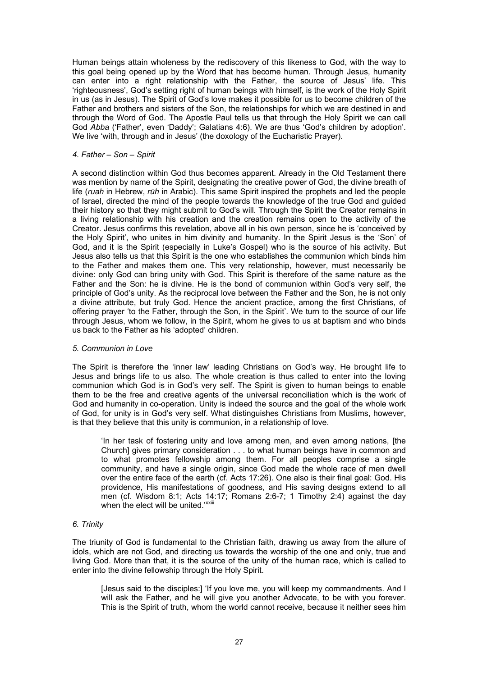Human beings attain wholeness by the rediscovery of this likeness to God, with the way to this goal being opened up by the Word that has become human. Through Jesus, humanity can enter into a right relationship with the Father, the source of Jesus' life. This 'righteousness', God's setting right of human beings with himself, is the work of the Holy Spirit in us (as in Jesus). The Spirit of God's love makes it possible for us to become children of the Father and brothers and sisters of the Son, the relationships for which we are destined in and through the Word of God. The Apostle Paul tells us that through the Holy Spirit we can call God *Abba* ('Father', even 'Daddy'; Galatians 4:6). We are thus 'God's children by adoption'. We live 'with, through and in Jesus' (the doxology of the Eucharistic Prayer).

#### *4. Father – Son – Spirit*

A second distinction within God thus becomes apparent. Already in the Old Testament there was mention by name of the Spirit, designating the creative power of God, the divine breath of life (*ruah* in Hebrew, *rūh* in Arabic). This same Spirit inspired the prophets and led the people of Israel, directed the mind of the people towards the knowledge of the true God and guided their history so that they might submit to God's will. Through the Spirit the Creator remains in a living relationship with his creation and the creation remains open to the activity of the Creator. Jesus confirms this revelation, above all in his own person, since he is 'conceived by the Holy Spirit', who unites in him divinity and humanity. In the Spirit Jesus is the 'Son' of God, and it is the Spirit (especially in Luke's Gospel) who is the source of his activity. But Jesus also tells us that this Spirit is the one who establishes the communion which binds him to the Father and makes them one. This very relationship, however, must necessarily be divine: only God can bring unity with God. This Spirit is therefore of the same nature as the Father and the Son: he is divine. He is the bond of communion within God's very self, the principle of God's unity. As the reciprocal love between the Father and the Son, he is not only a divine attribute, but truly God. Hence the ancient practice, among the first Christians, of offering prayer 'to the Father, through the Son, in the Spirit'. We turn to the source of our life through Jesus, whom we follow, in the Spirit, whom he gives to us at baptism and who binds us back to the Father as his 'adopted' children.

#### *5. Communion in Love*

The Spirit is therefore the 'inner law' leading Christians on God's way. He brought life to Jesus and brings life to us also. The whole creation is thus called to enter into the loving communion which God is in God's very self. The Spirit is given to human beings to enable them to be the free and creative agents of the universal reconciliation which is the work of God and humanity in co-operation. Unity is indeed the source and the goal of the whole work of God, for unity is in God's very self. What distinguishes Christians from Muslims, however, is that they believe that this unity is communion, in a relationship of love.

'In her task of fostering unity and love among men, and even among nations, [the Church] gives primary consideration . . . to what human beings have in common and to what promotes fellowship among them. For all peoples comprise a single community, and have a single origin, since God made the whole race of men dwell over the entire face of the earth (cf. Acts 17:26). One also is their final goal: God. His providence, His manifestations of goodness, and His saving designs extend to all men (cf. Wisdom 8:1; Acts 14:17; Romans 2:6-7; 1 Timothy 2:4) against the day when the elect will be united.<sup>, xxiii</sup>

### *6. Trinity*

The triunity of God is fundamental to the Christian faith, drawing us away from the allure of idols, which are not God, and directing us towards the worship of the one and only, true and living God. More than that, it is the source of the unity of the human race, which is called to enter into the divine fellowship through the Holy Spirit.

[Jesus said to the disciples:] 'If you love me, you will keep my commandments. And I will ask the Father, and he will give you another Advocate, to be with you forever. This is the Spirit of truth, whom the world cannot receive, because it neither sees him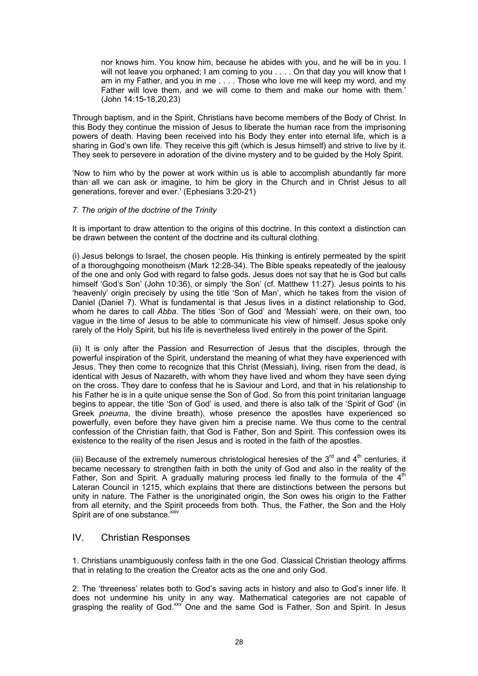nor knows him. You know him, because he abides with you, and he will be in you. I will not leave you orphaned; I am coming to you . . . . On that day you will know that I am in my Father, and you in me . . . . Those who love me will keep my word, and my Father will love them, and we will come to them and make our home with them.' (John 14:15-18,20,23)

Through baptism, and in the Spirit, Christians have become members of the Body of Christ. In this Body they continue the mission of Jesus to liberate the human race from the imprisoning powers of death. Having been received into his Body they enter into eternal life, which is a sharing in God's own life. They receive this gift (which is Jesus himself) and strive to live by it. They seek to persevere in adoration of the divine mystery and to be guided by the Holy Spirit.

'Now to him who by the power at work within us is able to accomplish abundantly far more than all we can ask or imagine, to him be glory in the Church and in Christ Jesus to all generations, forever and ever.' (Ephesians 3:20-21)

### *7. The origin of the doctrine of the Trinity*

It is important to draw attention to the origins of this doctrine. In this context a distinction can be drawn between the content of the doctrine and its cultural clothing.

(i) Jesus belongs to Israel, the chosen people. His thinking is entirely permeated by the spirit of a thoroughgoing monotheism (Mark 12:28-34). The Bible speaks repeatedly of the jealousy of the one and only God with regard to false gods. Jesus does not say that he is God but calls himself 'God's Son' (John 10:36), or simply 'the Son' (cf. Matthew 11:27). Jesus points to his 'heavenly' origin precisely by using the title 'Son of Man', which he takes from the vision of Daniel (Daniel 7). What is fundamental is that Jesus lives in a distinct relationship to God, whom he dares to call *Abba*. The titles 'Son of God' and 'Messiah' were, on their own, too vague in the time of Jesus to be able to communicate his view of himself. Jesus spoke only rarely of the Holy Spirit, but his life is nevertheless lived entirely in the power of the Spirit.

(ii) It is only after the Passion and Resurrection of Jesus that the disciples, through the powerful inspiration of the Spirit, understand the meaning of what they have experienced with Jesus. They then come to recognize that this Christ (Messiah), living, risen from the dead, is identical with Jesus of Nazareth, with whom they have lived and whom they have seen dying on the cross. They dare to confess that he is Saviour and Lord, and that in his relationship to his Father he is in a quite unique sense the Son of God. So from this point trinitarian language begins to appear, the title 'Son of God' is used, and there is also talk of the 'Spirit of God' (in Greek *pneuma*, the divine breath), whose presence the apostles have experienced so powerfully, even before they have given him a precise name. We thus come to the central confession of the Christian faith, that God is Father, Son and Spirit. This confession owes its existence to the reality of the risen Jesus and is rooted in the faith of the apostles.

(iii) Because of the extremely numerous christological heresies of the  $3<sup>rd</sup>$  and  $4<sup>th</sup>$  centuries, it became necessary to strengthen faith in both the unity of God and also in the reality of the Father, Son and Spirit. A gradually maturing process led finally to the formula of the 4<sup>th</sup> Lateran Council in 1215, which explains that there are distinctions between the persons but unity in nature. The Father is the unoriginated origin, the Son owes his origin to the Father from all eternity, and the Spirit proceeds from both. Thus, the Father, the Son and the Holy Spirit are of one substance.<sup>xxiv</sup>

### IV. Christian Responses

1. Christians unambiguously confess faith in the one God. Classical Christian theology affirms that in relating to the creation the Creator acts as the one and only God.

2. The 'threeness' relates both to God's saving acts in history and also to God's inner life. It does not undermine his unity in any way. Mathematical categories are not capable of grasping the reality of God.<sup>xxv</sup> One and the same God is Father, Son and Spirit. In Jesus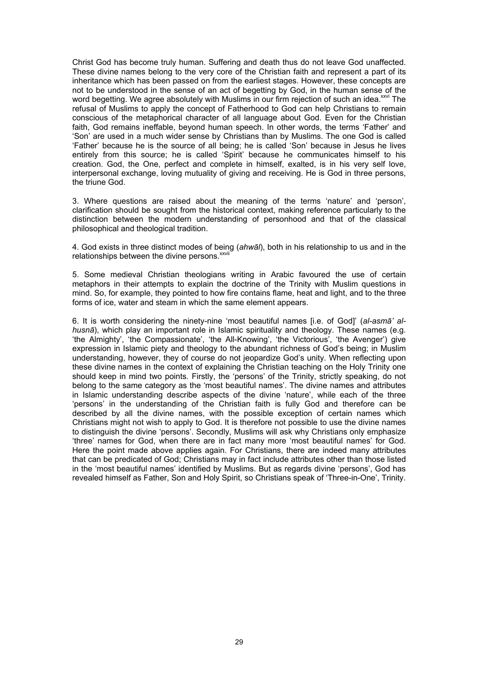Christ God has become truly human. Suffering and death thus do not leave God unaffected. These divine names belong to the very core of the Christian faith and represent a part of its inheritance which has been passed on from the earliest stages. However, these concepts are not to be understood in the sense of an act of begetting by God, in the human sense of the word begetting. We agree absolutely with Muslims in our firm rejection of such an idea.<sup>xxvi</sup> The refusal of Muslims to apply the concept of Fatherhood to God can help Christians to remain conscious of the metaphorical character of all language about God. Even for the Christian faith, God remains ineffable, beyond human speech. In other words, the terms 'Father' and 'Son' are used in a much wider sense by Christians than by Muslims. The one God is called 'Father' because he is the source of all being; he is called 'Son' because in Jesus he lives entirely from this source; he is called 'Spirit' because he communicates himself to his creation. God, the One, perfect and complete in himself, exalted, is in his very self love, interpersonal exchange, loving mutuality of giving and receiving. He is God in three persons, the triune God.

3. Where questions are raised about the meaning of the terms 'nature' and 'person', clarification should be sought from the historical context, making reference particularly to the distinction between the modern understanding of personhood and that of the classical philosophical and theological tradition.

4. God exists in three distinct modes of being (*ahwāl*), both in his relationship to us and in the relationships between the divine persons.<sup>xxvii</sup>

5. Some medieval Christian theologians writing in Arabic favoured the use of certain metaphors in their attempts to explain the doctrine of the Trinity with Muslim questions in mind. So, for example, they pointed to how fire contains flame, heat and light, and to the three forms of ice, water and steam in which the same element appears.

6. It is worth considering the ninety-nine 'most beautiful names [i.e. of God]' (*al-asmā' alhusnā*), which play an important role in Islamic spirituality and theology. These names (e.g. 'the Almighty', 'the Compassionate', 'the All-Knowing', 'the Victorious', 'the Avenger') give expression in Islamic piety and theology to the abundant richness of God's being; in Muslim understanding, however, they of course do not jeopardize God's unity. When reflecting upon these divine names in the context of explaining the Christian teaching on the Holy Trinity one should keep in mind two points. Firstly, the 'persons' of the Trinity, strictly speaking, do not belong to the same category as the 'most beautiful names'. The divine names and attributes in Islamic understanding describe aspects of the divine 'nature', while each of the three 'persons' in the understanding of the Christian faith is fully God and therefore can be described by all the divine names, with the possible exception of certain names which Christians might not wish to apply to God. It is therefore not possible to use the divine names to distinguish the divine 'persons'. Secondly, Muslims will ask why Christians only emphasize 'three' names for God, when there are in fact many more 'most beautiful names' for God. Here the point made above applies again. For Christians, there are indeed many attributes that can be predicated of God; Christians may in fact include attributes other than those listed in the 'most beautiful names' identified by Muslims. But as regards divine 'persons', God has revealed himself as Father, Son and Holy Spirit, so Christians speak of 'Three-in-One', Trinity.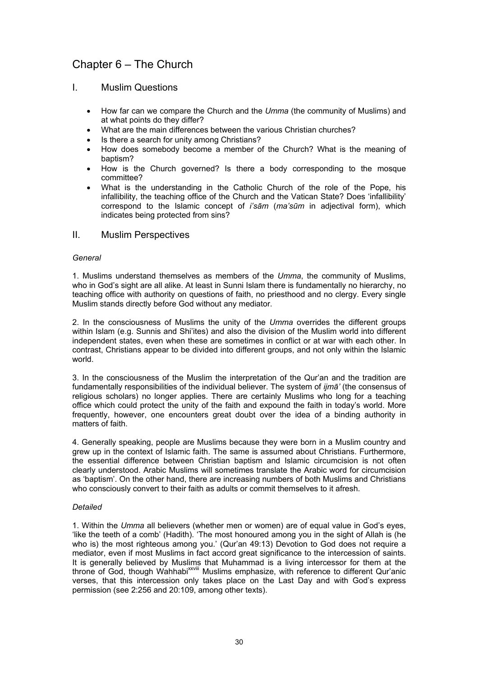## Chapter 6 – The Church

### I. Muslim Questions

- How far can we compare the Church and the *Umma* (the community of Muslims) and at what points do they differ?
- What are the main differences between the various Christian churches?
- Is there a search for unity among Christians?
- How does somebody become a member of the Church? What is the meaning of baptism?
- How is the Church governed? Is there a body corresponding to the mosque committee?
- What is the understanding in the Catholic Church of the role of the Pope, his infallibility, the teaching office of the Church and the Vatican State? Does 'infallibility' correspond to the Islamic concept of *i'sām* (*ma'sūm* in adjectival form), which indicates being protected from sins?

### II. Muslim Perspectives

#### *General*

1. Muslims understand themselves as members of the *Umma*, the community of Muslims, who in God's sight are all alike. At least in Sunni Islam there is fundamentally no hierarchy, no teaching office with authority on questions of faith, no priesthood and no clergy. Every single Muslim stands directly before God without any mediator.

2. In the consciousness of Muslims the unity of the *Umma* overrides the different groups within Islam (e.g. Sunnis and Shi'ites) and also the division of the Muslim world into different independent states, even when these are sometimes in conflict or at war with each other. In contrast, Christians appear to be divided into different groups, and not only within the Islamic world.

3. In the consciousness of the Muslim the interpretation of the Qur'an and the tradition are fundamentally responsibilities of the individual believer. The system of *ijmā'* (the consensus of religious scholars) no longer applies. There are certainly Muslims who long for a teaching office which could protect the unity of the faith and expound the faith in today's world. More frequently, however, one encounters great doubt over the idea of a binding authority in matters of faith.

4. Generally speaking, people are Muslims because they were born in a Muslim country and grew up in the context of Islamic faith. The same is assumed about Christians. Furthermore, the essential difference between Christian baptism and Islamic circumcision is not often clearly understood. Arabic Muslims will sometimes translate the Arabic word for circumcision as 'baptism'. On the other hand, there are increasing numbers of both Muslims and Christians who consciously convert to their faith as adults or commit themselves to it afresh.

### *Detailed*

1. Within the *Umma* all believers (whether men or women) are of equal value in God's eyes, 'like the teeth of a comb' (Hadith). 'The most honoured among you in the sight of Allah is (he who is) the most righteous among you.' (Qur'an 49:13) Devotion to God does not require a mediator, even if most Muslims in fact accord great significance to the intercession of saints. It is generally believed by Muslims that Muhammad is a living intercessor for them at the throne of God, though Wahhabi<sup>xxviii</sup> Muslims emphasize, with reference to different Qur'anic verses, that this intercession only takes place on the Last Day and with God's express permission (see 2:256 and 20:109, among other texts).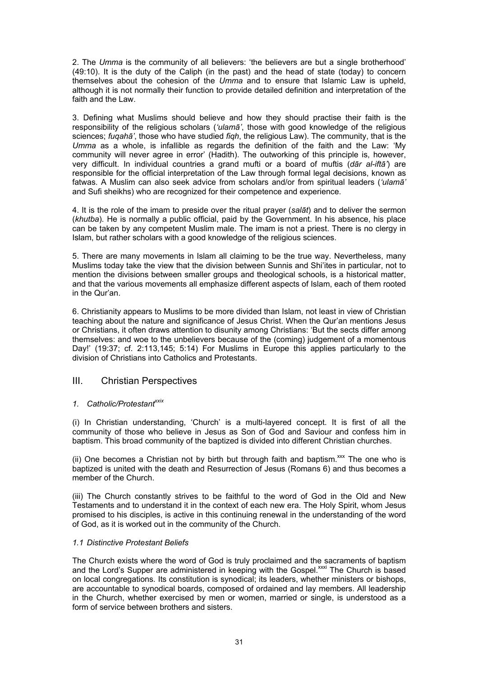2. The *Umma* is the community of all believers: 'the believers are but a single brotherhood' (49:10). It is the duty of the Caliph (in the past) and the head of state (today) to concern themselves about the cohesion of the *Umma* and to ensure that Islamic Law is upheld, although it is not normally their function to provide detailed definition and interpretation of the faith and the Law.

3. Defining what Muslims should believe and how they should practise their faith is the responsibility of the religious scholars (*'ulamā'*, those with good knowledge of the religious sciences; *fuqahā'*, those who have studied *fiqh*, the religious Law). The community, that is the *Umma* as a whole, is infallible as regards the definition of the faith and the Law: 'My community will never agree in error' (Hadith). The outworking of this principle is, however, very difficult. In individual countries a grand mufti or a board of muftis (*dār al-iftā'*) are responsible for the official interpretation of the Law through formal legal decisions, known as fatwas. A Muslim can also seek advice from scholars and/or from spiritual leaders (*'ulamā'* and Sufi sheikhs) who are recognized for their competence and experience.

4. It is the role of the imam to preside over the ritual prayer (*salāt*) and to deliver the sermon (*khutba*). He is normally a public official, paid by the Government. In his absence, his place can be taken by any competent Muslim male. The imam is not a priest. There is no clergy in Islam, but rather scholars with a good knowledge of the religious sciences.

5. There are many movements in Islam all claiming to be the true way. Nevertheless, many Muslims today take the view that the division between Sunnis and Shi'ites in particular, not to mention the divisions between smaller groups and theological schools, is a historical matter, and that the various movements all emphasize different aspects of Islam, each of them rooted in the Qur'an.

6. Christianity appears to Muslims to be more divided than Islam, not least in view of Christian teaching about the nature and significance of Jesus Christ. When the Qur'an mentions Jesus or Christians, it often draws attention to disunity among Christians: 'But the sects differ among themselves: and woe to the unbelievers because of the (coming) judgement of a momentous Day!' (19:37; cf. 2:113,145; 5:14) For Muslims in Europe this applies particularly to the division of Christians into Catholics and Protestants.

### III. Christian Perspectives

### 1. Catholic/Protestant<sup>xxix</sup>

(i) In Christian understanding, 'Church' is a multi-layered concept. It is first of all the community of those who believe in Jesus as Son of God and Saviour and confess him in baptism. This broad community of the baptized is divided into different Christian churches.

(ii) One becomes a Christian not by birth but through faith and baptism.<sup>xxx</sup> The one who is baptized is united with the death and Resurrection of Jesus (Romans 6) and thus becomes a member of the Church.

(iii) The Church constantly strives to be faithful to the word of God in the Old and New Testaments and to understand it in the context of each new era. The Holy Spirit, whom Jesus promised to his disciples, is active in this continuing renewal in the understanding of the word of God, as it is worked out in the community of the Church.

### *1.1 Distinctive Protestant Beliefs*

The Church exists where the word of God is truly proclaimed and the sacraments of baptism and the Lord's Supper are administered in keeping with the Gospel.<sup>xxxi</sup> The Church is based on local congregations. Its constitution is synodical; its leaders, whether ministers or bishops, are accountable to synodical boards, composed of ordained and lay members. All leadership in the Church, whether exercised by men or women, married or single, is understood as a form of service between brothers and sisters.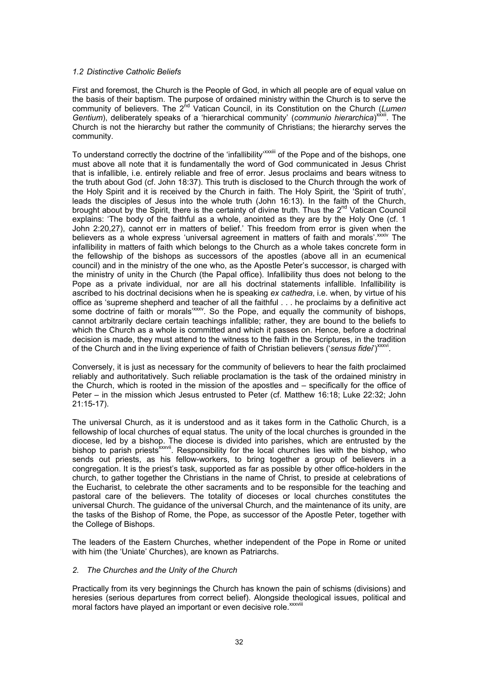#### *1.2 Distinctive Catholic Beliefs*

First and foremost, the Church is the People of God, in which all people are of equal value on the basis of their baptism. The purpose of ordained ministry within the Church is to serve the community of believers. The 2<sup>nd</sup> Vatican Council, in its Constitution on the Church (Lumen Gentium), deliberately speaks of a 'hierarchical community' (communio hierarchica)<sup>xxxii</sup>. The Church is not the hierarchy but rather the community of Christians; the hierarchy serves the community.

To understand correctly the doctrine of the 'infallibility'<sup>xxxiii</sup> of the Pope and of the bishops, one must above all note that it is fundamentally the word of God communicated in Jesus Christ that is infallible, i.e. entirely reliable and free of error. Jesus proclaims and bears witness to the truth about God (cf. John 18:37). This truth is disclosed to the Church through the work of the Holy Spirit and it is received by the Church in faith. The Holy Spirit, the 'Spirit of truth', leads the disciples of Jesus into the whole truth (John 16:13). In the faith of the Church, brought about by the Spirit, there is the certainty of divine truth. Thus the 2<sup>nd</sup> Vatican Council explains: 'The body of the faithful as a whole, anointed as they are by the Holy One (cf. 1 John 2:20,27), cannot err in matters of belief.' This freedom from error is given when the believers as a whole express 'universal agreement in matters of faith and morals'. xxxiv The infallibility in matters of faith which belongs to the Church as a whole takes concrete form in the fellowship of the bishops as successors of the apostles (above all in an ecumenical council) and in the ministry of the one who, as the Apostle Peter's successor, is charged with the ministry of unity in the Church (the Papal office). Infallibility thus does not belong to the Pope as a private individual, nor are all his doctrinal statements infallible. Infallibility is ascribed to his doctrinal decisions when he is speaking *ex cathedra*, i.e. when, by virtue of his office as 'supreme shepherd and teacher of all the faithful . . . he proclaims by a definitive act some doctrine of faith or morals<sup>, xxxv</sup>. So the Pope, and equally the community of bishops, cannot arbitrarily declare certain teachings infallible; rather, they are bound to the beliefs to which the Church as a whole is committed and which it passes on. Hence, before a doctrinal decision is made, they must attend to the witness to the faith in the Scriptures, in the tradition of the Church and in the living experience of faith of Christian believers ('sensus fidei')<sup>xxxvi</sup>.

Conversely, it is just as necessary for the community of believers to hear the faith proclaimed reliably and authoritatively. Such reliable proclamation is the task of the ordained ministry in the Church, which is rooted in the mission of the apostles and – specifically for the office of Peter – in the mission which Jesus entrusted to Peter (cf. Matthew 16:18; Luke 22:32; John 21:15-17).

The universal Church, as it is understood and as it takes form in the Catholic Church, is a fellowship of local churches of equal status. The unity of the local churches is grounded in the diocese, led by a bishop. The diocese is divided into parishes, which are entrusted by the bishop to parish priests<sup>xxxvii</sup>. Responsibility for the local churches lies with the bishop, who sends out priests, as his fellow-workers, to bring together a group of believers in a congregation. It is the priest's task, supported as far as possible by other office-holders in the church, to gather together the Christians in the name of Christ, to preside at celebrations of the Eucharist, to celebrate the other sacraments and to be responsible for the teaching and pastoral care of the believers. The totality of dioceses or local churches constitutes the universal Church. The guidance of the universal Church, and the maintenance of its unity, are the tasks of the Bishop of Rome, the Pope, as successor of the Apostle Peter, together with the College of Bishops.

The leaders of the Eastern Churches, whether independent of the Pope in Rome or united with him (the 'Uniate' Churches), are known as Patriarchs.

#### *2. The Churches and the Unity of the Church*

Practically from its very beginnings the Church has known the pain of schisms (divisions) and heresies (serious departures from correct belief). Alongside theological issues, political and moral factors have played an important or even decisive role. xxxviii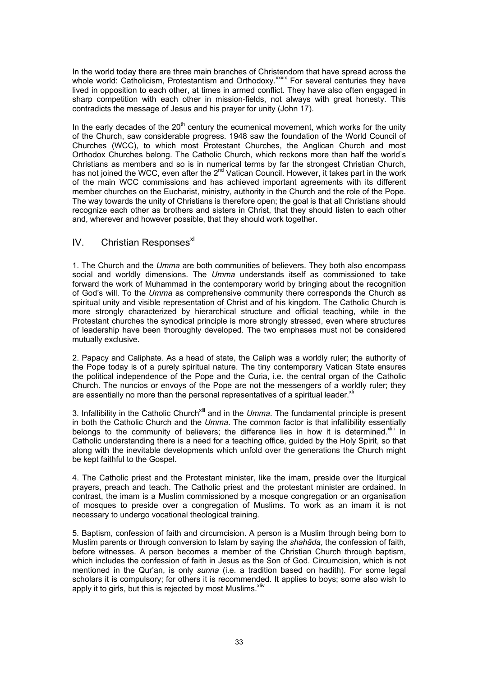In the world today there are three main branches of Christendom that have spread across the whole world: Catholicism, Protestantism and Orthodoxy.<sup>xxxix</sup> For several centuries they have lived in opposition to each other, at times in armed conflict. They have also often engaged in sharp competition with each other in mission-fields, not always with great honesty. This contradicts the message of Jesus and his prayer for unity (John 17).

In the early decades of the  $20<sup>th</sup>$  century the ecumenical movement, which works for the unity of the Church, saw considerable progress. 1948 saw the foundation of the World Council of Churches (WCC), to which most Protestant Churches, the Anglican Church and most Orthodox Churches belong. The Catholic Church, which reckons more than half the world's Christians as members and so is in numerical terms by far the strongest Christian Church, has not joined the WCC, even after the  $2^{nd}$  Vatican Council. However, it takes part in the work of the main WCC commissions and has achieved important agreements with its different member churches on the Eucharist, ministry, authority in the Church and the role of the Pope. The way towards the unity of Christians is therefore open; the goal is that all Christians should recognize each other as brothers and sisters in Christ, that they should listen to each other and, wherever and however possible, that they should work together.

### $IV.$  Christian Responses $x^{1}$

1. The Church and the *Umma* are both communities of believers. They both also encompass social and worldly dimensions. The *Umma* understands itself as commissioned to take forward the work of Muhammad in the contemporary world by bringing about the recognition of God's will. To the *Umma* as comprehensive community there corresponds the Church as spiritual unity and visible representation of Christ and of his kingdom. The Catholic Church is more strongly characterized by hierarchical structure and official teaching, while in the Protestant churches the synodical principle is more strongly stressed, even where structures of leadership have been thoroughly developed. The two emphases must not be considered mutually exclusive.

2. Papacy and Caliphate. As a head of state, the Caliph was a worldly ruler; the authority of the Pope today is of a purely spiritual nature. The tiny contemporary Vatican State ensures the political independence of the Pope and the Curia, i.e. the central organ of the Catholic Church. The nuncios or envoys of the Pope are not the messengers of a worldly ruler; they are essentially no more than the personal representatives of a spiritual leader. $x^{\text{min}}$ 

3. Infallibility in the Catholic Church<sup>xlii</sup> and in the *Umma*. The fundamental principle is present in both the Catholic Church and the *Umma*. The common factor is that infallibility essentially belongs to the community of believers; the difference lies in how it is determined. $x^{\text{min}}$  In Catholic understanding there is a need for a teaching office, guided by the Holy Spirit, so that along with the inevitable developments which unfold over the generations the Church might be kept faithful to the Gospel.

4. The Catholic priest and the Protestant minister, like the imam, preside over the liturgical prayers, preach and teach. The Catholic priest and the protestant minister are ordained. In contrast, the imam is a Muslim commissioned by a mosque congregation or an organisation of mosques to preside over a congregation of Muslims. To work as an imam it is not necessary to undergo vocational theological training.

5. Baptism, confession of faith and circumcision. A person is a Muslim through being born to Muslim parents or through conversion to Islam by saying the *shahāda*, the confession of faith, before witnesses. A person becomes a member of the Christian Church through baptism, which includes the confession of faith in Jesus as the Son of God. Circumcision, which is not mentioned in the Qur'an, is only *sunna* (i.e. a tradition based on hadith). For some legal scholars it is compulsory; for others it is recommended. It applies to boys; some also wish to apply it to girls, but this is rejected by most Muslims.<sup>xliv</sup>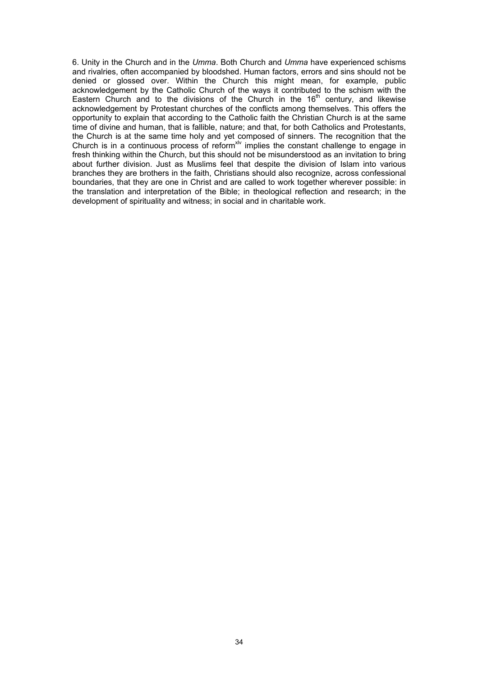6. Unity in the Church and in the *Umma*. Both Church and *Umma* have experienced schisms and rivalries, often accompanied by bloodshed. Human factors, errors and sins should not be denied or glossed over. Within the Church this might mean, for example, public acknowledgement by the Catholic Church of the ways it contributed to the schism with the Eastern Church and to the divisions of the Church in the 16<sup>th</sup> century, and likewise acknowledgement by Protestant churches of the conflicts among themselves. This offers the opportunity to explain that according to the Catholic faith the Christian Church is at the same time of divine and human, that is fallible, nature; and that, for both Catholics and Protestants, the Church is at the same time holy and yet composed of sinners. The recognition that the Church is in a continuous process of reform<sup>xlv</sup> implies the constant challenge to engage in fresh thinking within the Church, but this should not be misunderstood as an invitation to bring about further division. Just as Muslims feel that despite the division of Islam into various branches they are brothers in the faith, Christians should also recognize, across confessional boundaries, that they are one in Christ and are called to work together wherever possible: in the translation and interpretation of the Bible; in theological reflection and research; in the development of spirituality and witness; in social and in charitable work.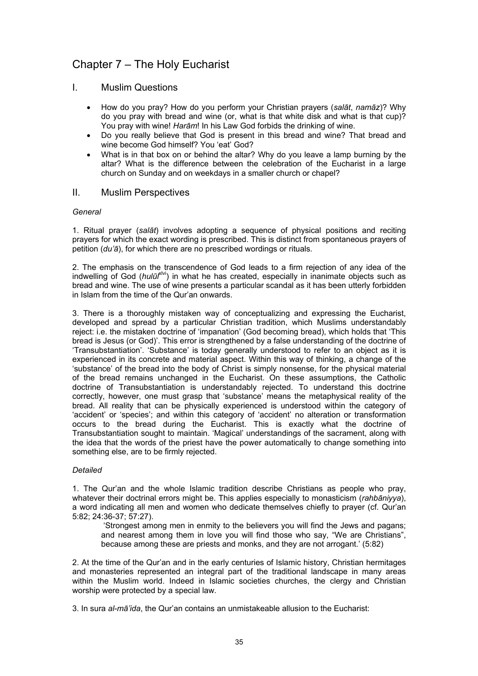## Chapter 7 – The Holy Eucharist

### I. Muslim Questions

- How do you pray? How do you perform your Christian prayers (*salāt*, *namāz*)? Why do you pray with bread and wine (or, what is that white disk and what is that cup)? You pray with wine! *Harām*! In his Law God forbids the drinking of wine.
- Do you really believe that God is present in this bread and wine? That bread and wine become God himself? You 'eat' God?
- What is in that box on or behind the altar? Why do you leave a lamp burning by the altar? What is the difference between the celebration of the Eucharist in a large church on Sunday and on weekdays in a smaller church or chapel?

### II. Muslim Perspectives

### *General*

1. Ritual prayer (*salāt*) involves adopting a sequence of physical positions and reciting prayers for which the exact wording is prescribed. This is distinct from spontaneous prayers of petition (*du'ā*), for which there are no prescribed wordings or rituals.

2. The emphasis on the transcendence of God leads to a firm rejection of any idea of the indwelling of God (*hulūl*<sup>klvi</sup>) in what he has created, especially in inanimate objects such as bread and wine. The use of wine presents a particular scandal as it has been utterly forbidden in Islam from the time of the Qur'an onwards.

3. There is a thoroughly mistaken way of conceptualizing and expressing the Eucharist, developed and spread by a particular Christian tradition, which Muslims understandably reject: i.e. the mistaken doctrine of 'impanation' (God becoming bread), which holds that 'This bread is Jesus (or God)'. This error is strengthened by a false understanding of the doctrine of 'Transubstantiation'. 'Substance' is today generally understood to refer to an object as it is experienced in its concrete and material aspect. Within this way of thinking, a change of the 'substance' of the bread into the body of Christ is simply nonsense, for the physical material of the bread remains unchanged in the Eucharist. On these assumptions, the Catholic doctrine of Transubstantiation is understandably rejected. To understand this doctrine correctly, however, one must grasp that 'substance' means the metaphysical reality of the bread. All reality that can be physically experienced is understood within the category of 'accident' or 'species'; and within this category of 'accident' no alteration or transformation occurs to the bread during the Eucharist. This is exactly what the doctrine of Transubstantiation sought to maintain. 'Magical' understandings of the sacrament, along with the idea that the words of the priest have the power automatically to change something into something else, are to be firmly rejected.

### *Detailed*

1. The Qur'an and the whole Islamic tradition describe Christians as people who pray, whatever their doctrinal errors might be. This applies especially to monasticism (*rahbāniyya*), a word indicating all men and women who dedicate themselves chiefly to prayer (cf. Qur'an 5:82; 24:36-37; 57:27).

 'Strongest among men in enmity to the believers you will find the Jews and pagans; and nearest among them in love you will find those who say, "We are Christians", because among these are priests and monks, and they are not arrogant.' (5:82)

2. At the time of the Qur'an and in the early centuries of Islamic history, Christian hermitages and monasteries represented an integral part of the traditional landscape in many areas within the Muslim world. Indeed in Islamic societies churches, the clergy and Christian worship were protected by a special law.

3. In sura *al-mā'ida*, the Qur'an contains an unmistakeable allusion to the Eucharist: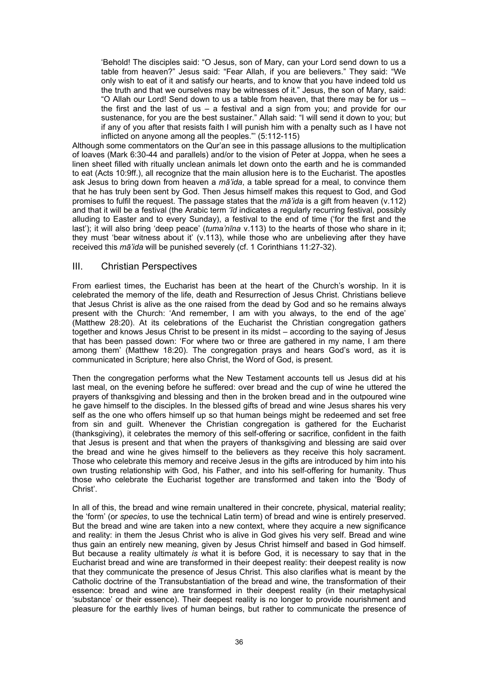'Behold! The disciples said: "O Jesus, son of Mary, can your Lord send down to us a table from heaven?" Jesus said: "Fear Allah, if you are believers." They said: "We only wish to eat of it and satisfy our hearts, and to know that you have indeed told us the truth and that we ourselves may be witnesses of it." Jesus, the son of Mary, said: "O Allah our Lord! Send down to us a table from heaven, that there may be for us – the first and the last of us  $-$  a festival and a sign from you; and provide for our sustenance, for you are the best sustainer." Allah said: "I will send it down to you; but if any of you after that resists faith I will punish him with a penalty such as I have not inflicted on anyone among all the peoples."' (5:112-115)

Although some commentators on the Qur'an see in this passage allusions to the multiplication of loaves (Mark 6:30-44 and parallels) and/or to the vision of Peter at Joppa, when he sees a linen sheet filled with ritually unclean animals let down onto the earth and he is commanded to eat (Acts 10:9ff.), all recognize that the main allusion here is to the Eucharist. The apostles ask Jesus to bring down from heaven a *mā'ida*, a table spread for a meal, to convince them that he has truly been sent by God. Then Jesus himself makes this request to God, and God promises to fulfil the request. The passage states that the *mā'ida* is a gift from heaven (v.112) and that it will be a festival (the Arabic term *'īd* indicates a regularly recurring festival, possibly alluding to Easter and to every Sunday), a festival to the end of time ('for the first and the last'); it will also bring 'deep peace' (*tuma'nīna* v.113) to the hearts of those who share in it; they must 'bear witness about it' (v.113), while those who are unbelieving after they have received this *mā'ida* will be punished severely (cf. 1 Corinthians 11:27-32).

### III. Christian Perspectives

From earliest times, the Eucharist has been at the heart of the Church's worship. In it is celebrated the memory of the life, death and Resurrection of Jesus Christ. Christians believe that Jesus Christ is alive as the one raised from the dead by God and so he remains always present with the Church: 'And remember, I am with you always, to the end of the age' (Matthew 28:20). At its celebrations of the Eucharist the Christian congregation gathers together and knows Jesus Christ to be present in its midst – according to the saying of Jesus that has been passed down: 'For where two or three are gathered in my name, I am there among them' (Matthew 18:20). The congregation prays and hears God's word, as it is communicated in Scripture; here also Christ, the Word of God, is present.

Then the congregation performs what the New Testament accounts tell us Jesus did at his last meal, on the evening before he suffered: over bread and the cup of wine he uttered the prayers of thanksgiving and blessing and then in the broken bread and in the outpoured wine he gave himself to the disciples. In the blessed gifts of bread and wine Jesus shares his very self as the one who offers himself up so that human beings might be redeemed and set free from sin and guilt. Whenever the Christian congregation is gathered for the Eucharist (thanksgiving), it celebrates the memory of this self-offering or sacrifice, confident in the faith that Jesus is present and that when the prayers of thanksgiving and blessing are said over the bread and wine he gives himself to the believers as they receive this holy sacrament. Those who celebrate this memory and receive Jesus in the gifts are introduced by him into his own trusting relationship with God, his Father, and into his self-offering for humanity. Thus those who celebrate the Eucharist together are transformed and taken into the 'Body of Christ'.

In all of this, the bread and wine remain unaltered in their concrete, physical, material reality; the 'form' (or *species*, to use the technical Latin term) of bread and wine is entirely preserved. But the bread and wine are taken into a new context, where they acquire a new significance and reality: in them the Jesus Christ who is alive in God gives his very self. Bread and wine thus gain an entirely new meaning, given by Jesus Christ himself and based in God himself. But because a reality ultimately *is* what it is before God, it is necessary to say that in the Eucharist bread and wine are transformed in their deepest reality: their deepest reality is now that they communicate the presence of Jesus Christ. This also clarifies what is meant by the Catholic doctrine of the Transubstantiation of the bread and wine, the transformation of their essence: bread and wine are transformed in their deepest reality (in their metaphysical 'substance' or their essence). Their deepest reality is no longer to provide nourishment and pleasure for the earthly lives of human beings, but rather to communicate the presence of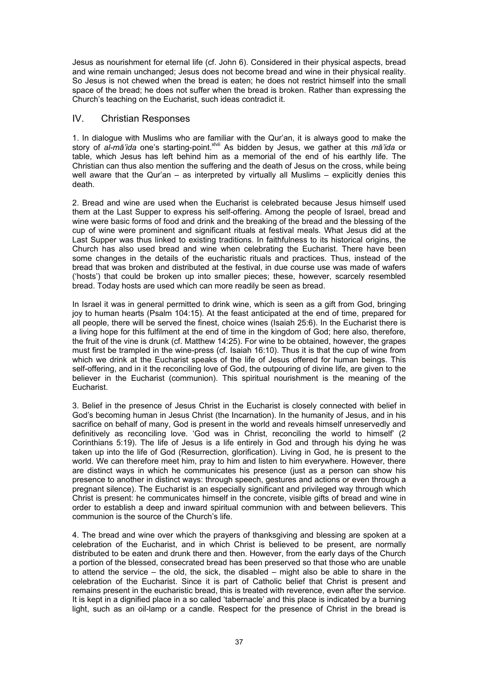Jesus as nourishment for eternal life (cf. John 6). Considered in their physical aspects, bread and wine remain unchanged; Jesus does not become bread and wine in their physical reality. So Jesus is not chewed when the bread is eaten; he does not restrict himself into the small space of the bread; he does not suffer when the bread is broken. Rather than expressing the Church's teaching on the Eucharist, such ideas contradict it.

# IV. Christian Responses

1. In dialogue with Muslims who are familiar with the Qur'an, it is always good to make the story of *al-mā'ida* one's starting-point.xlvii As bidden by Jesus, we gather at this *mā'ida* or table, which Jesus has left behind him as a memorial of the end of his earthly life. The Christian can thus also mention the suffering and the death of Jesus on the cross, while being well aware that the Qur'an – as interpreted by virtually all Muslims – explicitly denies this death.

2. Bread and wine are used when the Eucharist is celebrated because Jesus himself used them at the Last Supper to express his self-offering. Among the people of Israel, bread and wine were basic forms of food and drink and the breaking of the bread and the blessing of the cup of wine were prominent and significant rituals at festival meals. What Jesus did at the Last Supper was thus linked to existing traditions. In faithfulness to its historical origins, the Church has also used bread and wine when celebrating the Eucharist. There have been some changes in the details of the eucharistic rituals and practices. Thus, instead of the bread that was broken and distributed at the festival, in due course use was made of wafers ('hosts') that could be broken up into smaller pieces; these, however, scarcely resembled bread. Today hosts are used which can more readily be seen as bread.

In Israel it was in general permitted to drink wine, which is seen as a gift from God, bringing joy to human hearts (Psalm 104:15). At the feast anticipated at the end of time, prepared for all people, there will be served the finest, choice wines (Isaiah 25:6). In the Eucharist there is a living hope for this fulfilment at the end of time in the kingdom of God; here also, therefore, the fruit of the vine is drunk (cf. Matthew 14:25). For wine to be obtained, however, the grapes must first be trampled in the wine-press (cf. Isaiah 16:10). Thus it is that the cup of wine from which we drink at the Eucharist speaks of the life of Jesus offered for human beings. This self-offering, and in it the reconciling love of God, the outpouring of divine life, are given to the believer in the Eucharist (communion). This spiritual nourishment is the meaning of the Eucharist.

3. Belief in the presence of Jesus Christ in the Eucharist is closely connected with belief in God's becoming human in Jesus Christ (the Incarnation). In the humanity of Jesus, and in his sacrifice on behalf of many, God is present in the world and reveals himself unreservedly and definitively as reconciling love. 'God was in Christ, reconciling the world to himself' (2 Corinthians 5:19). The life of Jesus is a life entirely in God and through his dying he was taken up into the life of God (Resurrection, glorification). Living in God, he is present to the world. We can therefore meet him, pray to him and listen to him everywhere. However, there are distinct ways in which he communicates his presence (just as a person can show his presence to another in distinct ways: through speech, gestures and actions or even through a pregnant silence). The Eucharist is an especially significant and privileged way through which Christ is present: he communicates himself in the concrete, visible gifts of bread and wine in order to establish a deep and inward spiritual communion with and between believers. This communion is the source of the Church's life.

4. The bread and wine over which the prayers of thanksgiving and blessing are spoken at a celebration of the Eucharist, and in which Christ is believed to be present, are normally distributed to be eaten and drunk there and then. However, from the early days of the Church a portion of the blessed, consecrated bread has been preserved so that those who are unable to attend the service – the old, the sick, the disabled – might also be able to share in the celebration of the Eucharist. Since it is part of Catholic belief that Christ is present and remains present in the eucharistic bread, this is treated with reverence, even after the service. It is kept in a dignified place in a so called 'tabernacle' and this place is indicated by a burning light, such as an oil-lamp or a candle. Respect for the presence of Christ in the bread is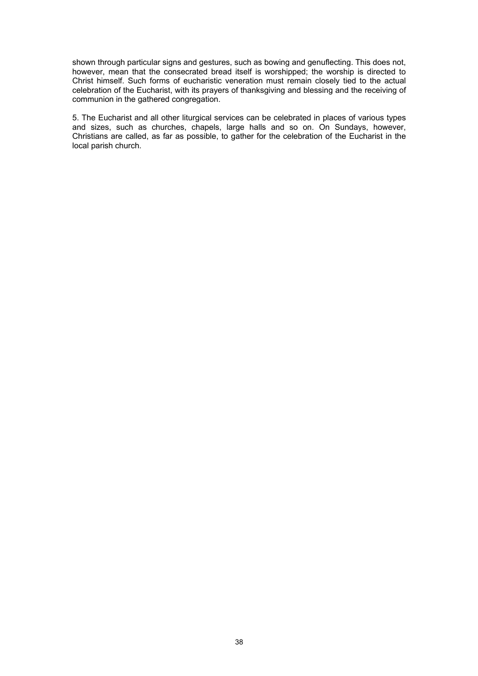shown through particular signs and gestures, such as bowing and genuflecting. This does not, however, mean that the consecrated bread itself is worshipped; the worship is directed to Christ himself. Such forms of eucharistic veneration must remain closely tied to the actual celebration of the Eucharist, with its prayers of thanksgiving and blessing and the receiving of communion in the gathered congregation.

5. The Eucharist and all other liturgical services can be celebrated in places of various types and sizes, such as churches, chapels, large halls and so on. On Sundays, however, Christians are called, as far as possible, to gather for the celebration of the Eucharist in the local parish church.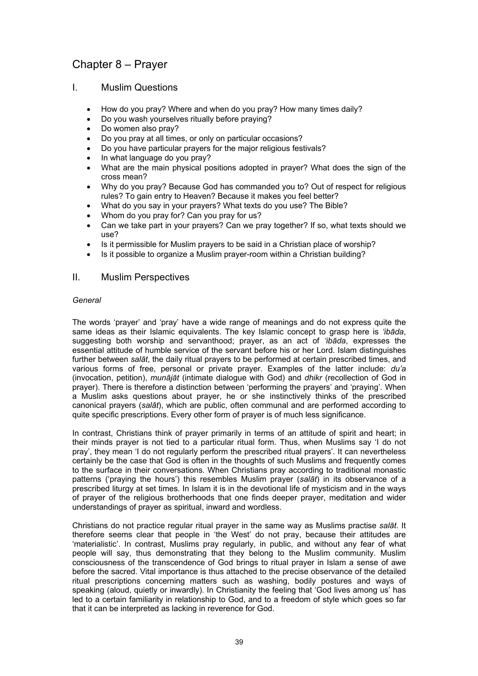# Chapter 8 – Prayer

## I. Muslim Questions

- How do you pray? Where and when do you pray? How many times daily?
- Do you wash yourselves ritually before praying?
- Do women also pray?
- Do you pray at all times, or only on particular occasions?
- Do you have particular prayers for the major religious festivals?
- In what language do you pray?
- What are the main physical positions adopted in prayer? What does the sign of the cross mean?
- Why do you pray? Because God has commanded you to? Out of respect for religious rules? To gain entry to Heaven? Because it makes you feel better?
- What do you say in your prayers? What texts do you use? The Bible?
- Whom do you pray for? Can you pray for us?
- Can we take part in your prayers? Can we pray together? If so, what texts should we use?
- Is it permissible for Muslim prayers to be said in a Christian place of worship?
- Is it possible to organize a Muslim prayer-room within a Christian building?

## II. Muslim Perspectives

## *General*

The words 'prayer' and 'pray' have a wide range of meanings and do not express quite the same ideas as their Islamic equivalents. The key Islamic concept to grasp here is *'ibāda*, suggesting both worship and servanthood; prayer, as an act of *'ibāda*, expresses the essential attitude of humble service of the servant before his or her Lord. Islam distinguishes further between *salāt*, the daily ritual prayers to be performed at certain prescribed times, and various forms of free, personal or private prayer. Examples of the latter include: *du'a* (invocation, petition), *munājāt* (intimate dialogue with God) and *dhikr* (recollection of God in prayer). There is therefore a distinction between 'performing the prayers' and 'praying'. When a Muslim asks questions about prayer, he or she instinctively thinks of the prescribed canonical prayers (*salāt*), which are public, often communal and are performed according to quite specific prescriptions. Every other form of prayer is of much less significance.

In contrast, Christians think of prayer primarily in terms of an attitude of spirit and heart; in their minds prayer is not tied to a particular ritual form. Thus, when Muslims say 'I do not pray', they mean 'I do not regularly perform the prescribed ritual prayers'. It can nevertheless certainly be the case that God is often in the thoughts of such Muslims and frequently comes to the surface in their conversations. When Christians pray according to traditional monastic patterns ('praying the hours') this resembles Muslim prayer (*salāt*) in its observance of a prescribed liturgy at set times. In Islam it is in the devotional life of mysticism and in the ways of prayer of the religious brotherhoods that one finds deeper prayer, meditation and wider understandings of prayer as spiritual, inward and wordless.

Christians do not practice regular ritual prayer in the same way as Muslims practise *salāt*. It therefore seems clear that people in 'the West' do not pray, because their attitudes are 'materialistic'. In contrast, Muslims pray regularly, in public, and without any fear of what people will say, thus demonstrating that they belong to the Muslim community. Muslim consciousness of the transcendence of God brings to ritual prayer in Islam a sense of awe before the sacred. Vital importance is thus attached to the precise observance of the detailed ritual prescriptions concerning matters such as washing, bodily postures and ways of speaking (aloud, quietly or inwardly). In Christianity the feeling that 'God lives among us' has led to a certain familiarity in relationship to God, and to a freedom of style which goes so far that it can be interpreted as lacking in reverence for God.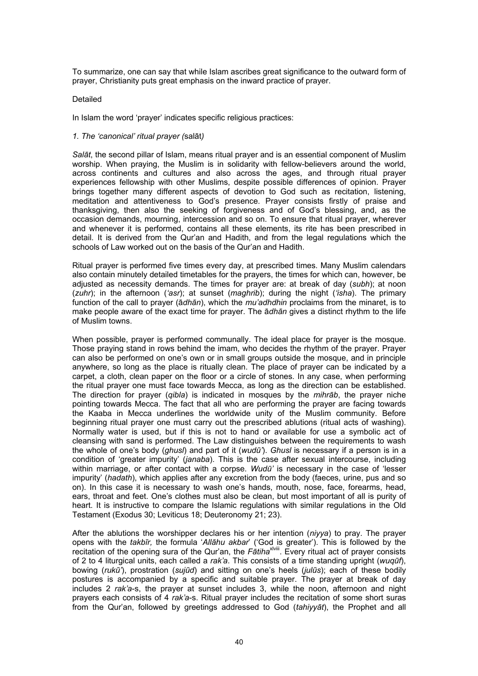To summarize, one can say that while Islam ascribes great significance to the outward form of prayer, Christianity puts great emphasis on the inward practice of prayer.

#### Detailed

In Islam the word 'prayer' indicates specific religious practices:

#### *1. The 'canonical' ritual prayer (*salāt*)*

*Salāt*, the second pillar of Islam, means ritual prayer and is an essential component of Muslim worship. When praying, the Muslim is in solidarity with fellow-believers around the world, across continents and cultures and also across the ages, and through ritual prayer experiences fellowship with other Muslims, despite possible differences of opinion. Prayer brings together many different aspects of devotion to God such as recitation, listening, meditation and attentiveness to God's presence. Prayer consists firstly of praise and thanksgiving, then also the seeking of forgiveness and of God's blessing, and, as the occasion demands, mourning, intercession and so on. To ensure that ritual prayer, wherever and whenever it is performed, contains all these elements, its rite has been prescribed in detail. It is derived from the Qur'an and Hadith, and from the legal regulations which the schools of Law worked out on the basis of the Qur'an and Hadith.

Ritual prayer is performed five times every day, at prescribed times. Many Muslim calendars also contain minutely detailed timetables for the prayers, the times for which can, however, be adjusted as necessity demands. The times for prayer are: at break of day (*subh*); at noon (*zuhr*); in the afternoon (*'asr*); at sunset (*maghrib*); during the night (*'isha*). The primary function of the call to prayer (ā*dhān*), which the *mu'adhdhin* proclaims from the minaret, is to make people aware of the exact time for prayer. The ā*dhān* gives a distinct rhythm to the life of Muslim towns.

When possible, prayer is performed communally. The ideal place for prayer is the mosque. Those praying stand in rows behind the imam, who decides the rhythm of the prayer. Prayer can also be performed on one's own or in small groups outside the mosque, and in principle anywhere, so long as the place is ritually clean. The place of prayer can be indicated by a carpet, a cloth, clean paper on the floor or a circle of stones. In any case, when performing the ritual prayer one must face towards Mecca, as long as the direction can be established. The direction for prayer (*qibla*) is indicated in mosques by the *mihrāb*, the prayer niche pointing towards Mecca. The fact that all who are performing the prayer are facing towards the Kaaba in Mecca underlines the worldwide unity of the Muslim community. Before beginning ritual prayer one must carry out the prescribed ablutions (ritual acts of washing). Normally water is used, but if this is not to hand or available for use a symbolic act of cleansing with sand is performed. The Law distinguishes between the requirements to wash the whole of one's body (*ghusl*) and part of it (*wudū'*). *Ghusl* is necessary if a person is in a condition of 'greater impurity' (*janaba*). This is the case after sexual intercourse, including within marriage, or after contact with a corpse. *Wudū'* is necessary in the case of 'lesser impurity' (*hadath*), which applies after any excretion from the body (faeces, urine, pus and so on). In this case it is necessary to wash one's hands, mouth, nose, face, forearms, head, ears, throat and feet. One's clothes must also be clean, but most important of all is purity of heart. It is instructive to compare the Islamic regulations with similar regulations in the Old Testament (Exodus 30; Leviticus 18; Deuteronomy 21; 23).

After the ablutions the worshipper declares his or her intention (*niyya*) to pray. The prayer opens with the *takbīr,* the formula '*Allāhu akbar*' ('God is greater'). This is followed by the recitation of the opening sura of the Qur'an, the *Fātiha*xlviii. Every ritual act of prayer consists of 2 to 4 liturgical units, each called a *rak'a*. This consists of a time standing upright (*wuqūf*), bowing (*rukū'*), prostration (*sujūd*) and sitting on one's heels (*julūs*); each of these bodily postures is accompanied by a specific and suitable prayer. The prayer at break of day includes 2 *rak'a*-s, the prayer at sunset includes 3, while the noon, afternoon and night prayers each consists of 4 *rak'a*-s. Ritual prayer includes the recitation of some short suras from the Qur'an, followed by greetings addressed to God (*tahiyyāt*), the Prophet and all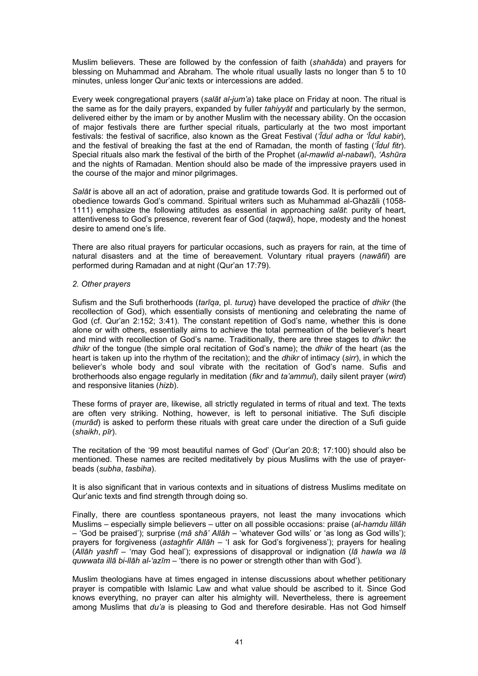Muslim believers. These are followed by the confession of faith (*shahāda*) and prayers for blessing on Muhammad and Abraham. The whole ritual usually lasts no longer than 5 to 10 minutes, unless longer Qur'anic texts or intercessions are added.

Every week congregational prayers (*salāt al-jum'a*) take place on Friday at noon. The ritual is the same as for the daily prayers, expanded by fuller *tahiyyāt* and particularly by the sermon, delivered either by the imam or by another Muslim with the necessary ability. On the occasion of major festivals there are further special rituals, particularly at the two most important festivals: the festival of sacrifice, also known as the Great Festival (*'Īdul adha* or *'Īdul kabir*), and the festival of breaking the fast at the end of Ramadan, the month of fasting (*'Īdul fitr*). Special rituals also mark the festival of the birth of the Prophet (*al-mawlid al-nabawī*), *'Ashūra* and the nights of Ramadan. Mention should also be made of the impressive prayers used in the course of the major and minor pilgrimages.

*Salāt* is above all an act of adoration, praise and gratitude towards God. It is performed out of obedience towards God's command. Spiritual writers such as Muhammad al-Ghazāli (1058- 1111) emphasize the following attitudes as essential in approaching *salāt*: purity of heart, attentiveness to God's presence, reverent fear of God (*taqwā*), hope, modesty and the honest desire to amend one's life.

There are also ritual prayers for particular occasions, such as prayers for rain, at the time of natural disasters and at the time of bereavement. Voluntary ritual prayers (*nawāfil*) are performed during Ramadan and at night (Qur'an 17:79).

#### *2. Other prayers*

Sufism and the Sufi brotherhoods (*tarīqa*, pl. *turuq*) have developed the practice of *dhikr* (the recollection of God), which essentially consists of mentioning and celebrating the name of God (cf. Qur'an 2:152; 3:41). The constant repetition of God's name, whether this is done alone or with others, essentially aims to achieve the total permeation of the believer's heart and mind with recollection of God's name. Traditionally, there are three stages to *dhikr*: the *dhikr* of the tongue (the simple oral recitation of God's name); the *dhikr* of the heart (as the heart is taken up into the rhythm of the recitation); and the *dhikr* of intimacy (*sirr*), in which the believer's whole body and soul vibrate with the recitation of God's name. Sufis and brotherhoods also engage regularly in meditation (*fikr* and *ta'ammul*), daily silent prayer (*wird*) and responsive litanies (*hizb*).

These forms of prayer are, likewise, all strictly regulated in terms of ritual and text. The texts are often very striking. Nothing, however, is left to personal initiative. The Sufi disciple (*murād*) is asked to perform these rituals with great care under the direction of a Sufi guide (*shaikh*, *pīr*).

The recitation of the '99 most beautiful names of God' (Qur'an 20:8; 17:100) should also be mentioned. These names are recited meditatively by pious Muslims with the use of prayerbeads (*subha*, *tasbiha*).

It is also significant that in various contexts and in situations of distress Muslims meditate on Qur'anic texts and find strength through doing so.

Finally, there are countless spontaneous prayers, not least the many invocations which Muslims – especially simple believers – utter on all possible occasions: praise (*al-hamdu lillāh* – 'God be praised'); surprise (*mā shā' Allāh* – 'whatever God wills' or 'as long as God wills'); prayers for forgiveness (*astaghfir Allāh* – 'I ask for God's forgiveness'); prayers for healing (*Allāh yashfī* – 'may God heal'); expressions of disapproval or indignation (*lā hawla wa lā quwwata illā bi-llāh al-'azīm* – 'there is no power or strength other than with God').

Muslim theologians have at times engaged in intense discussions about whether petitionary prayer is compatible with Islamic Law and what value should be ascribed to it. Since God knows everything, no prayer can alter his almighty will. Nevertheless, there is agreement among Muslims that *du'a* is pleasing to God and therefore desirable. Has not God himself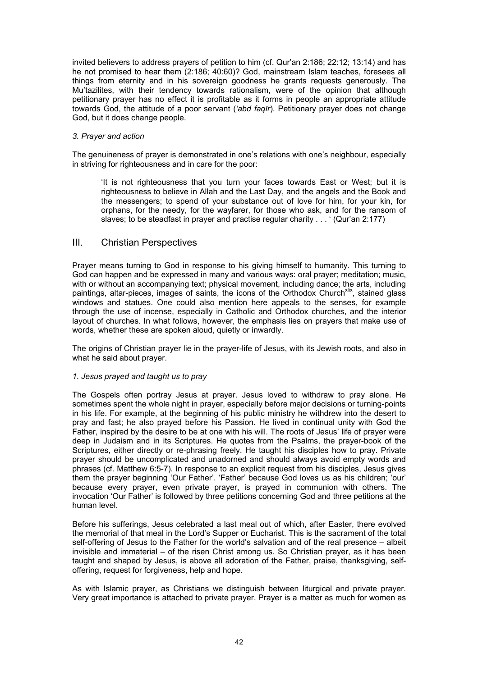invited believers to address prayers of petition to him (cf. Qur'an 2:186; 22:12; 13:14) and has he not promised to hear them (2:186; 40:60)? God, mainstream Islam teaches, foresees all things from eternity and in his sovereign goodness he grants requests generously. The Mu'tazilites, with their tendency towards rationalism, were of the opinion that although petitionary prayer has no effect it is profitable as it forms in people an appropriate attitude towards God, the attitude of a poor servant (*'abd faqīr*). Petitionary prayer does not change God, but it does change people.

#### *3. Prayer and action*

The genuineness of prayer is demonstrated in one's relations with one's neighbour, especially in striving for righteousness and in care for the poor:

'It is not righteousness that you turn your faces towards East or West; but it is righteousness to believe in Allah and the Last Day, and the angels and the Book and the messengers; to spend of your substance out of love for him, for your kin, for orphans, for the needy, for the wayfarer, for those who ask, and for the ransom of slaves; to be steadfast in prayer and practise regular charity . . . ' (Qur'an 2:177)

## III. Christian Perspectives

Prayer means turning to God in response to his giving himself to humanity. This turning to God can happen and be expressed in many and various ways: oral prayer; meditation; music, with or without an accompanying text; physical movement, including dance; the arts, including paintings, altar-pieces, images of saints, the icons of the Orthodox Church<sup>xlix</sup>, stained glass windows and statues. One could also mention here appeals to the senses, for example through the use of incense, especially in Catholic and Orthodox churches, and the interior layout of churches. In what follows, however, the emphasis lies on prayers that make use of words, whether these are spoken aloud, quietly or inwardly.

The origins of Christian prayer lie in the prayer-life of Jesus, with its Jewish roots, and also in what he said about prayer.

## *1. Jesus prayed and taught us to pray*

The Gospels often portray Jesus at prayer. Jesus loved to withdraw to pray alone. He sometimes spent the whole night in prayer, especially before major decisions or turning-points in his life. For example, at the beginning of his public ministry he withdrew into the desert to pray and fast; he also prayed before his Passion. He lived in continual unity with God the Father, inspired by the desire to be at one with his will. The roots of Jesus' life of prayer were deep in Judaism and in its Scriptures. He quotes from the Psalms, the prayer-book of the Scriptures, either directly or re-phrasing freely. He taught his disciples how to pray. Private prayer should be uncomplicated and unadorned and should always avoid empty words and phrases (cf. Matthew 6:5-7). In response to an explicit request from his disciples, Jesus gives them the prayer beginning 'Our Father'. 'Father' because God loves us as his children; 'our' because every prayer, even private prayer, is prayed in communion with others. The invocation 'Our Father' is followed by three petitions concerning God and three petitions at the human level.

Before his sufferings, Jesus celebrated a last meal out of which, after Easter, there evolved the memorial of that meal in the Lord's Supper or Eucharist. This is the sacrament of the total self-offering of Jesus to the Father for the world's salvation and of the real presence – albeit invisible and immaterial – of the risen Christ among us. So Christian prayer, as it has been taught and shaped by Jesus, is above all adoration of the Father, praise, thanksgiving, selfoffering, request for forgiveness, help and hope.

As with Islamic prayer, as Christians we distinguish between liturgical and private prayer. Very great importance is attached to private prayer. Prayer is a matter as much for women as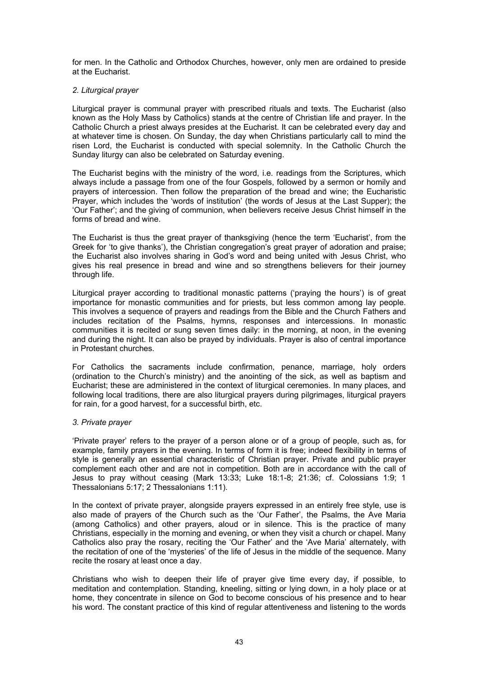for men. In the Catholic and Orthodox Churches, however, only men are ordained to preside at the Eucharist.

#### *2. Liturgical prayer*

Liturgical prayer is communal prayer with prescribed rituals and texts. The Eucharist (also known as the Holy Mass by Catholics) stands at the centre of Christian life and prayer. In the Catholic Church a priest always presides at the Eucharist. It can be celebrated every day and at whatever time is chosen. On Sunday, the day when Christians particularly call to mind the risen Lord, the Eucharist is conducted with special solemnity. In the Catholic Church the Sunday liturgy can also be celebrated on Saturday evening.

The Eucharist begins with the ministry of the word, i.e. readings from the Scriptures, which always include a passage from one of the four Gospels, followed by a sermon or homily and prayers of intercession. Then follow the preparation of the bread and wine; the Eucharistic Prayer, which includes the 'words of institution' (the words of Jesus at the Last Supper); the 'Our Father'; and the giving of communion, when believers receive Jesus Christ himself in the forms of bread and wine.

The Eucharist is thus the great prayer of thanksgiving (hence the term 'Eucharist', from the Greek for 'to give thanks'), the Christian congregation's great prayer of adoration and praise; the Eucharist also involves sharing in God's word and being united with Jesus Christ, who gives his real presence in bread and wine and so strengthens believers for their journey through life.

Liturgical prayer according to traditional monastic patterns ('praying the hours') is of great importance for monastic communities and for priests, but less common among lay people. This involves a sequence of prayers and readings from the Bible and the Church Fathers and includes recitation of the Psalms, hymns, responses and intercessions. In monastic communities it is recited or sung seven times daily: in the morning, at noon, in the evening and during the night. It can also be prayed by individuals. Prayer is also of central importance in Protestant churches.

For Catholics the sacraments include confirmation, penance, marriage, holy orders (ordination to the Church's ministry) and the anointing of the sick, as well as baptism and Eucharist; these are administered in the context of liturgical ceremonies. In many places, and following local traditions, there are also liturgical prayers during pilgrimages, liturgical prayers for rain, for a good harvest, for a successful birth, etc.

## *3. Private prayer*

'Private prayer' refers to the prayer of a person alone or of a group of people, such as, for example, family prayers in the evening. In terms of form it is free; indeed flexibility in terms of style is generally an essential characteristic of Christian prayer. Private and public prayer complement each other and are not in competition. Both are in accordance with the call of Jesus to pray without ceasing (Mark 13:33; Luke 18:1-8; 21:36; cf. Colossians 1:9; 1 Thessalonians 5:17; 2 Thessalonians 1:11).

In the context of private prayer, alongside prayers expressed in an entirely free style, use is also made of prayers of the Church such as the 'Our Father', the Psalms, the Ave Maria (among Catholics) and other prayers, aloud or in silence. This is the practice of many Christians, especially in the morning and evening, or when they visit a church or chapel. Many Catholics also pray the rosary, reciting the 'Our Father' and the 'Ave Maria' alternately, with the recitation of one of the 'mysteries' of the life of Jesus in the middle of the sequence. Many recite the rosary at least once a day.

Christians who wish to deepen their life of prayer give time every day, if possible, to meditation and contemplation. Standing, kneeling, sitting or lying down, in a holy place or at home, they concentrate in silence on God to become conscious of his presence and to hear his word. The constant practice of this kind of regular attentiveness and listening to the words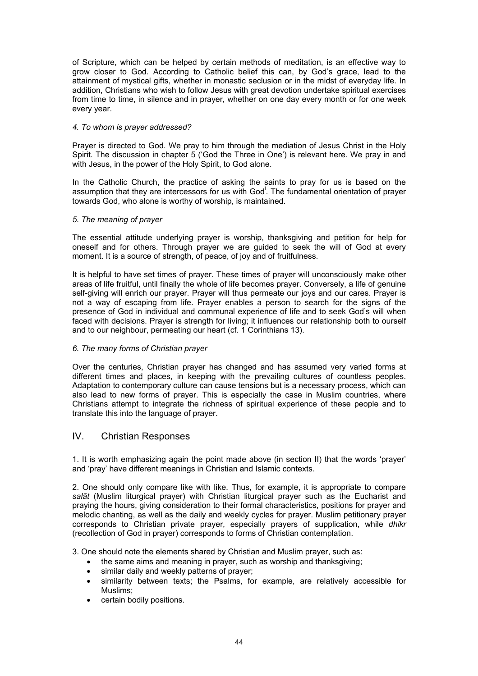of Scripture, which can be helped by certain methods of meditation, is an effective way to grow closer to God. According to Catholic belief this can, by God's grace, lead to the attainment of mystical gifts, whether in monastic seclusion or in the midst of everyday life. In addition, Christians who wish to follow Jesus with great devotion undertake spiritual exercises from time to time, in silence and in prayer, whether on one day every month or for one week every year.

## *4. To whom is prayer addressed?*

Prayer is directed to God. We pray to him through the mediation of Jesus Christ in the Holy Spirit. The discussion in chapter 5 ('God the Three in One') is relevant here. We pray in and with Jesus, in the power of the Holy Spirit, to God alone.

In the Catholic Church, the practice of asking the saints to pray for us is based on the assumption that they are intercessors for us with God<sup>I</sup>. The fundamental orientation of prayer towards God, who alone is worthy of worship, is maintained.

## *5. The meaning of prayer*

The essential attitude underlying prayer is worship, thanksgiving and petition for help for oneself and for others. Through prayer we are guided to seek the will of God at every moment. It is a source of strength, of peace, of joy and of fruitfulness.

It is helpful to have set times of prayer. These times of prayer will unconsciously make other areas of life fruitful, until finally the whole of life becomes prayer. Conversely, a life of genuine self-giving will enrich our prayer. Prayer will thus permeate our joys and our cares. Prayer is not a way of escaping from life. Prayer enables a person to search for the signs of the presence of God in individual and communal experience of life and to seek God's will when faced with decisions. Prayer is strength for living; it influences our relationship both to ourself and to our neighbour, permeating our heart (cf. 1 Corinthians 13).

## *6. The many forms of Christian prayer*

Over the centuries, Christian prayer has changed and has assumed very varied forms at different times and places, in keeping with the prevailing cultures of countless peoples. Adaptation to contemporary culture can cause tensions but is a necessary process, which can also lead to new forms of prayer. This is especially the case in Muslim countries, where Christians attempt to integrate the richness of spiritual experience of these people and to translate this into the language of prayer.

# IV. Christian Responses

1. It is worth emphasizing again the point made above (in section II) that the words 'prayer' and 'pray' have different meanings in Christian and Islamic contexts.

2. One should only compare like with like. Thus, for example, it is appropriate to compare *salāt* (Muslim liturgical prayer) with Christian liturgical prayer such as the Eucharist and praying the hours, giving consideration to their formal characteristics, positions for prayer and melodic chanting, as well as the daily and weekly cycles for prayer. Muslim petitionary prayer corresponds to Christian private prayer, especially prayers of supplication, while *dhikr* (recollection of God in prayer) corresponds to forms of Christian contemplation.

3. One should note the elements shared by Christian and Muslim prayer, such as:

- the same aims and meaning in prayer, such as worship and thanksgiving:
- similar daily and weekly patterns of prayer;
- similarity between texts; the Psalms, for example, are relatively accessible for Muslims;
- certain bodily positions.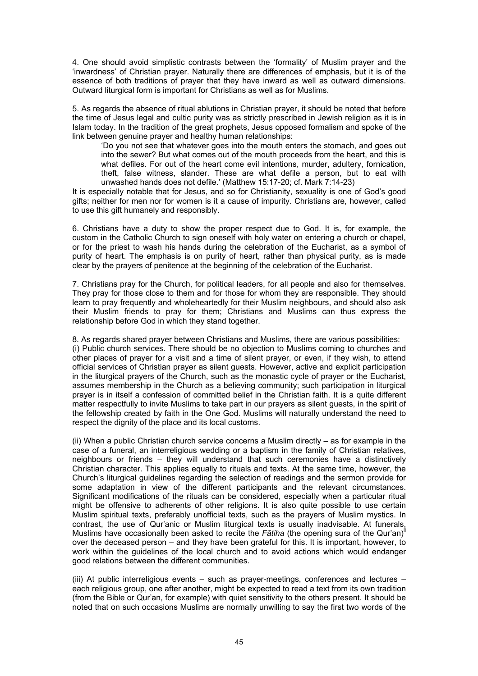4. One should avoid simplistic contrasts between the 'formality' of Muslim prayer and the 'inwardness' of Christian prayer. Naturally there are differences of emphasis, but it is of the essence of both traditions of prayer that they have inward as well as outward dimensions. Outward liturgical form is important for Christians as well as for Muslims.

5. As regards the absence of ritual ablutions in Christian prayer, it should be noted that before the time of Jesus legal and cultic purity was as strictly prescribed in Jewish religion as it is in Islam today. In the tradition of the great prophets, Jesus opposed formalism and spoke of the link between genuine prayer and healthy human relationships:

'Do you not see that whatever goes into the mouth enters the stomach, and goes out into the sewer? But what comes out of the mouth proceeds from the heart, and this is what defiles. For out of the heart come evil intentions, murder, adultery, fornication, theft, false witness, slander. These are what defile a person, but to eat with unwashed hands does not defile.' (Matthew 15:17-20; cf. Mark 7:14-23)

It is especially notable that for Jesus, and so for Christianity, sexuality is one of God's good gifts; neither for men nor for women is it a cause of impurity. Christians are, however, called to use this gift humanely and responsibly.

6. Christians have a duty to show the proper respect due to God. It is, for example, the custom in the Catholic Church to sign oneself with holy water on entering a church or chapel, or for the priest to wash his hands during the celebration of the Eucharist, as a symbol of purity of heart. The emphasis is on purity of heart, rather than physical purity, as is made clear by the prayers of penitence at the beginning of the celebration of the Eucharist.

7. Christians pray for the Church, for political leaders, for all people and also for themselves. They pray for those close to them and for those for whom they are responsible. They should learn to pray frequently and wholeheartedly for their Muslim neighbours, and should also ask their Muslim friends to pray for them; Christians and Muslims can thus express the relationship before God in which they stand together.

8. As regards shared prayer between Christians and Muslims, there are various possibilities: (i) Public church services. There should be no objection to Muslims coming to churches and other places of prayer for a visit and a time of silent prayer, or even, if they wish, to attend official services of Christian prayer as silent guests. However, active and explicit participation in the liturgical prayers of the Church, such as the monastic cycle of prayer or the Eucharist, assumes membership in the Church as a believing community; such participation in liturgical prayer is in itself a confession of committed belief in the Christian faith. It is a quite different matter respectfully to invite Muslims to take part in our prayers as silent guests, in the spirit of the fellowship created by faith in the One God. Muslims will naturally understand the need to respect the dignity of the place and its local customs.

(ii) When a public Christian church service concerns a Muslim directly – as for example in the case of a funeral, an interreligious wedding or a baptism in the family of Christian relatives, neighbours or friends – they will understand that such ceremonies have a distinctively Christian character. This applies equally to rituals and texts. At the same time, however, the Church's liturgical guidelines regarding the selection of readings and the sermon provide for some adaptation in view of the different participants and the relevant circumstances. Significant modifications of the rituals can be considered, especially when a particular ritual might be offensive to adherents of other religions. It is also quite possible to use certain Muslim spiritual texts, preferably unofficial texts, such as the prayers of Muslim mystics. In contrast, the use of Qur'anic or Muslim liturgical texts is usually inadvisable. At funerals, Muslims have occasionally been asked to recite the *Fātiha* (the opening sura of the Qur'an)li over the deceased person – and they have been grateful for this. It is important, however, to work within the guidelines of the local church and to avoid actions which would endanger good relations between the different communities.

(iii) At public interreligious events – such as prayer-meetings, conferences and lectures – each religious group, one after another, might be expected to read a text from its own tradition (from the Bible or Qur'an, for example) with quiet sensitivity to the others present. It should be noted that on such occasions Muslims are normally unwilling to say the first two words of the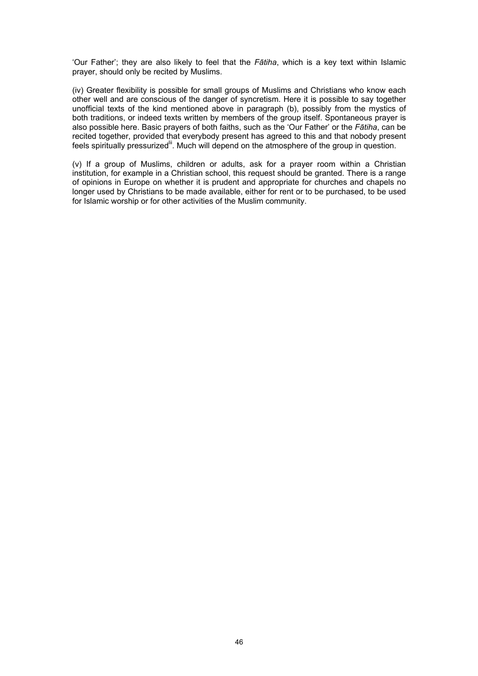'Our Father'; they are also likely to feel that the *Fātiha*, which is a key text within Islamic prayer, should only be recited by Muslims.

(iv) Greater flexibility is possible for small groups of Muslims and Christians who know each other well and are conscious of the danger of syncretism. Here it is possible to say together unofficial texts of the kind mentioned above in paragraph (b), possibly from the mystics of both traditions, or indeed texts written by members of the group itself. Spontaneous prayer is also possible here. Basic prayers of both faiths, such as the 'Our Father' or the *Fātiha*, can be recited together, provided that everybody present has agreed to this and that nobody present feels spiritually pressurized<sup>ii</sup>. Much will depend on the atmosphere of the group in question.

(v) If a group of Muslims, children or adults, ask for a prayer room within a Christian institution, for example in a Christian school, this request should be granted. There is a range of opinions in Europe on whether it is prudent and appropriate for churches and chapels no longer used by Christians to be made available, either for rent or to be purchased, to be used for Islamic worship or for other activities of the Muslim community.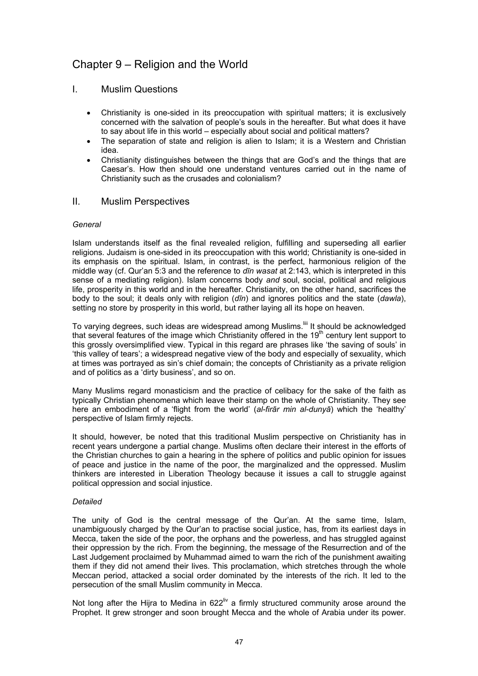# Chapter 9 – Religion and the World

## I. Muslim Questions

- Christianity is one-sided in its preoccupation with spiritual matters; it is exclusively concerned with the salvation of people's souls in the hereafter. But what does it have to say about life in this world – especially about social and political matters?
- The separation of state and religion is alien to Islam; it is a Western and Christian idea.
- Christianity distinguishes between the things that are God's and the things that are Caesar's. How then should one understand ventures carried out in the name of Christianity such as the crusades and colonialism?

## II. Muslim Perspectives

#### *General*

Islam understands itself as the final revealed religion, fulfilling and superseding all earlier religions. Judaism is one-sided in its preoccupation with this world; Christianity is one-sided in its emphasis on the spiritual. Islam, in contrast, is the perfect, harmonious religion of the middle way (cf. Qur'an 5:3 and the reference to *dīn wasat* at 2:143, which is interpreted in this sense of a mediating religion). Islam concerns body *and* soul, social, political and religious life, prosperity in this world and in the hereafter. Christianity, on the other hand, sacrifices the body to the soul; it deals only with religion (*dīn*) and ignores politics and the state (*dawla*), setting no store by prosperity in this world, but rather laying all its hope on heaven.

To varying degrees, such ideas are widespread among Muslims.<sup>[iii</sup> It should be acknowledged that several features of the image which Christianity offered in the 19<sup>th</sup> century lent support to this grossly oversimplified view. Typical in this regard are phrases like 'the saving of souls' in 'this valley of tears'; a widespread negative view of the body and especially of sexuality, which at times was portrayed as sin's chief domain; the concepts of Christianity as a private religion and of politics as a 'dirty business', and so on.

Many Muslims regard monasticism and the practice of celibacy for the sake of the faith as typically Christian phenomena which leave their stamp on the whole of Christianity. They see here an embodiment of a 'flight from the world' (*al-firār min al-dunyā*) which the 'healthy' perspective of Islam firmly rejects.

It should, however, be noted that this traditional Muslim perspective on Christianity has in recent years undergone a partial change. Muslims often declare their interest in the efforts of the Christian churches to gain a hearing in the sphere of politics and public opinion for issues of peace and justice in the name of the poor, the marginalized and the oppressed. Muslim thinkers are interested in Liberation Theology because it issues a call to struggle against political oppression and social injustice.

#### *Detailed*

The unity of God is the central message of the Qur'an. At the same time, Islam, unambiguously charged by the Qur'an to practise social justice, has, from its earliest days in Mecca, taken the side of the poor, the orphans and the powerless, and has struggled against their oppression by the rich. From the beginning, the message of the Resurrection and of the Last Judgement proclaimed by Muhammad aimed to warn the rich of the punishment awaiting them if they did not amend their lives. This proclamation, which stretches through the whole Meccan period, attacked a social order dominated by the interests of the rich. It led to the persecution of the small Muslim community in Mecca.

Not long after the Hijra to Medina in 622<sup>liv</sup> a firmly structured community arose around the Prophet. It grew stronger and soon brought Mecca and the whole of Arabia under its power.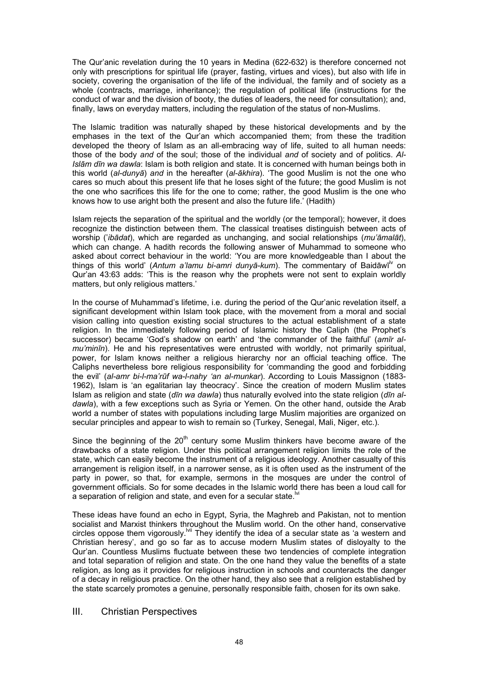The Qur'anic revelation during the 10 years in Medina (622-632) is therefore concerned not only with prescriptions for spiritual life (prayer, fasting, virtues and vices), but also with life in society, covering the organisation of the life of the individual, the family and of society as a whole (contracts, marriage, inheritance); the regulation of political life (instructions for the conduct of war and the division of booty, the duties of leaders, the need for consultation); and, finally, laws on everyday matters, including the regulation of the status of non-Muslims.

The Islamic tradition was naturally shaped by these historical developments and by the emphases in the text of the Qur'an which accompanied them; from these the tradition developed the theory of Islam as an all-embracing way of life, suited to all human needs: those of the body *and* of the soul; those of the individual *and* of society and of politics. *Al-Islām dīn wa dawla*: Islam is both religion and state. It is concerned with human beings both in this world (*al-dunyā*) *and* in the hereafter (*al-ākhira*). 'The good Muslim is not the one who cares so much about this present life that he loses sight of the future; the good Muslim is not the one who sacrifices this life for the one to come; rather, the good Muslim is the one who knows how to use aright both the present and also the future life.' (Hadith)

Islam rejects the separation of the spiritual and the worldly (or the temporal); however, it does recognize the distinction between them. The classical treatises distinguish between acts of worship ('*ibādat*), which are regarded as unchanging, and social relationships (*mu'āmalāt*), which can change. A hadith records the following answer of Muhammad to someone who asked about correct behaviour in the world: 'You are more knowledgeable than I about the things of this world' (Antum a'lamu bi-amri dunyā-kum). The commentary of Baidāwī<sup>lv</sup> on Qur'an 43:63 adds: 'This is the reason why the prophets were not sent to explain worldly matters, but only religious matters.'

In the course of Muhammad's lifetime, i.e. during the period of the Qur'anic revelation itself, a significant development within Islam took place, with the movement from a moral and social vision calling into question existing social structures to the actual establishment of a state religion. In the immediately following period of Islamic history the Caliph (the Prophet's successor) became 'God's shadow on earth' and 'the commander of the faithful' (*amīr almu'minīn*). He and his representatives were entrusted with worldly, not primarily spiritual, power, for Islam knows neither a religious hierarchy nor an official teaching office. The Caliphs nevertheless bore religious responsibility for 'commanding the good and forbidding the evil' (*al-amr bi-l-ma'rūf wa-l-nahy 'an al-munkar*). According to Louis Massignon (1883- 1962), Islam is 'an egalitarian lay theocracy'. Since the creation of modern Muslim states Islam as religion and state (*dīn wa dawla*) thus naturally evolved into the state religion (*dīn aldawla*), with a few exceptions such as Syria or Yemen. On the other hand, outside the Arab world a number of states with populations including large Muslim majorities are organized on secular principles and appear to wish to remain so (Turkey, Senegal, Mali, Niger, etc.).

Since the beginning of the  $20<sup>th</sup>$  century some Muslim thinkers have become aware of the drawbacks of a state religion. Under this political arrangement religion limits the role of the state, which can easily become the instrument of a religious ideology. Another casualty of this arrangement is religion itself, in a narrower sense, as it is often used as the instrument of the party in power, so that, for example, sermons in the mosques are under the control of government officials. So for some decades in the Islamic world there has been a loud call for  $\alpha$  separation of religion and state, and even for a secular state.<sup> $\text{N}$ </sup>

These ideas have found an echo in Egypt, Syria, the Maghreb and Pakistan, not to mention socialist and Marxist thinkers throughout the Muslim world. On the other hand, conservative circles oppose them vigorously.<sup>Ivii</sup> They identify the idea of a secular state as 'a western and Christian heresy', and go so far as to accuse modern Muslim states of disloyalty to the Qur'an. Countless Muslims fluctuate between these two tendencies of complete integration and total separation of religion and state. On the one hand they value the benefits of a state religion, as long as it provides for religious instruction in schools and counteracts the danger of a decay in religious practice. On the other hand, they also see that a religion established by the state scarcely promotes a genuine, personally responsible faith, chosen for its own sake.

# III. Christian Perspectives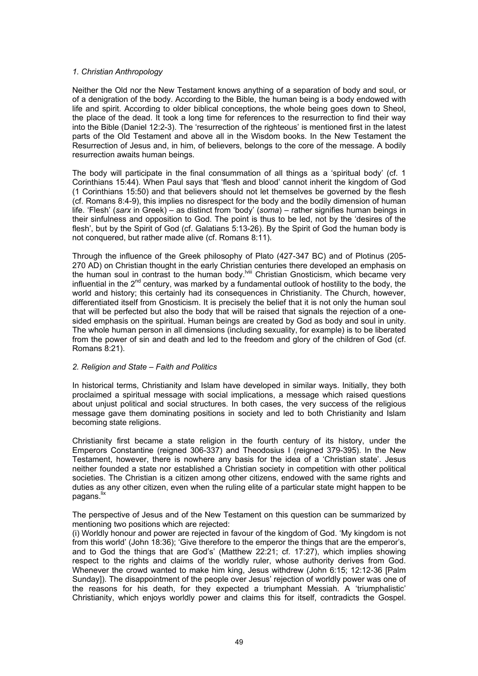#### *1. Christian Anthropology*

Neither the Old nor the New Testament knows anything of a separation of body and soul, or of a denigration of the body. According to the Bible, the human being is a body endowed with life and spirit. According to older biblical conceptions, the whole being goes down to Sheol, the place of the dead. It took a long time for references to the resurrection to find their way into the Bible (Daniel 12:2-3). The 'resurrection of the righteous' is mentioned first in the latest parts of the Old Testament and above all in the Wisdom books. In the New Testament the Resurrection of Jesus and, in him, of believers, belongs to the core of the message. A bodily resurrection awaits human beings.

The body will participate in the final consummation of all things as a 'spiritual body' (cf. 1 Corinthians 15:44). When Paul says that 'flesh and blood' cannot inherit the kingdom of God (1 Corinthians 15:50) and that believers should not let themselves be governed by the flesh (cf. Romans 8:4-9), this implies no disrespect for the body and the bodily dimension of human life. 'Flesh' (*sarx* in Greek) – as distinct from 'body' (*soma*) – rather signifies human beings in their sinfulness and opposition to God. The point is thus to be led, not by the 'desires of the flesh', but by the Spirit of God (cf. Galatians 5:13-26). By the Spirit of God the human body is not conquered, but rather made alive (cf. Romans 8:11).

Through the influence of the Greek philosophy of Plato (427-347 BC) and of Plotinus (205- 270 AD) on Christian thought in the early Christian centuries there developed an emphasis on the human soul in contrast to the human body.lviii Christian Gnosticism, which became very influential in the  $2^{nd}$  century, was marked by a fundamental outlook of hostility to the body, the world and history; this certainly had its consequences in Christianity. The Church, however, differentiated itself from Gnosticism. It is precisely the belief that it is not only the human soul that will be perfected but also the body that will be raised that signals the rejection of a onesided emphasis on the spiritual. Human beings are created by God as body and soul in unity. The whole human person in all dimensions (including sexuality, for example) is to be liberated from the power of sin and death and led to the freedom and glory of the children of God (cf. Romans 8:21).

#### *2. Religion and State – Faith and Politics*

In historical terms, Christianity and Islam have developed in similar ways. Initially, they both proclaimed a spiritual message with social implications, a message which raised questions about unjust political and social structures. In both cases, the very success of the religious message gave them dominating positions in society and led to both Christianity and Islam becoming state religions.

Christianity first became a state religion in the fourth century of its history, under the Emperors Constantine (reigned 306-337) and Theodosius I (reigned 379-395). In the New Testament, however, there is nowhere any basis for the idea of a 'Christian state'. Jesus neither founded a state nor established a Christian society in competition with other political societies. The Christian is a citizen among other citizens, endowed with the same rights and duties as any other citizen, even when the ruling elite of a particular state might happen to be pagans.<sup>lix</sup>

The perspective of Jesus and of the New Testament on this question can be summarized by mentioning two positions which are rejected:

(i) Worldly honour and power are rejected in favour of the kingdom of God. 'My kingdom is not from this world' (John 18:36); 'Give therefore to the emperor the things that are the emperor's, and to God the things that are God's' (Matthew 22:21; cf. 17:27), which implies showing respect to the rights and claims of the worldly ruler, whose authority derives from God. Whenever the crowd wanted to make him king, Jesus withdrew (John 6:15; 12:12-36 [Palm Sunday]). The disappointment of the people over Jesus' rejection of worldly power was one of the reasons for his death, for they expected a triumphant Messiah. A 'triumphalistic' Christianity, which enjoys worldly power and claims this for itself, contradicts the Gospel.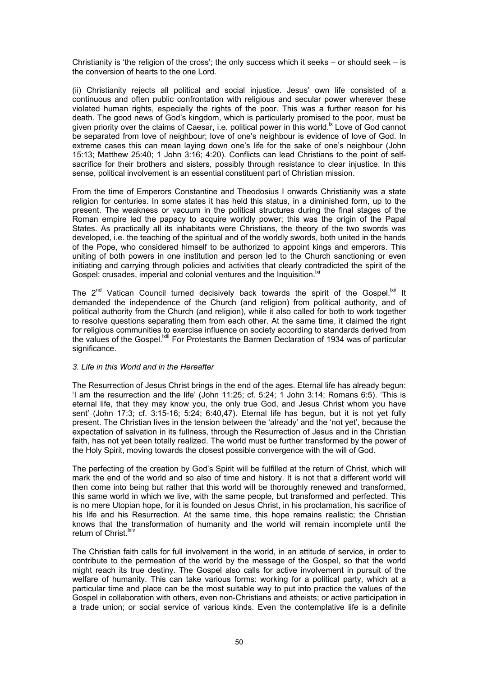Christianity is 'the religion of the cross'; the only success which it seeks  $-$  or should seek  $-$  is the conversion of hearts to the one Lord.

(ii) Christianity rejects all political and social injustice. Jesus' own life consisted of a continuous and often public confrontation with religious and secular power wherever these violated human rights, especially the rights of the poor. This was a further reason for his death. The good news of God's kingdom, which is particularly promised to the poor, must be given priority over the claims of Caesar, i.e. political power in this world.<sup>Ix</sup> Love of God cannot be separated from love of neighbour; love of one's neighbour is evidence of love of God. In extreme cases this can mean laying down one's life for the sake of one's neighbour (John 15:13; Matthew 25:40; 1 John 3:16; 4:20). Conflicts can lead Christians to the point of selfsacrifice for their brothers and sisters, possibly through resistance to clear injustice. In this sense, political involvement is an essential constituent part of Christian mission.

From the time of Emperors Constantine and Theodosius I onwards Christianity was a state religion for centuries. In some states it has held this status, in a diminished form, up to the present. The weakness or vacuum in the political structures during the final stages of the Roman empire led the papacy to acquire worldly power; this was the origin of the Papal States. As practically all its inhabitants were Christians, the theory of the two swords was developed, i.e. the teaching of the spiritual and of the worldly swords, both united in the hands of the Pope, who considered himself to be authorized to appoint kings and emperors. This uniting of both powers in one institution and person led to the Church sanctioning or even initiating and carrying through policies and activities that clearly contradicted the spirit of the Gospel: crusades, imperial and colonial ventures and the Inquisition.<sup>Ixi</sup>

The 2<sup>nd</sup> Vatican Council turned decisively back towards the spirit of the Gospel.<sup>Ixii</sup> It demanded the independence of the Church (and religion) from political authority, and of political authority from the Church (and religion), while it also called for both to work together to resolve questions separating them from each other. At the same time, it claimed the right for religious communities to exercise influence on society according to standards derived from the values of the Gospel.<sup>|Xiii</sup> For Protestants the Barmen Declaration of 1934 was of particular significance.

#### *3. Life in this World and in the Hereafter*

The Resurrection of Jesus Christ brings in the end of the ages. Eternal life has already begun: 'I am the resurrection and the life' (John 11:25; cf. 5:24; 1 John 3:14; Romans 6:5). 'This is eternal life, that they may know you, the only true God, and Jesus Christ whom you have sent' (John 17:3; cf. 3:15-16; 5:24; 6:40,47). Eternal life has begun, but it is not yet fully present. The Christian lives in the tension between the 'already' and the 'not yet', because the expectation of salvation in its fullness, through the Resurrection of Jesus and in the Christian faith, has not yet been totally realized. The world must be further transformed by the power of the Holy Spirit, moving towards the closest possible convergence with the will of God.

The perfecting of the creation by God's Spirit will be fulfilled at the return of Christ, which will mark the end of the world and so also of time and history. It is not that a different world will then come into being but rather that this world will be thoroughly renewed and transformed, this same world in which we live, with the same people, but transformed and perfected. This is no mere Utopian hope, for it is founded on Jesus Christ, in his proclamation, his sacrifice of his life and his Resurrection. At the same time, this hope remains realistic; the Christian knows that the transformation of humanity and the world will remain incomplete until the return of Christ.<sup>Ixiv</sup>

The Christian faith calls for full involvement in the world, in an attitude of service, in order to contribute to the permeation of the world by the message of the Gospel, so that the world might reach its true destiny. The Gospel also calls for active involvement in pursuit of the welfare of humanity. This can take various forms: working for a political party, which at a particular time and place can be the most suitable way to put into practice the values of the Gospel in collaboration with others, even non-Christians and atheists; or active participation in a trade union; or social service of various kinds. Even the contemplative life is a definite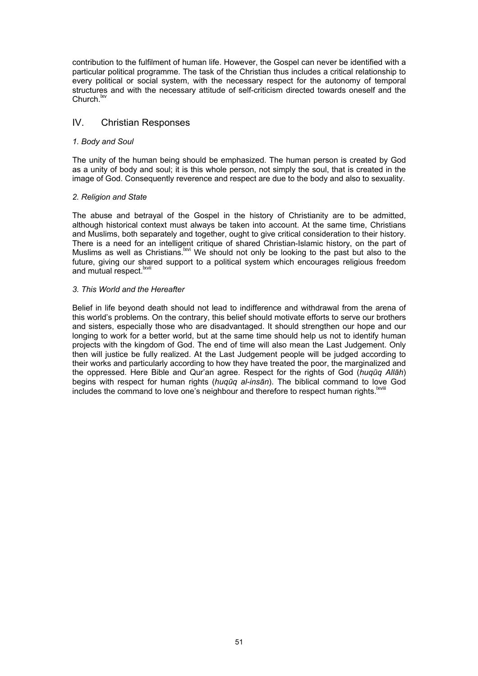contribution to the fulfilment of human life. However, the Gospel can never be identified with a particular political programme. The task of the Christian thus includes a critical relationship to every political or social system, with the necessary respect for the autonomy of temporal structures and with the necessary attitude of self-criticism directed towards oneself and the Church.<sup>lxv</sup>

# IV. Christian Responses

#### *1. Body and Soul*

The unity of the human being should be emphasized. The human person is created by God as a unity of body and soul; it is this whole person, not simply the soul, that is created in the image of God. Consequently reverence and respect are due to the body and also to sexuality.

#### *2. Religion and State*

The abuse and betrayal of the Gospel in the history of Christianity are to be admitted, although historical context must always be taken into account. At the same time, Christians and Muslims, both separately and together, ought to give critical consideration to their history. There is a need for an intelligent critique of shared Christian-Islamic history, on the part of Muslims as well as Christians.lxvi We should not only be looking to the past but also to the future, giving our shared support to a political system which encourages religious freedom and mutual respect. $\frac{1}{x}$ 

#### *3. This World and the Hereafter*

Belief in life beyond death should not lead to indifference and withdrawal from the arena of this world's problems. On the contrary, this belief should motivate efforts to serve our brothers and sisters, especially those who are disadvantaged. It should strengthen our hope and our longing to work for a better world, but at the same time should help us not to identify human projects with the kingdom of God. The end of time will also mean the Last Judgement. Only then will justice be fully realized. At the Last Judgement people will be judged according to their works and particularly according to how they have treated the poor, the marginalized and the oppressed. Here Bible and Qur'an agree. Respect for the rights of God (*huqūq Allāh*) begins with respect for human rights (*huqūq al-insān*). The biblical command to love God includes the command to love one's neighbour and therefore to respect human rights.<sup>Ixviii</sup>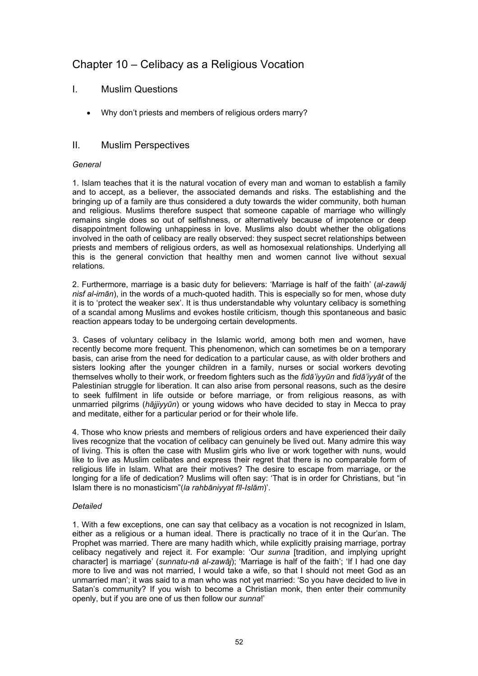# Chapter 10 – Celibacy as a Religious Vocation

# I. Muslim Questions

• Why don't priests and members of religious orders marry?

## II. Muslim Perspectives

#### *General*

1. Islam teaches that it is the natural vocation of every man and woman to establish a family and to accept, as a believer, the associated demands and risks. The establishing and the bringing up of a family are thus considered a duty towards the wider community, both human and religious. Muslims therefore suspect that someone capable of marriage who willingly remains single does so out of selfishness, or alternatively because of impotence or deep disappointment following unhappiness in love. Muslims also doubt whether the obligations involved in the oath of celibacy are really observed: they suspect secret relationships between priests and members of religious orders, as well as homosexual relationships. Underlying all this is the general conviction that healthy men and women cannot live without sexual relations.

2. Furthermore, marriage is a basic duty for believers: 'Marriage is half of the faith' (*al-zawāj nisf al-imān*), in the words of a much-quoted hadith. This is especially so for men, whose duty it is to 'protect the weaker sex'. It is thus understandable why voluntary celibacy is something of a scandal among Muslims and evokes hostile criticism, though this spontaneous and basic reaction appears today to be undergoing certain developments.

3. Cases of voluntary celibacy in the Islamic world, among both men and women, have recently become more frequent. This phenomenon, which can sometimes be on a temporary basis, can arise from the need for dedication to a particular cause, as with older brothers and sisters looking after the younger children in a family, nurses or social workers devoting themselves wholly to their work, or freedom fighters such as the *fidā'iyyūn* and *fidā'iyyāt* of the Palestinian struggle for liberation. It can also arise from personal reasons, such as the desire to seek fulfilment in life outside or before marriage, or from religious reasons, as with unmarried pilgrims (*hājjiyyūn*) or young widows who have decided to stay in Mecca to pray and meditate, either for a particular period or for their whole life.

4. Those who know priests and members of religious orders and have experienced their daily lives recognize that the vocation of celibacy can genuinely be lived out. Many admire this way of living. This is often the case with Muslim girls who live or work together with nuns, would like to live as Muslim celibates and express their regret that there is no comparable form of religious life in Islam. What are their motives? The desire to escape from marriage, or the longing for a life of dedication? Muslims will often say: 'That is in order for Christians, but "in Islam there is no monasticism"(*la rahbāniyyat fīl-Islām*)'.

## *Detailed*

1. With a few exceptions, one can say that celibacy as a vocation is not recognized in Islam, either as a religious or a human ideal. There is practically no trace of it in the Qur'an. The Prophet was married. There are many hadith which, while explicitly praising marriage, portray celibacy negatively and reject it. For example: 'Our *sunna* [tradition, and implying upright character] is marriage' (*sunnatu-nā al-zawāj*); 'Marriage is half of the faith'; 'If I had one day more to live and was not married, I would take a wife, so that I should not meet God as an unmarried man'; it was said to a man who was not yet married: 'So you have decided to live in Satan's community? If you wish to become a Christian monk, then enter their community openly, but if you are one of us then follow our *sunna*!'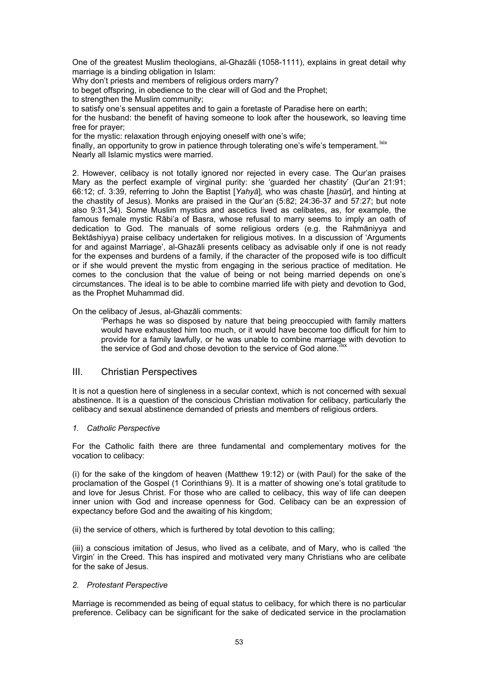One of the greatest Muslim theologians, al-Ghazāli (1058-1111), explains in great detail why marriage is a binding obligation in Islam:

Why don't priests and members of religious orders marry?

to beget offspring, in obedience to the clear will of God and the Prophet;

to strengthen the Muslim community;

to satisfy one's sensual appetites and to gain a foretaste of Paradise here on earth;

for the husband: the benefit of having someone to look after the housework, so leaving time free for prayer;

for the mystic: relaxation through enjoying oneself with one's wife;

finally, an opportunity to grow in patience through tolerating one's wife's temperament. Lxix Nearly all Islamic mystics were married.

2. However, celibacy is not totally ignored nor rejected in every case. The Qur'an praises Mary as the perfect example of virginal purity: she 'guarded her chastity' (Qur'an 21:91; 66:12; cf. 3:39, referring to John the Baptist [*Yahyā*], who was chaste [*hasūr*], and hinting at the chastity of Jesus). Monks are praised in the Qur'an (5:82; 24:36-37 and 57:27; but note also 9:31,34). Some Muslim mystics and ascetics lived as celibates, as, for example, the famous female mystic Rābi'a of Basra, whose refusal to marry seems to imply an oath of dedication to God. The manuals of some religious orders (e.g. the Rahmāniyya and Bektāshiyya) praise celibacy undertaken for religious motives. In a discussion of 'Arguments for and against Marriage', al-Ghazāli presents celibacy as advisable only if one is not ready for the expenses and burdens of a family, if the character of the proposed wife is too difficult or if she would prevent the mystic from engaging in the serious practice of meditation. He comes to the conclusion that the value of being or not being married depends on one's circumstances. The ideal is to be able to combine married life with piety and devotion to God, as the Prophet Muhammad did.

On the celibacy of Jesus, al-Ghazāli comments:

'Perhaps he was so disposed by nature that being preoccupied with family matters would have exhausted him too much, or it would have become too difficult for him to provide for a family lawfully, or he was unable to combine marriage with devotion to the service of God and chose devotion to the service of God alone.<sup>7</sup>

## III. Christian Perspectives

It is not a question here of singleness in a secular context, which is not concerned with sexual abstinence. It is a question of the conscious Christian motivation for celibacy, particularly the celibacy and sexual abstinence demanded of priests and members of religious orders.

#### *1. Catholic Perspective*

For the Catholic faith there are three fundamental and complementary motives for the vocation to celibacy:

(i) for the sake of the kingdom of heaven (Matthew 19:12) or (with Paul) for the sake of the proclamation of the Gospel (1 Corinthians 9). It is a matter of showing one's total gratitude to and love for Jesus Christ. For those who are called to celibacy, this way of life can deepen inner union with God and increase openness for God. Celibacy can be an expression of expectancy before God and the awaiting of his kingdom;

(ii) the service of others, which is furthered by total devotion to this calling;

(iii) a conscious imitation of Jesus, who lived as a celibate, and of Mary, who is called 'the Virgin' in the Creed. This has inspired and motivated very many Christians who are celibate for the sake of Jesus.

#### *2. Protestant Perspective*

Marriage is recommended as being of equal status to celibacy, for which there is no particular preference. Celibacy can be significant for the sake of dedicated service in the proclamation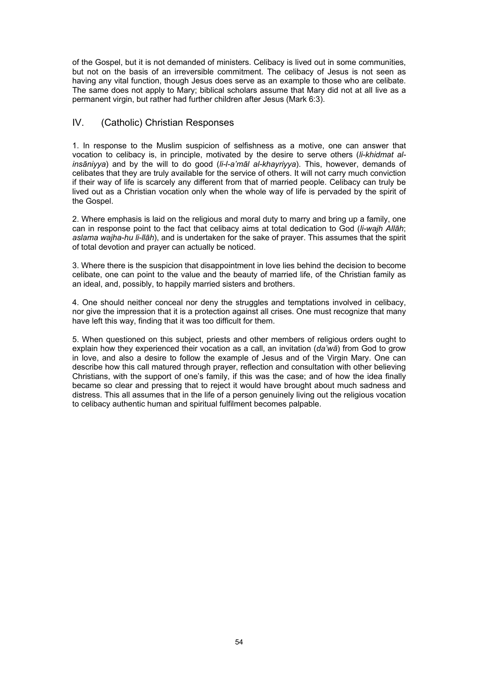of the Gospel, but it is not demanded of ministers. Celibacy is lived out in some communities, but not on the basis of an irreversible commitment. The celibacy of Jesus is not seen as having any vital function, though Jesus does serve as an example to those who are celibate. The same does not apply to Mary; biblical scholars assume that Mary did not at all live as a permanent virgin, but rather had further children after Jesus (Mark 6:3).

# IV. (Catholic) Christian Responses

1. In response to the Muslim suspicion of selfishness as a motive, one can answer that vocation to celibacy is, in principle, motivated by the desire to serve others (*li-khidmat alinsāniyya*) and by the will to do good (*li-l-a'māl al-khayriyya*). This, however, demands of celibates that they are truly available for the service of others. It will not carry much conviction if their way of life is scarcely any different from that of married people. Celibacy can truly be lived out as a Christian vocation only when the whole way of life is pervaded by the spirit of the Gospel.

2. Where emphasis is laid on the religious and moral duty to marry and bring up a family, one can in response point to the fact that celibacy aims at total dedication to God (*li-wajh Allāh*; *aslama wajha-hu li-llāh*), and is undertaken for the sake of prayer. This assumes that the spirit of total devotion and prayer can actually be noticed.

3. Where there is the suspicion that disappointment in love lies behind the decision to become celibate, one can point to the value and the beauty of married life, of the Christian family as an ideal, and, possibly, to happily married sisters and brothers.

4. One should neither conceal nor deny the struggles and temptations involved in celibacy, nor give the impression that it is a protection against all crises. One must recognize that many have left this way, finding that it was too difficult for them.

5. When questioned on this subject, priests and other members of religious orders ought to explain how they experienced their vocation as a call, an invitation (*da'wā*) from God to grow in love, and also a desire to follow the example of Jesus and of the Virgin Mary. One can describe how this call matured through prayer, reflection and consultation with other believing Christians, with the support of one's family, if this was the case; and of how the idea finally became so clear and pressing that to reject it would have brought about much sadness and distress. This all assumes that in the life of a person genuinely living out the religious vocation to celibacy authentic human and spiritual fulfilment becomes palpable.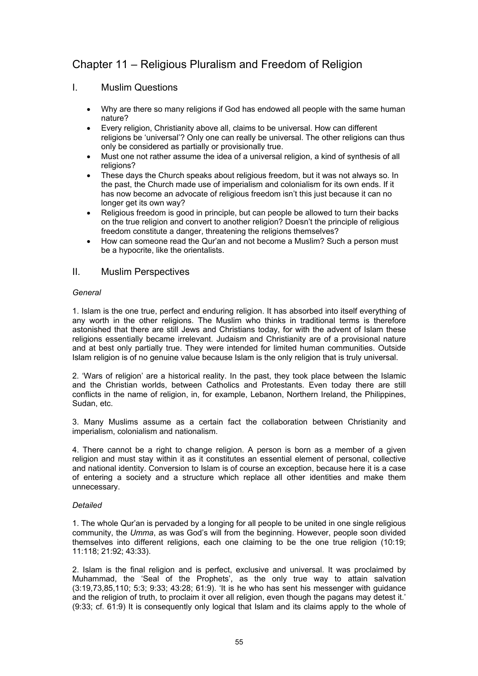# Chapter 11 – Religious Pluralism and Freedom of Religion

## I. Muslim Questions

- Why are there so many religions if God has endowed all people with the same human nature?
- Every religion, Christianity above all, claims to be universal. How can different religions be 'universal'? Only one can really be universal. The other religions can thus only be considered as partially or provisionally true.
- Must one not rather assume the idea of a universal religion, a kind of synthesis of all religions?
- These days the Church speaks about religious freedom, but it was not always so. In the past, the Church made use of imperialism and colonialism for its own ends. If it has now become an advocate of religious freedom isn't this just because it can no longer get its own way?
- Religious freedom is good in principle, but can people be allowed to turn their backs on the true religion and convert to another religion? Doesn't the principle of religious freedom constitute a danger, threatening the religions themselves?
- How can someone read the Qur'an and not become a Muslim? Such a person must be a hypocrite, like the orientalists.

## II. Muslim Perspectives

#### *General*

1. Islam is the one true, perfect and enduring religion. It has absorbed into itself everything of any worth in the other religions. The Muslim who thinks in traditional terms is therefore astonished that there are still Jews and Christians today, for with the advent of Islam these religions essentially became irrelevant. Judaism and Christianity are of a provisional nature and at best only partially true. They were intended for limited human communities. Outside Islam religion is of no genuine value because Islam is the only religion that is truly universal.

2. 'Wars of religion' are a historical reality. In the past, they took place between the Islamic and the Christian worlds, between Catholics and Protestants. Even today there are still conflicts in the name of religion, in, for example, Lebanon, Northern Ireland, the Philippines, Sudan, etc.

3. Many Muslims assume as a certain fact the collaboration between Christianity and imperialism, colonialism and nationalism.

4. There cannot be a right to change religion. A person is born as a member of a given religion and must stay within it as it constitutes an essential element of personal, collective and national identity. Conversion to Islam is of course an exception, because here it is a case of entering a society and a structure which replace all other identities and make them unnecessary.

## *Detailed*

1. The whole Qur'an is pervaded by a longing for all people to be united in one single religious community, the *Umma*, as was God's will from the beginning. However, people soon divided themselves into different religions, each one claiming to be the one true religion (10:19; 11:118; 21:92; 43:33).

2. Islam is the final religion and is perfect, exclusive and universal. It was proclaimed by Muhammad, the 'Seal of the Prophets', as the only true way to attain salvation (3:19,73,85,110; 5:3; 9:33; 43:28; 61:9). 'It is he who has sent his messenger with guidance and the religion of truth, to proclaim it over all religion, even though the pagans may detest it.' (9:33; cf. 61:9) It is consequently only logical that Islam and its claims apply to the whole of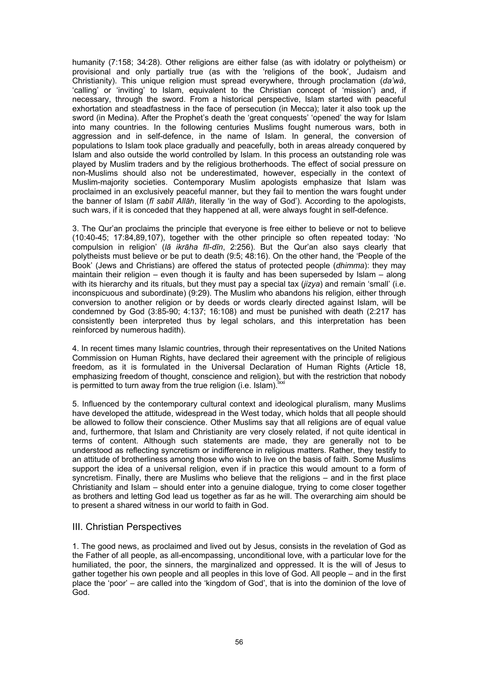humanity (7:158; 34:28). Other religions are either false (as with idolatry or polytheism) or provisional and only partially true (as with the 'religions of the book', Judaism and Christianity). This unique religion must spread everywhere, through proclamation (*da'wà*, 'calling' or 'inviting' to Islam, equivalent to the Christian concept of 'mission') and, if necessary, through the sword. From a historical perspective, Islam started with peaceful exhortation and steadfastness in the face of persecution (in Mecca); later it also took up the sword (in Medina). After the Prophet's death the 'great conquests' 'opened' the way for Islam into many countries. In the following centuries Muslims fought numerous wars, both in aggression and in self-defence, in the name of Islam. In general, the conversion of populations to Islam took place gradually and peacefully, both in areas already conquered by Islam and also outside the world controlled by Islam. In this process an outstanding role was played by Muslim traders and by the religious brotherhoods. The effect of social pressure on non-Muslims should also not be underestimated, however, especially in the context of Muslim-majority societies. Contemporary Muslim apologists emphasize that Islam was proclaimed in an exclusively peaceful manner, but they fail to mention the wars fought under the banner of Islam (*fī sabīl Allāh*, literally 'in the way of God'). According to the apologists, such wars, if it is conceded that they happened at all, were always fought in self-defence.

3. The Qur'an proclaims the principle that everyone is free either to believe or not to believe (10:40-45; 17:84,89,107), together with the other principle so often repeated today: 'No compulsion in religion' (*lā ikrāha fīl-dīn*, 2:256). But the Qur'an also says clearly that polytheists must believe or be put to death (9:5; 48:16). On the other hand, the 'People of the Book' (Jews and Christians) are offered the status of protected people (*dhimma*): they may maintain their religion – even though it is faulty and has been superseded by Islam – along with its hierarchy and its rituals, but they must pay a special tax (*jizya*) and remain 'small' (i.e. inconspicuous and subordinate) (9:29). The Muslim who abandons his religion, either through conversion to another religion or by deeds or words clearly directed against Islam, will be condemned by God (3:85-90; 4:137; 16:108) and must be punished with death (2:217 has consistently been interpreted thus by legal scholars, and this interpretation has been reinforced by numerous hadith).

4. In recent times many Islamic countries, through their representatives on the United Nations Commission on Human Rights, have declared their agreement with the principle of religious freedom, as it is formulated in the Universal Declaration of Human Rights (Article 18, emphasizing freedom of thought, conscience and religion), but with the restriction that nobody is permitted to turn away from the true religion (i.e. Islam).

5. Influenced by the contemporary cultural context and ideological pluralism, many Muslims have developed the attitude, widespread in the West today, which holds that all people should be allowed to follow their conscience. Other Muslims say that all religions are of equal value and, furthermore, that Islam and Christianity are very closely related, if not quite identical in terms of content. Although such statements are made, they are generally not to be understood as reflecting syncretism or indifference in religious matters. Rather, they testify to an attitude of brotherliness among those who wish to live on the basis of faith. Some Muslims support the idea of a universal religion, even if in practice this would amount to a form of syncretism. Finally, there are Muslims who believe that the religions – and in the first place Christianity and Islam – should enter into a genuine dialogue, trying to come closer together as brothers and letting God lead us together as far as he will. The overarching aim should be to present a shared witness in our world to faith in God.

## III. Christian Perspectives

1. The good news, as proclaimed and lived out by Jesus, consists in the revelation of God as the Father of all people, as all-encompassing, unconditional love, with a particular love for the humiliated, the poor, the sinners, the marginalized and oppressed. It is the will of Jesus to gather together his own people and all peoples in this love of God. All people – and in the first place the 'poor' – are called into the 'kingdom of God', that is into the dominion of the love of God.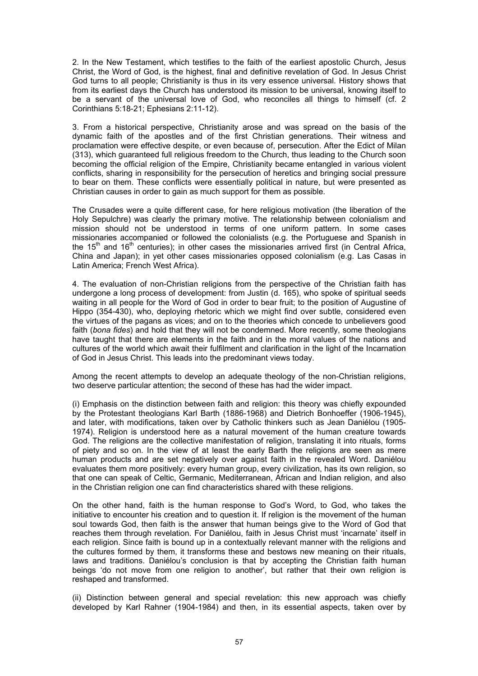2. In the New Testament, which testifies to the faith of the earliest apostolic Church, Jesus Christ, the Word of God, is the highest, final and definitive revelation of God. In Jesus Christ God turns to all people; Christianity is thus in its very essence universal. History shows that from its earliest days the Church has understood its mission to be universal, knowing itself to be a servant of the universal love of God, who reconciles all things to himself (cf. 2 Corinthians 5:18-21; Ephesians 2:11-12).

3. From a historical perspective, Christianity arose and was spread on the basis of the dynamic faith of the apostles and of the first Christian generations. Their witness and proclamation were effective despite, or even because of, persecution. After the Edict of Milan (313), which guaranteed full religious freedom to the Church, thus leading to the Church soon becoming the official religion of the Empire, Christianity became entangled in various violent conflicts, sharing in responsibility for the persecution of heretics and bringing social pressure to bear on them. These conflicts were essentially political in nature, but were presented as Christian causes in order to gain as much support for them as possible.

The Crusades were a quite different case, for here religious motivation (the liberation of the Holy Sepulchre) was clearly the primary motive. The relationship between colonialism and mission should not be understood in terms of one uniform pattern. In some cases missionaries accompanied or followed the colonialists (e.g. the Portuguese and Spanish in the 15<sup>th</sup> and 16<sup>th</sup> centuries); in other cases the missionaries arrived first (in Central Africa, China and Japan); in yet other cases missionaries opposed colonialism (e.g. Las Casas in Latin America; French West Africa).

4. The evaluation of non-Christian religions from the perspective of the Christian faith has undergone a long process of development: from Justin (d. 165), who spoke of spiritual seeds waiting in all people for the Word of God in order to bear fruit; to the position of Augustine of Hippo (354-430), who, deploying rhetoric which we might find over subtle, considered even the virtues of the pagans as vices; and on to the theories which concede to unbelievers good faith (*bona fides*) and hold that they will not be condemned. More recently, some theologians have taught that there are elements in the faith and in the moral values of the nations and cultures of the world which await their fulfilment and clarification in the light of the Incarnation of God in Jesus Christ. This leads into the predominant views today.

Among the recent attempts to develop an adequate theology of the non-Christian religions, two deserve particular attention; the second of these has had the wider impact.

(i) Emphasis on the distinction between faith and religion: this theory was chiefly expounded by the Protestant theologians Karl Barth (1886-1968) and Dietrich Bonhoeffer (1906-1945), and later, with modifications, taken over by Catholic thinkers such as Jean Daniélou (1905- 1974). Religion is understood here as a natural movement of the human creature towards God. The religions are the collective manifestation of religion, translating it into rituals, forms of piety and so on. In the view of at least the early Barth the religions are seen as mere human products and are set negatively over against faith in the revealed Word. Daniélou evaluates them more positively: every human group, every civilization, has its own religion, so that one can speak of Celtic, Germanic, Mediterranean, African and Indian religion, and also in the Christian religion one can find characteristics shared with these religions.

On the other hand, faith is the human response to God's Word, to God, who takes the initiative to encounter his creation and to question it. If religion is the movement of the human soul towards God, then faith is the answer that human beings give to the Word of God that reaches them through revelation. For Daniélou, faith in Jesus Christ must 'incarnate' itself in each religion. Since faith is bound up in a contextually relevant manner with the religions and the cultures formed by them, it transforms these and bestows new meaning on their rituals, laws and traditions. Daniélou's conclusion is that by accepting the Christian faith human beings 'do not move from one religion to another', but rather that their own religion is reshaped and transformed.

(ii) Distinction between general and special revelation: this new approach was chiefly developed by Karl Rahner (1904-1984) and then, in its essential aspects, taken over by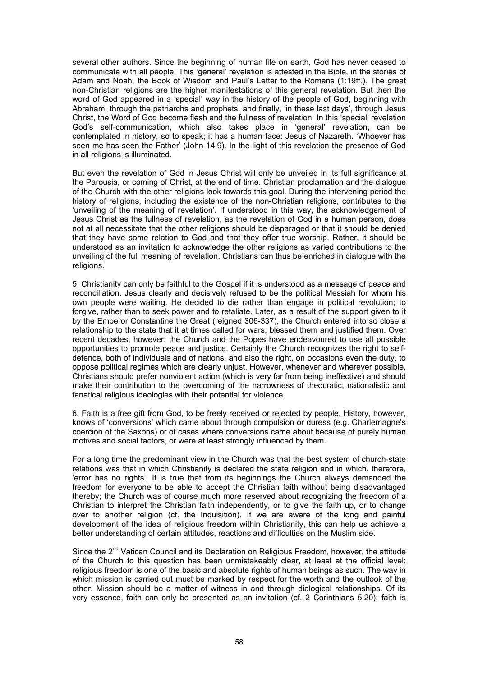several other authors. Since the beginning of human life on earth, God has never ceased to communicate with all people. This 'general' revelation is attested in the Bible, in the stories of Adam and Noah, the Book of Wisdom and Paul's Letter to the Romans (1:19ff.). The great non-Christian religions are the higher manifestations of this general revelation. But then the word of God appeared in a 'special' way in the history of the people of God, beginning with Abraham, through the patriarchs and prophets, and finally, 'in these last days', through Jesus Christ, the Word of God become flesh and the fullness of revelation. In this 'special' revelation God's self-communication, which also takes place in 'general' revelation, can be contemplated in history, so to speak; it has a human face: Jesus of Nazareth. 'Whoever has seen me has seen the Father' (John 14:9). In the light of this revelation the presence of God in all religions is illuminated.

But even the revelation of God in Jesus Christ will only be unveiled in its full significance at the Parousia, or coming of Christ, at the end of time. Christian proclamation and the dialogue of the Church with the other religions look towards this goal. During the intervening period the history of religions, including the existence of the non-Christian religions, contributes to the 'unveiling of the meaning of revelation'. If understood in this way, the acknowledgement of Jesus Christ as the fullness of revelation, as the revelation of God in a human person, does not at all necessitate that the other religions should be disparaged or that it should be denied that they have some relation to God and that they offer true worship. Rather, it should be understood as an invitation to acknowledge the other religions as varied contributions to the unveiling of the full meaning of revelation. Christians can thus be enriched in dialogue with the religions.

5. Christianity can only be faithful to the Gospel if it is understood as a message of peace and reconciliation. Jesus clearly and decisively refused to be the political Messiah for whom his own people were waiting. He decided to die rather than engage in political revolution; to forgive, rather than to seek power and to retaliate. Later, as a result of the support given to it by the Emperor Constantine the Great (reigned 306-337), the Church entered into so close a relationship to the state that it at times called for wars, blessed them and justified them. Over recent decades, however, the Church and the Popes have endeavoured to use all possible opportunities to promote peace and justice. Certainly the Church recognizes the right to selfdefence, both of individuals and of nations, and also the right, on occasions even the duty, to oppose political regimes which are clearly unjust. However, whenever and wherever possible, Christians should prefer nonviolent action (which is very far from being ineffective) and should make their contribution to the overcoming of the narrowness of theocratic, nationalistic and fanatical religious ideologies with their potential for violence.

6. Faith is a free gift from God, to be freely received or rejected by people. History, however, knows of 'conversions' which came about through compulsion or duress (e.g. Charlemagne's coercion of the Saxons) or of cases where conversions came about because of purely human motives and social factors, or were at least strongly influenced by them.

For a long time the predominant view in the Church was that the best system of church-state relations was that in which Christianity is declared the state religion and in which, therefore, 'error has no rights'. It is true that from its beginnings the Church always demanded the freedom for everyone to be able to accept the Christian faith without being disadvantaged thereby; the Church was of course much more reserved about recognizing the freedom of a Christian to interpret the Christian faith independently, or to give the faith up, or to change over to another religion (cf. the Inquisition). If we are aware of the long and painful development of the idea of religious freedom within Christianity, this can help us achieve a better understanding of certain attitudes, reactions and difficulties on the Muslim side.

Since the 2<sup>nd</sup> Vatican Council and its Declaration on Religious Freedom, however, the attitude of the Church to this question has been unmistakeably clear, at least at the official level: religious freedom is one of the basic and absolute rights of human beings as such. The way in which mission is carried out must be marked by respect for the worth and the outlook of the other. Mission should be a matter of witness in and through dialogical relationships. Of its very essence, faith can only be presented as an invitation (cf. 2 Corinthians 5:20); faith is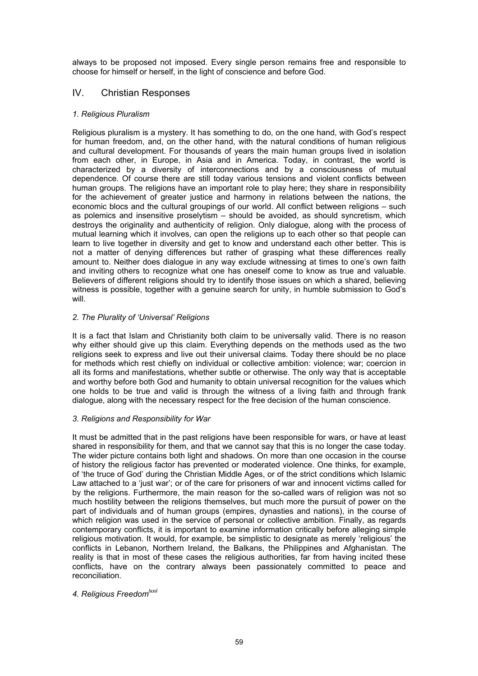always to be proposed not imposed. Every single person remains free and responsible to choose for himself or herself, in the light of conscience and before God.

# IV. Christian Responses

## *1. Religious Pluralism*

Religious pluralism is a mystery. It has something to do, on the one hand, with God's respect for human freedom, and, on the other hand, with the natural conditions of human religious and cultural development. For thousands of years the main human groups lived in isolation from each other, in Europe, in Asia and in America. Today, in contrast, the world is characterized by a diversity of interconnections and by a consciousness of mutual dependence. Of course there are still today various tensions and violent conflicts between human groups. The religions have an important role to play here; they share in responsibility for the achievement of greater justice and harmony in relations between the nations, the economic blocs and the cultural groupings of our world. All conflict between religions – such as polemics and insensitive proselytism – should be avoided, as should syncretism, which destroys the originality and authenticity of religion. Only dialogue, along with the process of mutual learning which it involves, can open the religions up to each other so that people can learn to live together in diversity and get to know and understand each other better. This is not a matter of denying differences but rather of grasping what these differences really amount to. Neither does dialogue in any way exclude witnessing at times to one's own faith and inviting others to recognize what one has oneself come to know as true and valuable. Believers of different religions should try to identify those issues on which a shared, believing witness is possible, together with a genuine search for unity, in humble submission to God's will.

#### *2. The Plurality of 'Universal' Religions*

It is a fact that Islam and Christianity both claim to be universally valid. There is no reason why either should give up this claim. Everything depends on the methods used as the two religions seek to express and live out their universal claims. Today there should be no place for methods which rest chiefly on individual or collective ambition: violence; war; coercion in all its forms and manifestations, whether subtle or otherwise. The only way that is acceptable and worthy before both God and humanity to obtain universal recognition for the values which one holds to be true and valid is through the witness of a living faith and through frank dialogue, along with the necessary respect for the free decision of the human conscience.

## *3. Religions and Responsibility for War*

It must be admitted that in the past religions have been responsible for wars, or have at least shared in responsibility for them, and that we cannot say that this is no longer the case today. The wider picture contains both light and shadows. On more than one occasion in the course of history the religious factor has prevented or moderated violence. One thinks, for example, of 'the truce of God' during the Christian Middle Ages, or of the strict conditions which Islamic Law attached to a 'just war'; or of the care for prisoners of war and innocent victims called for by the religions. Furthermore, the main reason for the so-called wars of religion was not so much hostility between the religions themselves, but much more the pursuit of power on the part of individuals and of human groups (empires, dynasties and nations), in the course of which religion was used in the service of personal or collective ambition. Finally, as regards contemporary conflicts, it is important to examine information critically before alleging simple religious motivation. It would, for example, be simplistic to designate as merely 'religious' the conflicts in Lebanon, Northern Ireland, the Balkans, the Philippines and Afghanistan. The reality is that in most of these cases the religious authorities, far from having incited these conflicts, have on the contrary always been passionately committed to peace and reconciliation.

# *4. Religious Freedomlxxii*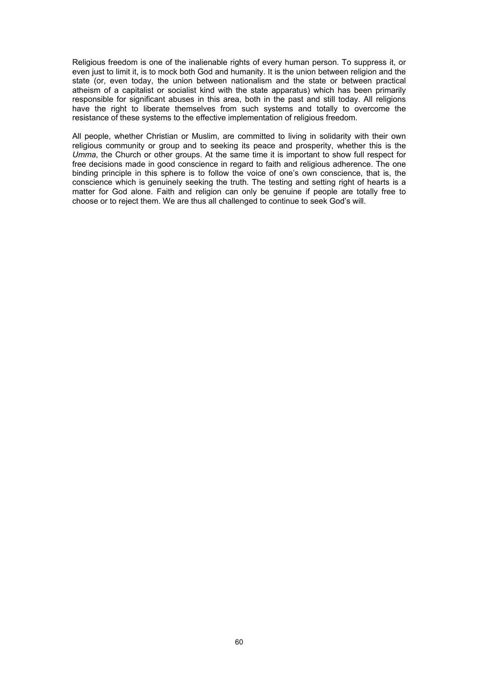Religious freedom is one of the inalienable rights of every human person. To suppress it, or even just to limit it, is to mock both God and humanity. It is the union between religion and the state (or, even today, the union between nationalism and the state or between practical atheism of a capitalist or socialist kind with the state apparatus) which has been primarily responsible for significant abuses in this area, both in the past and still today. All religions have the right to liberate themselves from such systems and totally to overcome the resistance of these systems to the effective implementation of religious freedom.

All people, whether Christian or Muslim, are committed to living in solidarity with their own religious community or group and to seeking its peace and prosperity, whether this is the *Umma*, the Church or other groups. At the same time it is important to show full respect for free decisions made in good conscience in regard to faith and religious adherence. The one binding principle in this sphere is to follow the voice of one's own conscience, that is, the conscience which is genuinely seeking the truth. The testing and setting right of hearts is a matter for God alone. Faith and religion can only be genuine if people are totally free to choose or to reject them. We are thus all challenged to continue to seek God's will.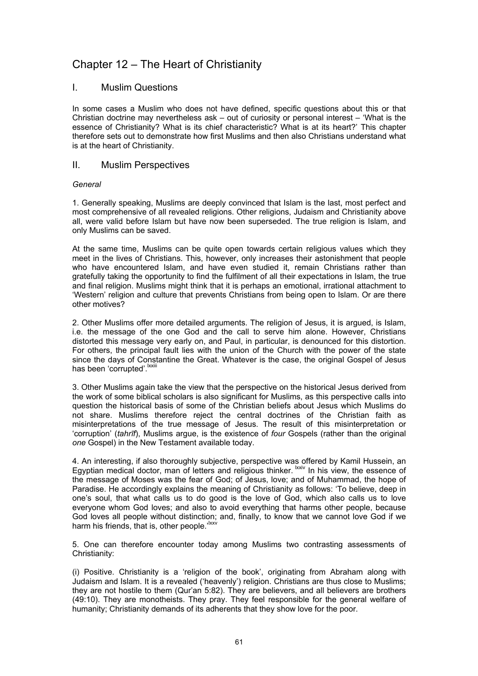# Chapter 12 – The Heart of Christianity

## I. Muslim Questions

In some cases a Muslim who does not have defined, specific questions about this or that Christian doctrine may nevertheless ask – out of curiosity or personal interest – 'What is the essence of Christianity? What is its chief characteristic? What is at its heart?' This chapter therefore sets out to demonstrate how first Muslims and then also Christians understand what is at the heart of Christianity.

## II. Muslim Perspectives

#### *General*

1. Generally speaking, Muslims are deeply convinced that Islam is the last, most perfect and most comprehensive of all revealed religions. Other religions, Judaism and Christianity above all, were valid before Islam but have now been superseded. The true religion is Islam, and only Muslims can be saved.

At the same time, Muslims can be quite open towards certain religious values which they meet in the lives of Christians. This, however, only increases their astonishment that people who have encountered Islam, and have even studied it, remain Christians rather than gratefully taking the opportunity to find the fulfilment of all their expectations in Islam, the true and final religion. Muslims might think that it is perhaps an emotional, irrational attachment to 'Western' religion and culture that prevents Christians from being open to Islam. Or are there other motives?

2. Other Muslims offer more detailed arguments. The religion of Jesus, it is argued, is Islam, i.e. the message of the one God and the call to serve him alone. However, Christians distorted this message very early on, and Paul, in particular, is denounced for this distortion. For others, the principal fault lies with the union of the Church with the power of the state since the days of Constantine the Great. Whatever is the case, the original Gospel of Jesus has been 'corrupted'. Ixxiii

3. Other Muslims again take the view that the perspective on the historical Jesus derived from the work of some biblical scholars is also significant for Muslims, as this perspective calls into question the historical basis of some of the Christian beliefs about Jesus which Muslims do not share. Muslims therefore reject the central doctrines of the Christian faith as misinterpretations of the true message of Jesus. The result of this misinterpretation or 'corruption' (*tahrīf*), Muslims argue, is the existence of *four* Gospels (rather than the original *one* Gospel) in the New Testament available today.

4. An interesting, if also thoroughly subjective, perspective was offered by Kamil Hussein, an Egyptian medical doctor, man of letters and religious thinker. Ixxiv In his view, the essence of the message of Moses was the fear of God; of Jesus, love; and of Muhammad, the hope of Paradise. He accordingly explains the meaning of Christianity as follows: 'To believe, deep in one's soul, that what calls us to do good is the love of God, which also calls us to love everyone whom God loves; and also to avoid everything that harms other people, because God loves all people without distinction; and, finally, to know that we cannot love God if we harm his friends, that is, other people.<sup>, lxxv</sup>

5. One can therefore encounter today among Muslims two contrasting assessments of Christianity:

(i) Positive. Christianity is a 'religion of the book', originating from Abraham along with Judaism and Islam. It is a revealed ('heavenly') religion. Christians are thus close to Muslims; they are not hostile to them (Qur'an 5:82). They are believers, and all believers are brothers (49:10). They are monotheists. They pray. They feel responsible for the general welfare of humanity; Christianity demands of its adherents that they show love for the poor.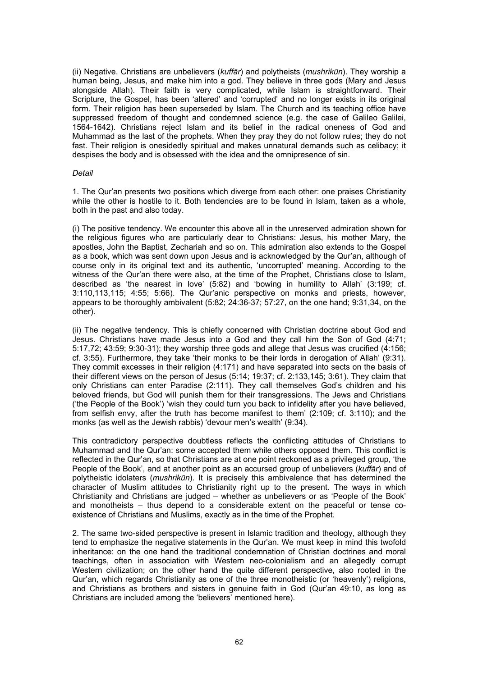(ii) Negative. Christians are unbelievers (*kuffār*) and polytheists (*mushrikūn*). They worship a human being, Jesus, and make him into a god. They believe in three gods (Mary and Jesus alongside Allah). Their faith is very complicated, while Islam is straightforward. Their Scripture, the Gospel, has been 'altered' and 'corrupted' and no longer exists in its original form. Their religion has been superseded by Islam. The Church and its teaching office have suppressed freedom of thought and condemned science (e.g. the case of Galileo Galilei, 1564-1642). Christians reject Islam and its belief in the radical oneness of God and Muhammad as the last of the prophets. When they pray they do not follow rules; they do not fast. Their religion is onesidedly spiritual and makes unnatural demands such as celibacy; it despises the body and is obsessed with the idea and the omnipresence of sin.

#### *Detail*

1. The Qur'an presents two positions which diverge from each other: one praises Christianity while the other is hostile to it. Both tendencies are to be found in Islam, taken as a whole, both in the past and also today.

(i) The positive tendency. We encounter this above all in the unreserved admiration shown for the religious figures who are particularly dear to Christians: Jesus, his mother Mary, the apostles, John the Baptist, Zechariah and so on. This admiration also extends to the Gospel as a book, which was sent down upon Jesus and is acknowledged by the Qur'an, although of course only in its original text and its authentic, 'uncorrupted' meaning. According to the witness of the Qur'an there were also, at the time of the Prophet, Christians close to Islam, described as 'the nearest in love' (5:82) and 'bowing in humility to Allah' (3:199; cf. 3:110,113,115; 4:55; 5:66). The Qur'anic perspective on monks and priests, however, appears to be thoroughly ambivalent (5:82; 24:36-37; 57:27, on the one hand; 9:31,34, on the other).

(ii) The negative tendency. This is chiefly concerned with Christian doctrine about God and Jesus. Christians have made Jesus into a God and they call him the Son of God (4:71; 5:17,72; 43:59; 9:30-31); they worship three gods and allege that Jesus was crucified (4:156; cf. 3:55). Furthermore, they take 'their monks to be their lords in derogation of Allah' (9:31). They commit excesses in their religion (4:171) and have separated into sects on the basis of their different views on the person of Jesus (5:14; 19:37; cf. 2:133,145; 3:61). They claim that only Christians can enter Paradise (2:111). They call themselves God's children and his beloved friends, but God will punish them for their transgressions. The Jews and Christians ('the People of the Book') 'wish they could turn you back to infidelity after you have believed, from selfish envy, after the truth has become manifest to them' (2:109; cf. 3:110); and the monks (as well as the Jewish rabbis) 'devour men's wealth' (9:34).

This contradictory perspective doubtless reflects the conflicting attitudes of Christians to Muhammad and the Qur'an: some accepted them while others opposed them. This conflict is reflected in the Qur'an, so that Christians are at one point reckoned as a privileged group, 'the People of the Book', and at another point as an accursed group of unbelievers (*kuffār*) and of polytheistic idolaters (*mushrikūn*). It is precisely this ambivalence that has determined the character of Muslim attitudes to Christianity right up to the present. The ways in which Christianity and Christians are judged – whether as unbelievers or as 'People of the Book' and monotheists – thus depend to a considerable extent on the peaceful or tense coexistence of Christians and Muslims, exactly as in the time of the Prophet.

2. The same two-sided perspective is present in Islamic tradition and theology, although they tend to emphasize the negative statements in the Qur'an. We must keep in mind this twofold inheritance: on the one hand the traditional condemnation of Christian doctrines and moral teachings, often in association with Western neo-colonialism and an allegedly corrupt Western civilization; on the other hand the quite different perspective, also rooted in the Qur'an, which regards Christianity as one of the three monotheistic (or 'heavenly') religions, and Christians as brothers and sisters in genuine faith in God (Qur'an 49:10, as long as Christians are included among the 'believers' mentioned here).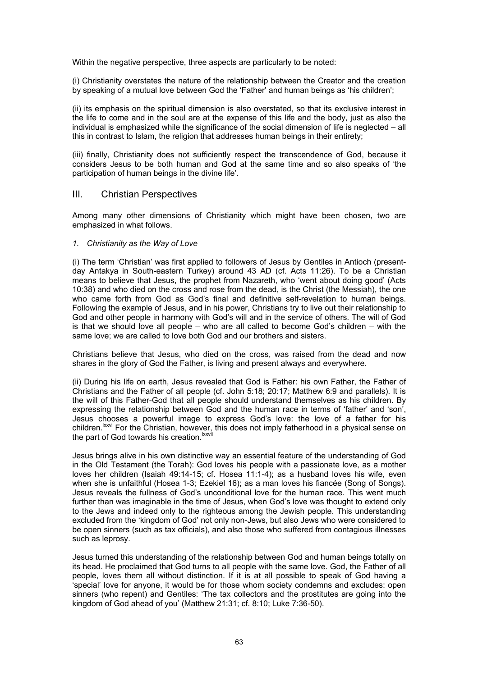Within the negative perspective, three aspects are particularly to be noted:

(i) Christianity overstates the nature of the relationship between the Creator and the creation by speaking of a mutual love between God the 'Father' and human beings as 'his children';

(ii) its emphasis on the spiritual dimension is also overstated, so that its exclusive interest in the life to come and in the soul are at the expense of this life and the body, just as also the individual is emphasized while the significance of the social dimension of life is neglected – all this in contrast to Islam, the religion that addresses human beings in their entirety;

(iii) finally, Christianity does not sufficiently respect the transcendence of God, because it considers Jesus to be both human and God at the same time and so also speaks of 'the participation of human beings in the divine life'.

## III. Christian Perspectives

Among many other dimensions of Christianity which might have been chosen, two are emphasized in what follows.

#### *1. Christianity as the Way of Love*

(i) The term 'Christian' was first applied to followers of Jesus by Gentiles in Antioch (presentday Antakya in South-eastern Turkey) around 43 AD (cf. Acts 11:26). To be a Christian means to believe that Jesus, the prophet from Nazareth, who 'went about doing good' (Acts 10:38) and who died on the cross and rose from the dead, is the Christ (the Messiah), the one who came forth from God as God's final and definitive self-revelation to human beings. Following the example of Jesus, and in his power, Christians try to live out their relationship to God and other people in harmony with God's will and in the service of others. The will of God is that we should love all people – who are all called to become God's children – with the same love; we are called to love both God and our brothers and sisters.

Christians believe that Jesus, who died on the cross, was raised from the dead and now shares in the glory of God the Father, is living and present always and everywhere.

(ii) During his life on earth, Jesus revealed that God is Father: his own Father, the Father of Christians and the Father of all people (cf. John 5:18; 20:17; Matthew 6:9 and parallels). It is the will of this Father-God that all people should understand themselves as his children. By expressing the relationship between God and the human race in terms of 'father' and 'son', Jesus chooses a powerful image to express God's love: the love of a father for his children.<sup>Ixxvi</sup> For the Christian, however, this does not imply fatherhood in a physical sense on the part of God towards his creation.<sup>lxxvii</sup>

Jesus brings alive in his own distinctive way an essential feature of the understanding of God in the Old Testament (the Torah): God loves his people with a passionate love, as a mother loves her children (Isaiah 49:14-15; cf. Hosea 11:1-4); as a husband loves his wife, even when she is unfaithful (Hosea 1-3; Ezekiel 16); as a man loves his fiancée (Song of Songs). Jesus reveals the fullness of God's unconditional love for the human race. This went much further than was imaginable in the time of Jesus, when God's love was thought to extend only to the Jews and indeed only to the righteous among the Jewish people. This understanding excluded from the 'kingdom of God' not only non-Jews, but also Jews who were considered to be open sinners (such as tax officials), and also those who suffered from contagious illnesses such as leprosy.

Jesus turned this understanding of the relationship between God and human beings totally on its head. He proclaimed that God turns to all people with the same love. God, the Father of all people, loves them all without distinction. If it is at all possible to speak of God having a 'special' love for anyone, it would be for those whom society condemns and excludes: open sinners (who repent) and Gentiles: 'The tax collectors and the prostitutes are going into the kingdom of God ahead of you' (Matthew 21:31; cf. 8:10; Luke 7:36-50).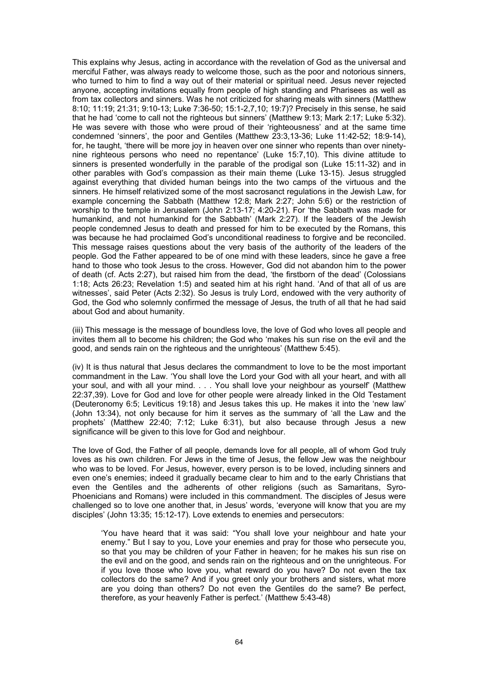This explains why Jesus, acting in accordance with the revelation of God as the universal and merciful Father, was always ready to welcome those, such as the poor and notorious sinners, who turned to him to find a way out of their material or spiritual need. Jesus never rejected anyone, accepting invitations equally from people of high standing and Pharisees as well as from tax collectors and sinners. Was he not criticized for sharing meals with sinners (Matthew 8:10; 11:19; 21:31; 9:10-13; Luke 7:36-50; 15:1-2,7,10; 19:7)? Precisely in this sense, he said that he had 'come to call not the righteous but sinners' (Matthew 9:13; Mark 2:17; Luke 5:32). He was severe with those who were proud of their 'righteousness' and at the same time condemned 'sinners', the poor and Gentiles (Matthew 23:3,13-36; Luke 11:42-52; 18:9-14), for, he taught, 'there will be more joy in heaven over one sinner who repents than over ninetynine righteous persons who need no repentance' (Luke 15:7,10). This divine attitude to sinners is presented wonderfully in the parable of the prodigal son (Luke 15:11-32) and in other parables with God's compassion as their main theme (Luke 13-15). Jesus struggled against everything that divided human beings into the two camps of the virtuous and the sinners. He himself relativized some of the most sacrosanct regulations in the Jewish Law, for example concerning the Sabbath (Matthew 12:8; Mark 2:27; John 5:6) or the restriction of worship to the temple in Jerusalem (John 2:13-17; 4:20-21). For 'the Sabbath was made for humankind, and not humankind for the Sabbath' (Mark 2:27). If the leaders of the Jewish people condemned Jesus to death and pressed for him to be executed by the Romans, this was because he had proclaimed God's unconditional readiness to forgive and be reconciled. This message raises questions about the very basis of the authority of the leaders of the people. God the Father appeared to be of one mind with these leaders, since he gave a free hand to those who took Jesus to the cross. However, God did not abandon him to the power of death (cf. Acts 2:27), but raised him from the dead, 'the firstborn of the dead' (Colossians 1:18; Acts 26:23; Revelation 1:5) and seated him at his right hand. 'And of that all of us are witnesses', said Peter (Acts 2:32). So Jesus is truly Lord, endowed with the very authority of God, the God who solemnly confirmed the message of Jesus, the truth of all that he had said about God and about humanity.

(iii) This message is the message of boundless love, the love of God who loves all people and invites them all to become his children; the God who 'makes his sun rise on the evil and the good, and sends rain on the righteous and the unrighteous' (Matthew 5:45).

(iv) It is thus natural that Jesus declares the commandment to love to be the most important commandment in the Law. 'You shall love the Lord your God with all your heart, and with all your soul, and with all your mind. . . . You shall love your neighbour as yourself' (Matthew 22:37,39). Love for God and love for other people were already linked in the Old Testament (Deuteronomy 6:5; Leviticus 19:18) and Jesus takes this up. He makes it into the 'new law' (John 13:34), not only because for him it serves as the summary of 'all the Law and the prophets' (Matthew 22:40; 7:12; Luke 6:31), but also because through Jesus a new significance will be given to this love for God and neighbour.

The love of God, the Father of all people, demands love for all people, all of whom God truly loves as his own children. For Jews in the time of Jesus, the fellow Jew was the neighbour who was to be loved. For Jesus, however, every person is to be loved, including sinners and even one's enemies; indeed it gradually became clear to him and to the early Christians that even the Gentiles and the adherents of other religions (such as Samaritans, Syro-Phoenicians and Romans) were included in this commandment. The disciples of Jesus were challenged so to love one another that, in Jesus' words, 'everyone will know that you are my disciples' (John 13:35; 15:12-17). Love extends to enemies and persecutors:

'You have heard that it was said: "You shall love your neighbour and hate your enemy." But I say to you, Love your enemies and pray for those who persecute you, so that you may be children of your Father in heaven; for he makes his sun rise on the evil and on the good, and sends rain on the righteous and on the unrighteous. For if you love those who love you, what reward do you have? Do not even the tax collectors do the same? And if you greet only your brothers and sisters, what more are you doing than others? Do not even the Gentiles do the same? Be perfect, therefore, as your heavenly Father is perfect.' (Matthew 5:43-48)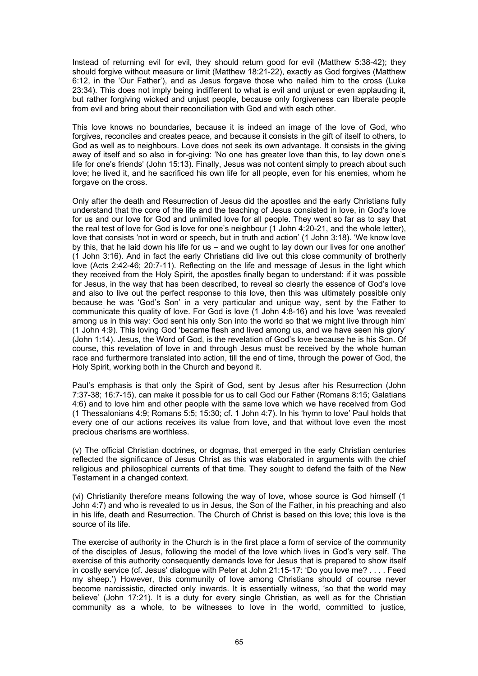Instead of returning evil for evil, they should return good for evil (Matthew 5:38-42); they should forgive without measure or limit (Matthew 18:21-22), exactly as God forgives (Matthew 6:12, in the 'Our Father'), and as Jesus forgave those who nailed him to the cross (Luke 23:34). This does not imply being indifferent to what is evil and unjust or even applauding it, but rather forgiving wicked and unjust people, because only forgiveness can liberate people from evil and bring about their reconciliation with God and with each other.

This love knows no boundaries, because it is indeed an image of the love of God, who forgives, reconciles and creates peace, and because it consists in the gift of itself to others, to God as well as to neighbours. Love does not seek its own advantage. It consists in the giving away of itself and so also in for-giving: 'No one has greater love than this, to lay down one's life for one's friends' (John 15:13). Finally, Jesus was not content simply to preach about such love; he lived it, and he sacrificed his own life for all people, even for his enemies, whom he forgave on the cross.

Only after the death and Resurrection of Jesus did the apostles and the early Christians fully understand that the core of the life and the teaching of Jesus consisted in love, in God's love for us and our love for God and unlimited love for all people. They went so far as to say that the real test of love for God is love for one's neighbour (1 John 4:20-21, and the whole letter), love that consists 'not in word or speech, but in truth and action' (1 John 3:18). 'We know love by this, that he laid down his life for us – and we ought to lay down our lives for one another' (1 John 3:16). And in fact the early Christians did live out this close community of brotherly love (Acts 2:42-46; 20:7-11). Reflecting on the life and message of Jesus in the light which they received from the Holy Spirit, the apostles finally began to understand: if it was possible for Jesus, in the way that has been described, to reveal so clearly the essence of God's love and also to live out the perfect response to this love, then this was ultimately possible only because he was 'God's Son' in a very particular and unique way, sent by the Father to communicate this quality of love. For God is love (1 John 4:8-16) and his love 'was revealed among us in this way: God sent his only Son into the world so that we might live through him' (1 John 4:9). This loving God 'became flesh and lived among us, and we have seen his glory' (John 1:14). Jesus, the Word of God, is the revelation of God's love because he is his Son. Of course, this revelation of love in and through Jesus must be received by the whole human race and furthermore translated into action, till the end of time, through the power of God, the Holy Spirit, working both in the Church and beyond it.

Paul's emphasis is that only the Spirit of God, sent by Jesus after his Resurrection (John 7:37-38; 16:7-15), can make it possible for us to call God our Father (Romans 8:15; Galatians 4:6) and to love him and other people with the same love which we have received from God (1 Thessalonians 4:9; Romans 5:5; 15:30; cf. 1 John 4:7). In his 'hymn to love' Paul holds that every one of our actions receives its value from love, and that without love even the most precious charisms are worthless.

(v) The official Christian doctrines, or dogmas, that emerged in the early Christian centuries reflected the significance of Jesus Christ as this was elaborated in arguments with the chief religious and philosophical currents of that time. They sought to defend the faith of the New Testament in a changed context.

(vi) Christianity therefore means following the way of love, whose source is God himself (1 John 4:7) and who is revealed to us in Jesus, the Son of the Father, in his preaching and also in his life, death and Resurrection. The Church of Christ is based on this love; this love is the source of its life.

The exercise of authority in the Church is in the first place a form of service of the community of the disciples of Jesus, following the model of the love which lives in God's very self. The exercise of this authority consequently demands love for Jesus that is prepared to show itself in costly service (cf. Jesus' dialogue with Peter at John 21:15-17: 'Do you love me? . . . . Feed my sheep.') However, this community of love among Christians should of course never become narcissistic, directed only inwards. It is essentially witness, 'so that the world may believe' (John 17:21). It is a duty for every single Christian, as well as for the Christian community as a whole, to be witnesses to love in the world, committed to justice,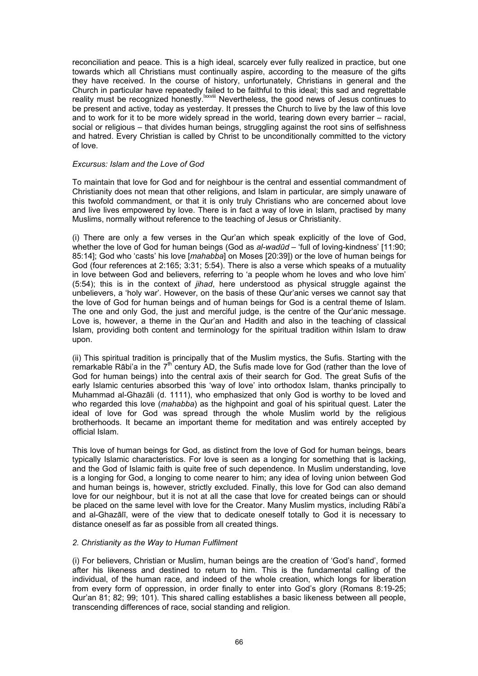reconciliation and peace. This is a high ideal, scarcely ever fully realized in practice, but one towards which all Christians must continually aspire, according to the measure of the gifts they have received. In the course of history, unfortunately, Christians in general and the Church in particular have repeatedly failed to be faithful to this ideal; this sad and regrettable reality must be recognized honestly.lxxviii Nevertheless, the good news of Jesus continues to be present and active, today as yesterday. It presses the Church to live by the law of this love and to work for it to be more widely spread in the world, tearing down every barrier – racial, social or religious – that divides human beings, struggling against the root sins of selfishness and hatred. Every Christian is called by Christ to be unconditionally committed to the victory of love.

#### *Excursus: Islam and the Love of God*

To maintain that love for God and for neighbour is the central and essential commandment of Christianity does not mean that other religions, and Islam in particular, are simply unaware of this twofold commandment, or that it is only truly Christians who are concerned about love and live lives empowered by love. There is in fact a way of love in Islam, practised by many Muslims, normally without reference to the teaching of Jesus or Christianity.

(i) There are only a few verses in the Qur'an which speak explicitly of the love of God, whether the love of God for human beings (God as *al-wadūd –* 'full of loving-kindness' [11:90; 85:14]; God who 'casts' his love [*mahabba*] on Moses [20:39]) or the love of human beings for God (four references at 2:165; 3:31; 5:54). There is also a verse which speaks of a mutuality in love between God and believers, referring to 'a people whom he loves and who love him' (5:54); this is in the context of *jihad*, here understood as physical struggle against the unbelievers, a 'holy war'. However, on the basis of these Qur'anic verses we cannot say that the love of God for human beings and of human beings for God is a central theme of Islam. The one and only God, the just and merciful judge, is the centre of the Qur'anic message. Love is, however, a theme in the Qur'an and Hadith and also in the teaching of classical Islam, providing both content and terminology for the spiritual tradition within Islam to draw upon.

(ii) This spiritual tradition is principally that of the Muslim mystics, the Sufis. Starting with the  $r_{\rm c}$  remarkable Rābi'a in the  $7^{\rm th}$  century AD, the Sufis made love for God (rather than the love of God for human beings) into the central axis of their search for God. The great Sufis of the early Islamic centuries absorbed this 'way of love' into orthodox Islam, thanks principally to Muhammad al-Ghazāli (d. 1111), who emphasized that only God is worthy to be loved and who regarded this love (*mahabba*) as the highpoint and goal of his spiritual quest. Later the ideal of love for God was spread through the whole Muslim world by the religious brotherhoods. It became an important theme for meditation and was entirely accepted by official Islam.

This love of human beings for God, as distinct from the love of God for human beings, bears typically Islamic characteristics. For love is seen as a longing for something that is lacking, and the God of Islamic faith is quite free of such dependence. In Muslim understanding, love is a longing for God, a longing to come nearer to him; any idea of loving union between God and human beings is, however, strictly excluded. Finally, this love for God can also demand love for our neighbour, but it is not at all the case that love for created beings can or should be placed on the same level with love for the Creator. Many Muslim mystics, including Rābi'a and al-Ghazālī, were of the view that to dedicate oneself totally to God it is necessary to distance oneself as far as possible from all created things.

#### *2. Christianity as the Way to Human Fulfilment*

(i) For believers, Christian or Muslim, human beings are the creation of 'God's hand', formed after his likeness and destined to return to him. This is the fundamental calling of the individual, of the human race, and indeed of the whole creation, which longs for liberation from every form of oppression, in order finally to enter into God's glory (Romans 8:19-25; Qur'an 81; 82; 99; 101). This shared calling establishes a basic likeness between all people, transcending differences of race, social standing and religion.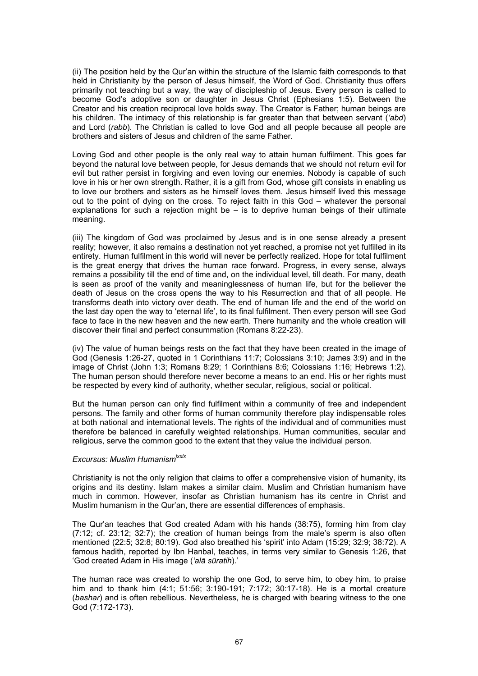(ii) The position held by the Qur'an within the structure of the Islamic faith corresponds to that held in Christianity by the person of Jesus himself, the Word of God. Christianity thus offers primarily not teaching but a way, the way of discipleship of Jesus. Every person is called to become God's adoptive son or daughter in Jesus Christ (Ephesians 1:5). Between the Creator and his creation reciprocal love holds sway. The Creator is Father; human beings are his children. The intimacy of this relationship is far greater than that between servant (*'abd*) and Lord (*rabb*). The Christian is called to love God and all people because all people are brothers and sisters of Jesus and children of the same Father.

Loving God and other people is the only real way to attain human fulfilment. This goes far beyond the natural love between people, for Jesus demands that we should not return evil for evil but rather persist in forgiving and even loving our enemies. Nobody is capable of such love in his or her own strength. Rather, it is a gift from God, whose gift consists in enabling us to love our brothers and sisters as he himself loves them. Jesus himself lived this message out to the point of dying on the cross. To reject faith in this God – whatever the personal explanations for such a rejection might be  $-$  is to deprive human beings of their ultimate meaning.

(iii) The kingdom of God was proclaimed by Jesus and is in one sense already a present reality; however, it also remains a destination not yet reached, a promise not yet fulfilled in its entirety. Human fulfilment in this world will never be perfectly realized. Hope for total fulfilment is the great energy that drives the human race forward. Progress, in every sense, always remains a possibility till the end of time and, on the individual level, till death. For many, death is seen as proof of the vanity and meaninglessness of human life, but for the believer the death of Jesus on the cross opens the way to his Resurrection and that of all people. He transforms death into victory over death. The end of human life and the end of the world on the last day open the way to 'eternal life', to its final fulfilment. Then every person will see God face to face in the new heaven and the new earth. There humanity and the whole creation will discover their final and perfect consummation (Romans 8:22-23).

(iv) The value of human beings rests on the fact that they have been created in the image of God (Genesis 1:26-27, quoted in 1 Corinthians 11:7; Colossians 3:10; James 3:9) and in the image of Christ (John 1:3; Romans 8:29; 1 Corinthians 8:6; Colossians 1:16; Hebrews 1:2). The human person should therefore never become a means to an end. His or her rights must be respected by every kind of authority, whether secular, religious, social or political.

But the human person can only find fulfilment within a community of free and independent persons. The family and other forms of human community therefore play indispensable roles at both national and international levels. The rights of the individual and of communities must therefore be balanced in carefully weighted relationships. Human communities, secular and religious, serve the common good to the extent that they value the individual person.

# *Excursus: Muslim Humanismlxxix*

Christianity is not the only religion that claims to offer a comprehensive vision of humanity, its origins and its destiny. Islam makes a similar claim. Muslim and Christian humanism have much in common. However, insofar as Christian humanism has its centre in Christ and Muslim humanism in the Qur'an, there are essential differences of emphasis.

The Qur'an teaches that God created Adam with his hands (38:75), forming him from clay (7:12; cf. 23:12; 32:7); the creation of human beings from the male's sperm is also often mentioned (22:5; 32:8; 80:19). God also breathed his 'spirit' into Adam (15:29; 32:9; 38:72). A famous hadith, reported by Ibn Hanbal, teaches, in terms very similar to Genesis 1:26, that 'God created Adam in His image (*'alā sūratih*).'

The human race was created to worship the one God, to serve him, to obey him, to praise him and to thank him (4:1; 51:56; 3:190-191; 7:172; 30:17-18). He is a mortal creature (*bashar*) and is often rebellious. Nevertheless, he is charged with bearing witness to the one God (7:172-173).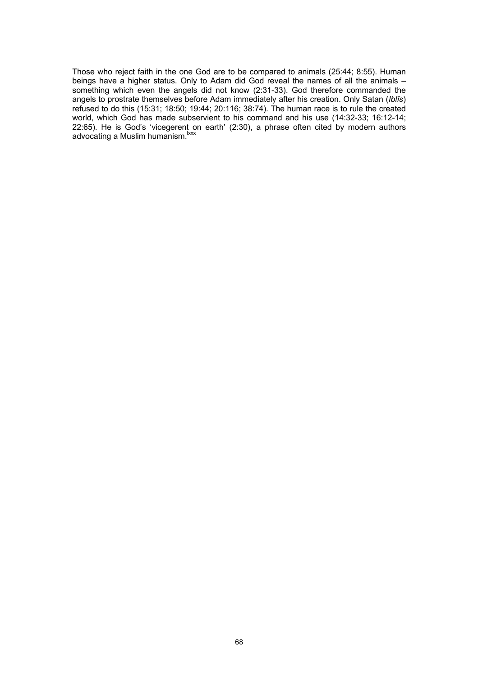Those who reject faith in the one God are to be compared to animals (25:44; 8:55). Human beings have a higher status. Only to Adam did God reveal the names of all the animals something which even the angels did not know (2:31-33). God therefore commanded the angels to prostrate themselves before Adam immediately after his creation. Only Satan (*Iblīs*) refused to do this (15:31; 18:50; 19:44; 20:116; 38:74). The human race is to rule the created world, which God has made subservient to his command and his use (14:32-33; 16:12-14; 22:65). He is God's 'vicegerent on earth' (2:30), a phrase often cited by modern authors advocating a Muslim humanism.<sup>lxxx</sup>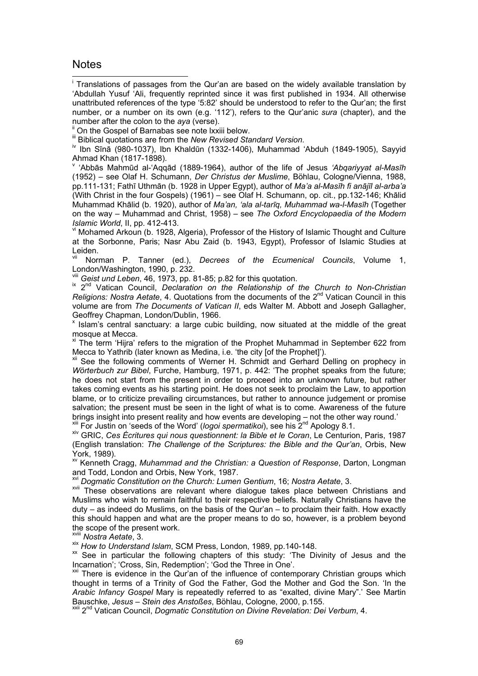# **Notes**

 $\overline{\phantom{a}}$ <sup>i</sup> Translations of passages from the Qur'an are based on the widely available translation by 'Abdullah Yusuf 'Ali, frequently reprinted since it was first published in 1934. All otherwise unattributed references of the type '5:82' should be understood to refer to the Qur'an; the first number, or a number on its own (e.g. '112'), refers to the Qur'anic *sura* (chapter), and the

number after the colon to the *aya* (verse).<br>
<sup>ii</sup> On the Gospel of Barnabas see note lxxiii below.<br>
<sup>iii</sup> Biblical quotations are from the *New Revised Standard Version*.

<sup>iv</sup> Ibn Sīnā (980-1037), Ibn Khaldūn (1332-1406), Muhammad 'Abduh (1849-1905), Sayyid Ahmad Khan (1817-1898).

v 'Abbās Mahmūd al-'Aqqād (1889-1964), author of the life of Jesus *'Abqariyyat al-Masīh* (1952) – see Olaf H. Schumann, *Der Christus der Muslime*, Böhlau, Cologne/Vienna, 1988, pp.111-131; Fathī Uthmān (b. 1928 in Upper Egypt), author of *Ma'a al-Masīh fi anājīl al-arba'a*  (With Christ in the four Gospels) (1961) – see Olaf H. Schumann, op. cit., pp.132-146; Khālid Muhammad Khālid (b. 1920), author of *Ma'an, 'ala al-tarīq, Muhammad wa-l-Masīh* (Together on the way – Muhammad and Christ, 1958) – see *The Oxford Encyclopaedia of the Modern Islamic World*, II, pp. 412-413.<br><sup>vi</sup> Mohamed Arkoun (b. 1928, Algeria), Professor of the History of Islamic Thought and Culture

at the Sorbonne, Paris; Nasr Abu Zaid (b. 1943, Egypt), Professor of Islamic Studies at Leiden.

Norman P. Tanner (ed.), *Decrees of the Ecumenical Councils*, Volume 1, London/Washington, 1990, p. 232.<br>
<sup>VIII</sup> Geist und Leben, 46, 1973, pp. 81-85; p.82 for this quotation.

<sup>ix 2nd</sup> Vatican Council, *Declaration on the Relationship of the Church to Non-Christian Religions: Nostra Aetate, 4. Quotations from the documents of the 2<sup>nd</sup> Vatican Council in this* volume are from *The Documents of Vatican II*, eds Walter M. Abbott and Joseph Gallagher, Geoffrey Chapman, London/Dublin, 1966.

x Islam's central sanctuary: a large cubic building, now situated at the middle of the great mosque at Mecca.

 $x<sup>i</sup>$  The term 'Hijra' refers to the migration of the Prophet Muhammad in September 622 from Mecca to Yathrib (later known as Medina, i.e. 'the city [of the Prophet]').

<sup>xii</sup> See the following comments of Werner H. Schmidt and Gerhard Delling on prophecy in *Wörterbuch zur Bibel*, Furche, Hamburg, 1971, p. 442: 'The prophet speaks from the future; he does not start from the present in order to proceed into an unknown future, but rather takes coming events as his starting point. He does not seek to proclaim the Law, to apportion blame, or to criticize prevailing circumstances, but rather to announce judgement or promise salvation; the present must be seen in the light of what is to come. Awareness of the future brings insight into present reality and how events are developing – not the other way round.'

<sup>xiii</sup> For Justin on 'seeds of the Word' (logoi spermatikoi), see his 2<sup>nd</sup> Apology 8.1.<br><sup>xiv</sup> GRIC. Ces *Écritures qui nous questionnent: la Bible et le Coran*, Le Centurion, Paris, 1987 (English translation: *The Challenge of the Scriptures: the Bible and the Qur'an*, Orbis, New York, 1989).

xv Kenneth Cragg, *Muhammad and the Christian: a Question of Response*, Darton, Longman and Todd, London and Orbis, New York, 1987.

xvi *Dogmatic Constitution on the Church: Lumen Gentium*, 16; *Nostra Aetate*, 3.

xvii These observations are relevant where dialogue takes place between Christians and Muslims who wish to remain faithful to their respective beliefs. Naturally Christians have the duty – as indeed do Muslims, on the basis of the Qur'an – to proclaim their faith. How exactly this should happen and what are the proper means to do so, however, is a problem beyond the scope of the present work.

xviii *Nostra Aetate*, 3.<br>xix *How to Understand Islam*, SCM Press, London, 1989, pp.140-148.

<sup>xx</sup> See in particular the following chapters of this study: 'The Divinity of Jesus and the Incarnation'; 'Cross, Sin, Redemption'; 'God the Three in One'.

<sup>xxi</sup> There is evidence in the Qur'an of the influence of contemporary Christian groups which thought in terms of a Trinity of God the Father, God the Mother and God the Son. 'In the *Arabic Infancy Gospel* Mary is repeatedly referred to as "exalted, divine Mary".' See Martin

<sup>xxii</sup> 2<sup>nd</sup> Vatican Council. *Doamatic Constitution on Divine Revelation: Dei Verbum*, 4.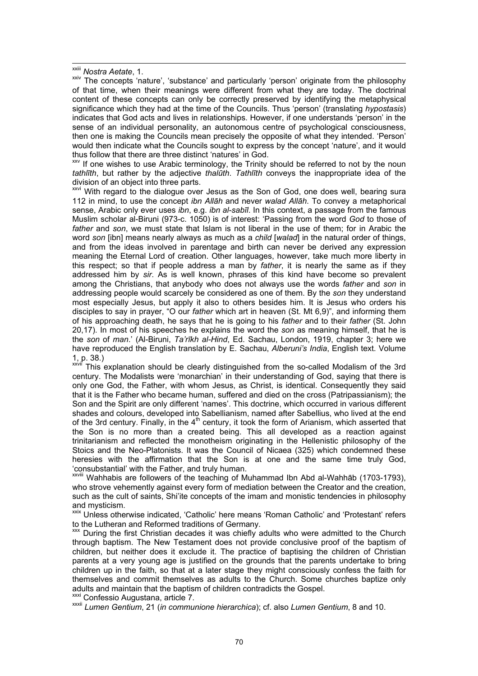xxiii *Nostra Aetate*, 1.

xxiv The concepts 'nature', 'substance' and particularly 'person' originate from the philosophy of that time, when their meanings were different from what they are today. The doctrinal content of these concepts can only be correctly preserved by identifying the metaphysical significance which they had at the time of the Councils. Thus 'person' (translating *hypostasis*) indicates that God acts and lives in relationships. However, if one understands 'person' in the sense of an individual personality, an autonomous centre of psychological consciousness, then one is making the Councils mean precisely the opposite of what they intended. 'Person' would then indicate what the Councils sought to express by the concept 'nature', and it would thus follow that there are three distinct 'natures' in God.<br>
<sup>xxv</sup> If one wishes to use Arabic terminology, the Trinity should be referred to not by the noun

*tathlīth*, but rather by the adjective *thalūth*. *Tathlīth* conveys the inappropriate idea of the division of an object into three parts.

xxvi With regard to the dialogue over Jesus as the Son of God, one does well, bearing sura 112 in mind, to use the concept *ibn Allāh* and never *walad Allāh*. To convey a metaphorical sense, Arabic only ever uses *ibn*, e.g. *ibn al-sabīl*. In this context, a passage from the famous Muslim scholar al-Biruni (973-c. 1050) is of interest: 'Passing from the word *God* to those of *father* and *son*, we must state that Islam is not liberal in the use of them; for in Arabic the word *son* [ibn] means nearly always as much as a *child* [*walad*] in the natural order of things, and from the ideas involved in parentage and birth can never be derived any expression meaning the Eternal Lord of creation. Other languages, however, take much more liberty in this respect; so that if people address a man by *father*, it is nearly the same as if they addressed him by *sir*. As is well known, phrases of this kind have become so prevalent among the Christians, that anybody who does not always use the words *father* and *son* in addressing people would scarcely be considered as one of them. By the *son* they understand most especially Jesus, but apply it also to others besides him. It is Jesus who orders his disciples to say in prayer, "O our *father* which art in heaven (St. Mt 6,9)", and informing them of his approaching death, he says that he is going to his *father* and to their *father* (St. John 20,17). In most of his speeches he explains the word the *son* as meaning himself, that he is the *son* of *man*.' (Al-Biruni, *Ta'rīkh al-Hind*, Ed. Sachau, London, 1919, chapter 3; here we have reproduced the English translation by E. Sachau, *Alberuni's India*, English text. Volume 1, p. 38.)

xxvii This explanation should be clearly distinguished from the so-called Modalism of the 3rd century. The Modalists were 'monarchian' in their understanding of God, saying that there is only one God, the Father, with whom Jesus, as Christ, is identical. Consequently they said that it is the Father who became human, suffered and died on the cross (Patripassianism); the Son and the Spirit are only different 'names'. This doctrine, which occurred in various different shades and colours, developed into Sabellianism, named after Sabellius, who lived at the end of the 3rd century. Finally, in the  $4<sup>th</sup>$  century, it took the form of Arianism, which asserted that the Son is no more than a created being. This all developed as a reaction against trinitarianism and reflected the monotheism originating in the Hellenistic philosophy of the Stoics and the Neo-Platonists. It was the Council of Nicaea (325) which condemned these heresies with the affirmation that the Son is at one and the same time truly God, 'consubstantial' with the Father, and truly human.

xxviii Wahhabis are followers of the teaching of Muhammad Ibn Abd al-Wahhāb (1703-1793), who strove vehemently against every form of mediation between the Creator and the creation, such as the cult of saints, Shi'ite concepts of the imam and monistic tendencies in philosophy and mysticism.

xxix Unless otherwise indicated, 'Catholic' here means 'Roman Catholic' and 'Protestant' refers to the Lutheran and Reformed traditions of Germany.

xxx During the first Christian decades it was chiefly adults who were admitted to the Church through baptism. The New Testament does not provide conclusive proof of the baptism of children, but neither does it exclude it. The practice of baptising the children of Christian parents at a very young age is justified on the grounds that the parents undertake to bring children up in the faith, so that at a later stage they might consciously confess the faith for themselves and commit themselves as adults to the Church. Some churches baptize only

<sup>xxxi</sup> Confessio Augustana, article 7.<br><sup>xxxii</sup> *Lumen Gentium*, 21 (*in communione hierarchica*); cf. also *Lumen Gentium*, 8 and 10.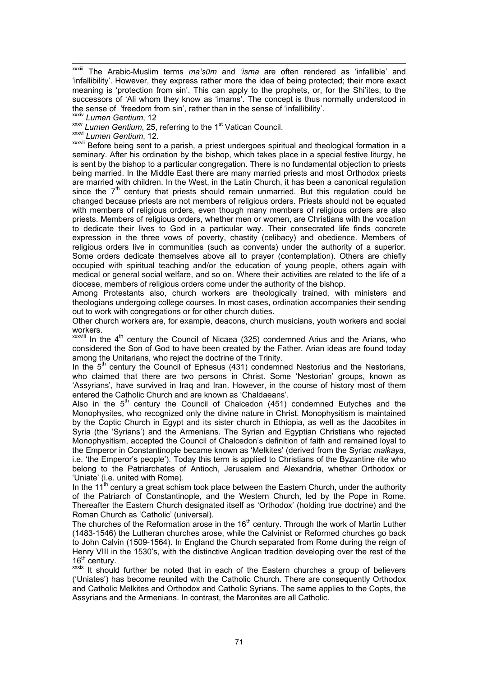xxxiv *Lumen Gentium*, 12 xxxv *Lumen Gentium*, 25, referring to the 1st Vatican Council.

xxxvi *Lumen Gentium*, 12.

**xxxvii** Before being sent to a parish, a priest undergoes spiritual and theological formation in a seminary. After his ordination by the bishop, which takes place in a special festive liturgy, he is sent by the bishop to a particular congregation. There is no fundamental objection to priests being married. In the Middle East there are many married priests and most Orthodox priests are married with children. In the West, in the Latin Church, it has been a canonical regulation since the  $7<sup>th</sup>$  century that priests should remain unmarried. But this regulation could be changed because priests are not members of religious orders. Priests should not be equated with members of religious orders, even though many members of religious orders are also priests. Members of religious orders, whether men or women, are Christians with the vocation to dedicate their lives to God in a particular way. Their consecrated life finds concrete expression in the three vows of poverty, chastity (celibacy) and obedience. Members of religious orders live in communities (such as convents) under the authority of a superior. Some orders dedicate themselves above all to prayer (contemplation). Others are chiefly occupied with spiritual teaching and/or the education of young people, others again with medical or general social welfare, and so on. Where their activities are related to the life of a diocese, members of religious orders come under the authority of the bishop.

Among Protestants also, church workers are theologically trained, with ministers and theologians undergoing college courses. In most cases, ordination accompanies their sending out to work with congregations or for other church duties.

Other church workers are, for example, deacons, church musicians, youth workers and social workers.

 $xxxviii$  In the  $4<sup>th</sup>$  century the Council of Nicaea (325) condemned Arius and the Arians, who considered the Son of God to have been created by the Father. Arian ideas are found today among the Unitarians, who reject the doctrine of the Trinity.

In the  $5<sup>th</sup>$  century the Council of Ephesus (431) condemned Nestorius and the Nestorians, who claimed that there are two persons in Christ. Some 'Nestorian' groups, known as 'Assyrians', have survived in Iraq and Iran. However, in the course of history most of them entered the Catholic Church and are known as 'Chaldaeans'.

Also in the  $5<sup>th</sup>$  century the Council of Chalcedon (451) condemned Eutyches and the Monophysites, who recognized only the divine nature in Christ. Monophysitism is maintained by the Coptic Church in Egypt and its sister church in Ethiopia, as well as the Jacobites in Syria (the 'Syrians') and the Armenians. The Syrian and Egyptian Christians who rejected Monophysitism, accepted the Council of Chalcedon's definition of faith and remained loyal to the Emperor in Constantinople became known as 'Melkites' (derived from the Syriac *malkaya*, i.e. 'the Emperor's people'). Today this term is applied to Christians of the Byzantine rite who belong to the Patriarchates of Antioch, Jerusalem and Alexandria, whether Orthodox or 'Uniate' (i.e. united with Rome).

In the  $11<sup>th</sup>$  century a great schism took place between the Eastern Church, under the authority of the Patriarch of Constantinople, and the Western Church, led by the Pope in Rome. Thereafter the Eastern Church designated itself as 'Orthodox' (holding true doctrine) and the Roman Church as 'Catholic' (universal).

The churches of the Reformation arose in the  $16<sup>th</sup>$  century. Through the work of Martin Luther (1483-1546) the Lutheran churches arose, while the Calvinist or Reformed churches go back to John Calvin (1509-1564). In England the Church separated from Rome during the reign of Henry VIII in the 1530's, with the distinctive Anglican tradition developing over the rest of the 16<sup>th</sup> century.

xxxix It should further be noted that in each of the Eastern churches a group of believers ('Uniates') has become reunited with the Catholic Church. There are consequently Orthodox and Catholic Melkites and Orthodox and Catholic Syrians. The same applies to the Copts, the Assyrians and the Armenians. In contrast, the Maronites are all Catholic.

xxxiii The Arabic-Muslim terms *ma'sūm* and *'isma* are often rendered as 'infallible' and 'infallibility'. However, they express rather more the idea of being protected; their more exact meaning is 'protection from sin'. This can apply to the prophets, or, for the Shi'ites, to the successors of 'Ali whom they know as 'imams'. The concept is thus normally understood in the sense of 'freedom from sin', rather than in the sense of 'infallibility'.<br>xxxiv Lumen Gentium. 12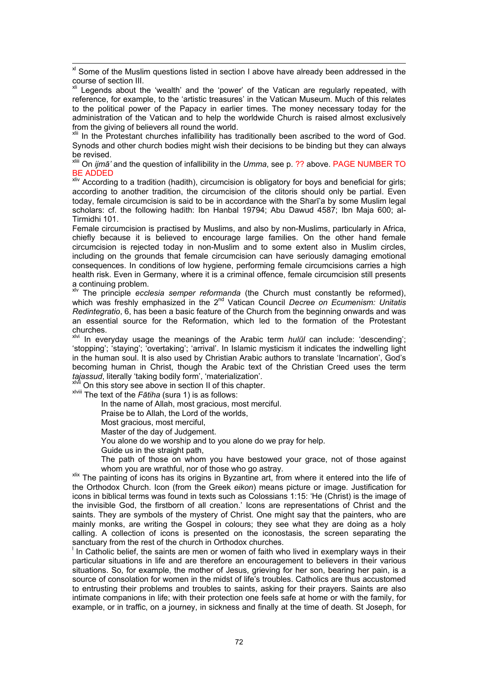<sup>xl</sup> Some of the Muslim questions listed in section I above have already been addressed in the course of section III.

<sup>xli</sup> Legends about the 'wealth' and the 'power' of the Vatican are regularly repeated, with reference, for example, to the 'artistic treasures' in the Vatican Museum. Much of this relates to the political power of the Papacy in earlier times. The money necessary today for the administration of the Vatican and to help the worldwide Church is raised almost exclusively from the giving of believers all round the world.

In the Protestant churches infallibility has traditionally been ascribed to the word of God. Synods and other church bodies might wish their decisions to be binding but they can always be revised.

xliii On *ijmā'* and the question of infallibility in the *Umma*, see p. ?? above. PAGE NUMBER TO BE ADDED

xliv According to a tradition (hadith), circumcision is obligatory for boys and beneficial for girls; according to another tradition, the circumcision of the clitoris should only be partial. Even today, female circumcision is said to be in accordance with the Sharī'a by some Muslim legal scholars: cf. the following hadith: Ibn Hanbal 19794; Abu Dawud 4587; Ibn Maja 600; al-Tirmidhi 101.

Female circumcision is practised by Muslims, and also by non-Muslims, particularly in Africa, chiefly because it is believed to encourage large families. On the other hand female circumcision is rejected today in non-Muslim and to some extent also in Muslim circles, including on the grounds that female circumcision can have seriously damaging emotional consequences. In conditions of low hygiene, performing female circumcisions carries a high health risk. Even in Germany, where it is a criminal offence, female circumcision still presents a continuing problem.

xlv The principle *ecclesia semper reformanda* (the Church must constantly be reformed), which was freshly emphasized in the 2<sup>nd</sup> Vatican Council *Decree on Ecumenism: Unitatis Redintegratio*, 6, has been a basic feature of the Church from the beginning onwards and was an essential source for the Reformation, which led to the formation of the Protestant churches.

xlvi In everyday usage the meanings of the Arabic term *hulūl* can include: 'descending'; 'stopping'; 'staying'; 'overtaking'; 'arrival'. In Islamic mysticism it indicates the indwelling light in the human soul. It is also used by Christian Arabic authors to translate 'Incarnation', God's becoming human in Christ, though the Arabic text of the Christian Creed uses the term *tajassud*, literally 'taking bodily form', 'materialization'. xlvii On this story see above in section II of this chapter. xlviii The text of the *Fātiha* (sura 1) is as follows:

In the name of Allah, most gracious, most merciful.

Praise be to Allah, the Lord of the worlds,

Most gracious, most merciful,

Master of the day of Judgement.

You alone do we worship and to you alone do we pray for help.

Guide us in the straight path,

The path of those on whom you have bestowed your grace, not of those against

whom you are wrathful, nor of those who go astray.<br><sup>xlix</sup> The painting of icons has its origins in Byzantine art, from where it entered into the life of the Orthodox Church. Icon (from the Greek *eikon*) means picture or image. Justification for icons in biblical terms was found in texts such as Colossians 1:15: 'He (Christ) is the image of the invisible God, the firstborn of all creation.' Icons are representations of Christ and the saints. They are symbols of the mystery of Christ. One might say that the painters, who are mainly monks, are writing the Gospel in colours; they see what they are doing as a holy calling. A collection of icons is presented on the iconostasis, the screen separating the sanctuary from the rest of the church in Orthodox churches.

In Catholic belief, the saints are men or women of faith who lived in exemplary ways in their particular situations in life and are therefore an encouragement to believers in their various situations. So, for example, the mother of Jesus, grieving for her son, bearing her pain, is a source of consolation for women in the midst of life's troubles. Catholics are thus accustomed to entrusting their problems and troubles to saints, asking for their prayers. Saints are also intimate companions in life; with their protection one feels safe at home or with the family, for example, or in traffic, on a journey, in sickness and finally at the time of death. St Joseph, for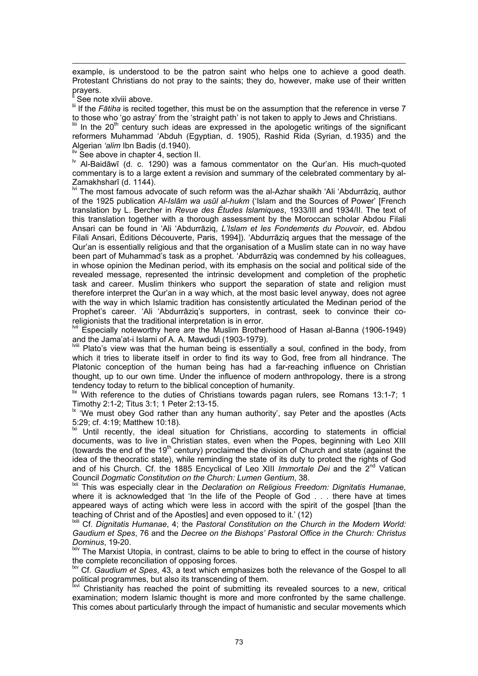$\overline{a}$ example, is understood to be the patron saint who helps one to achieve a good death. Protestant Christians do not pray to the saints; they do, however, make use of their written prayers.

See note xlviii above.

lif the *Fātiha* is recited together, this must be on the assumption that the reference in verse 7

to those who 'go astray' from the 'straight path' is not taken to apply to Jews and Christians.  $\lim_{m \to \infty}$  In the 20<sup>th</sup> century such ideas are expressed in the apologetic writings of the significant reformers Muhammad 'Abduh (Egyptian, d. 1905), Rashid Rida (Syrian, d.1935) and the Algerian 'alim Ibn Badis (d.1940).

liv See above in chapter 4, section II.

lv Al-Baidāwī (d. c. 1290) was a famous commentator on the Qur'an. His much-quoted commentary is to a large extent a revision and summary of the celebrated commentary by al-

Zamakhsharī (d. 1144).<br><sup>Ivi</sup> The most famous advocate of such reform was the al-Azhar shaikh 'Ali 'Abdurrāziq, author of the 1925 publication *Al-Islām wa usūl al-hukm* ('Islam and the Sources of Power' [French translation by L. Bercher in *Revue des Études Islamiques*, 1933/III and 1934/II. The text of this translation together with a thorough assessment by the Moroccan scholar Abdou Filali Ansari can be found in 'Ali 'Abdurrāziq, *L'Islam et les Fondements du Pouvoir*, ed. Abdou Filali Ansari, Éditions Découverte, Paris, 1994]). 'Abdurrāziq argues that the message of the Qur'an is essentially religious and that the organisation of a Muslim state can in no way have been part of Muhammad's task as a prophet. 'Abdurrāziq was condemned by his colleagues, in whose opinion the Medinan period, with its emphasis on the social and political side of the revealed message, represented the intrinsic development and completion of the prophetic task and career. Muslim thinkers who support the separation of state and religion must therefore interpret the Qur'an in a way which, at the most basic level anyway, does not agree with the way in which Islamic tradition has consistently articulated the Medinan period of the Prophet's career. 'Ali 'Abdurrāziq's supporters, in contrast, seek to convince their coreligionists that the traditional interpretation is in error.<br><sup>Mil</sup> Especially noteworthy here are the Muslim Brathe

Especially noteworthy here are the Muslim Brotherhood of Hasan al-Banna (1906-1949) and the Jama'at-i Islami of A. A. Mawdudi (1903-1979).

IVIII Plato's view was that the human being is essentially a soul, confined in the body, from which it tries to liberate itself in order to find its way to God, free from all hindrance. The Platonic conception of the human being has had a far-reaching influence on Christian thought, up to our own time. Under the influence of modern anthropology, there is a strong tendency today to return to the biblical conception of humanity.

 $\frac{1}{x}$  With reference to the duties of Christians towards pagan rulers, see Romans 13:1-7; 1 Timothy 2:1-2; Titus 3:1; 1 Peter 2:13-15.

**If the stratege of the stratege of the stratege rather** in say Peter and the apostles (Acts 5:29; cf. 4:19; Matthew 10:18).

Until recently, the ideal situation for Christians, according to statements in official documents, was to live in Christian states, even when the Popes, beginning with Leo XIII (towards the end of the 19<sup>th</sup> century) proclaimed the division of Church and state (against the idea of the theocratic state), while reminding the state of its duty to protect the rights of God and of his Church. Cf. the 1885 Encyclical of Leo XIII *Immortale Dei* and the 2nd Vatican Council *Dogmatic Constitution on the Church: Lumen Gentium*, 38.

lxii This was especially clear in the *Declaration on Religious Freedom: Dignitatis Humanae*, where it is acknowledged that 'In the life of the People of God . . . there have at times appeared ways of acting which were less in accord with the spirit of the gospel [than the teaching of Christ and of the Apostles] and even opposed to it.' (12)

<sup>Ixiii</sup> Cf. Dignitatis Humanae, 4; the Pastoral Constitution on the Church in the Modern World: *Gaudium et Spes*, 76 and the *Decree on the Bishops' Pastoral Office in the Church: Christus Dominus*, 19-20.

IXIV The Marxist Utopia, in contrast, claims to be able to bring to effect in the course of history the complete reconciliation of opposing forces.

Cf. *Gaudium et Spes*, 43, a text which emphasizes both the relevance of the Gospel to all political programmes, but also its transcending of them.

 $\mathbf{x}^{\mathsf{N}}$  Christianity has reached the point of submitting its revealed sources to a new, critical examination; modern Islamic thought is more and more confronted by the same challenge. This comes about particularly through the impact of humanistic and secular movements which